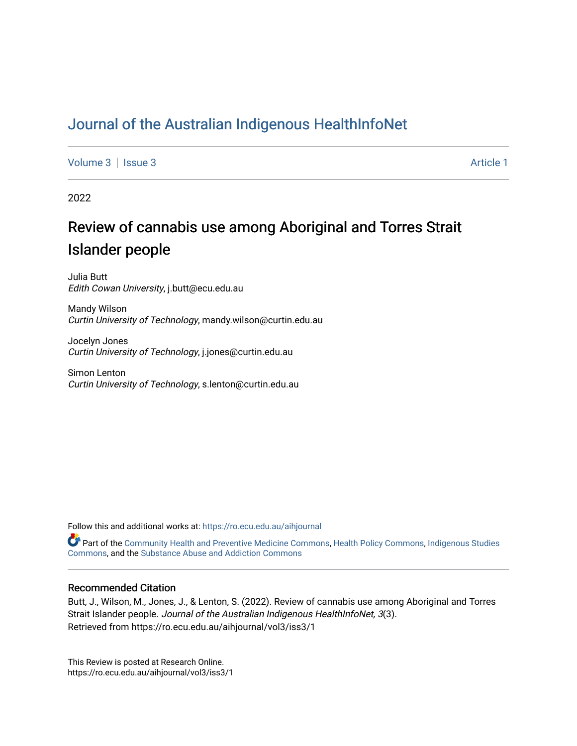# [Journal of the Australian Indigenous HealthInfoNet](https://ro.ecu.edu.au/aihjournal)

[Volume 3](https://ro.ecu.edu.au/aihjournal/vol3) | [Issue 3](https://ro.ecu.edu.au/aihjournal/vol3/iss3) Article 1

2022

# Review of cannabis use among Aboriginal and Torres Strait Islander people

Julia Butt Edith Cowan University, j.butt@ecu.edu.au

Mandy Wilson Curtin University of Technology, mandy.wilson@curtin.edu.au

Jocelyn Jones Curtin University of Technology, j.jones@curtin.edu.au

Simon Lenton Curtin University of Technology, s.lenton@curtin.edu.au

Follow this and additional works at: [https://ro.ecu.edu.au/aihjournal](https://ro.ecu.edu.au/aihjournal?utm_source=ro.ecu.edu.au%2Faihjournal%2Fvol3%2Fiss3%2F1&utm_medium=PDF&utm_campaign=PDFCoverPages) 

Part of the [Community Health and Preventive Medicine Commons,](https://network.bepress.com/hgg/discipline/744?utm_source=ro.ecu.edu.au%2Faihjournal%2Fvol3%2Fiss3%2F1&utm_medium=PDF&utm_campaign=PDFCoverPages) [Health Policy Commons](https://network.bepress.com/hgg/discipline/395?utm_source=ro.ecu.edu.au%2Faihjournal%2Fvol3%2Fiss3%2F1&utm_medium=PDF&utm_campaign=PDFCoverPages), [Indigenous Studies](https://network.bepress.com/hgg/discipline/571?utm_source=ro.ecu.edu.au%2Faihjournal%2Fvol3%2Fiss3%2F1&utm_medium=PDF&utm_campaign=PDFCoverPages)  [Commons,](https://network.bepress.com/hgg/discipline/571?utm_source=ro.ecu.edu.au%2Faihjournal%2Fvol3%2Fiss3%2F1&utm_medium=PDF&utm_campaign=PDFCoverPages) and the [Substance Abuse and Addiction Commons](https://network.bepress.com/hgg/discipline/710?utm_source=ro.ecu.edu.au%2Faihjournal%2Fvol3%2Fiss3%2F1&utm_medium=PDF&utm_campaign=PDFCoverPages) 

#### Recommended Citation

Butt, J., Wilson, M., Jones, J., & Lenton, S. (2022). Review of cannabis use among Aboriginal and Torres Strait Islander people. Journal of the Australian Indigenous HealthInfoNet, 3(3). Retrieved from https://ro.ecu.edu.au/aihjournal/vol3/iss3/1

This Review is posted at Research Online. https://ro.ecu.edu.au/aihjournal/vol3/iss3/1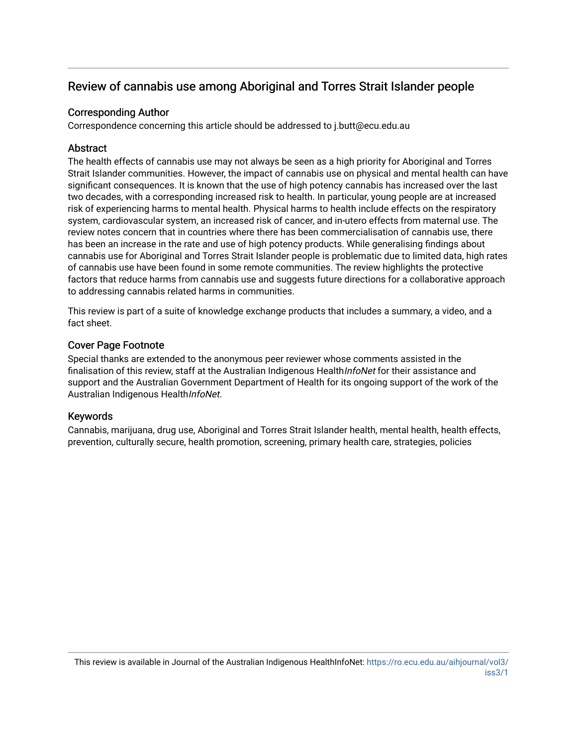## Review of cannabis use among Aboriginal and Torres Strait Islander people

## Corresponding Author

Correspondence concerning this article should be addressed to j.butt@ecu.edu.au

## **Abstract**

The health effects of cannabis use may not always be seen as a high priority for Aboriginal and Torres Strait Islander communities. However, the impact of cannabis use on physical and mental health can have significant consequences. It is known that the use of high potency cannabis has increased over the last two decades, with a corresponding increased risk to health. In particular, young people are at increased risk of experiencing harms to mental health. Physical harms to health include effects on the respiratory system, cardiovascular system, an increased risk of cancer, and in-utero effects from maternal use. The review notes concern that in countries where there has been commercialisation of cannabis use, there has been an increase in the rate and use of high potency products. While generalising findings about cannabis use for Aboriginal and Torres Strait Islander people is problematic due to limited data, high rates of cannabis use have been found in some remote communities. The review highlights the protective factors that reduce harms from cannabis use and suggests future directions for a collaborative approach to addressing cannabis related harms in communities.

This review is part of a suite of knowledge exchange products that includes a summary, a video, and a fact sheet.

## Cover Page Footnote

Special thanks are extended to the anonymous peer reviewer whose comments assisted in the finalisation of this review, staff at the Australian Indigenous HealthInfoNet for their assistance and support and the Australian Government Department of Health for its ongoing support of the work of the Australian Indigenous HealthInfoNet.

## Keywords

Cannabis, marijuana, drug use, Aboriginal and Torres Strait Islander health, mental health, health effects, prevention, culturally secure, health promotion, screening, primary health care, strategies, policies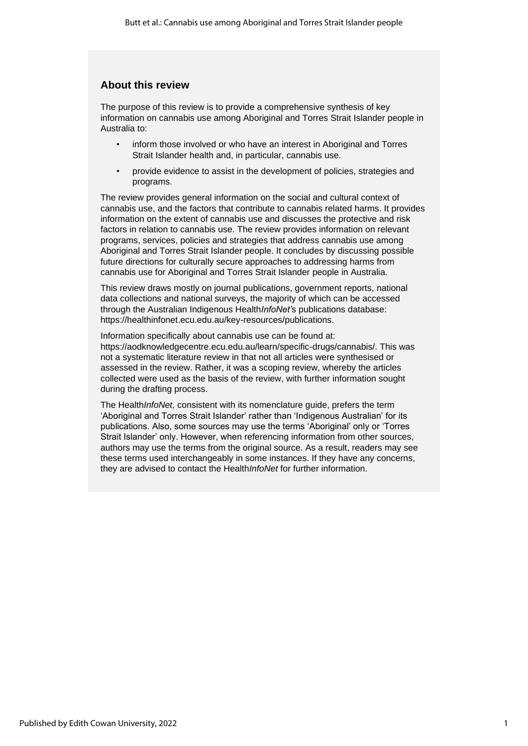## **About this review**

The purpose of this review is to provide a comprehensive synthesis of key information on cannabis use among Aboriginal and Torres Strait Islander people in Australia to:

- inform those involved or who have an interest in Aboriginal and Torres Strait Islander health and, in particular, cannabis use.
- provide evidence to assist in the development of policies, strategies and programs.

The review provides general information on the social and cultural context of cannabis use, and the factors that contribute to cannabis related harms. It provides information on the extent of cannabis use and discusses the protective and risk factors in relation to cannabis use. The review provides information on relevant programs, services, policies and strategies that address cannabis use among Aboriginal and Torres Strait Islander people. It concludes by discussing possible future directions for culturally secure approaches to addressing harms from cannabis use for Aboriginal and Torres Strait Islander people in Australia.

This review draws mostly on journal publications, government reports, national data collections and national surveys, the majority of which can be accessed through the Australian Indigenous Health*InfoNet'*s publications database: https://healthinfonet.ecu.edu.au/key-resources/publications.

Information specifically about cannabis use can be found at: https://aodknowledgecentre.ecu.edu.au/learn/specific-drugs/cannabis/. This was not a systematic literature review in that not all articles were synthesised or assessed in the review. Rather, it was a scoping review, whereby the articles collected were used as the basis of the review, with further information sought during the drafting process.

The Health*InfoNet,* consistent with its nomenclature guide, prefers the term 'Aboriginal and Torres Strait Islander' rather than 'Indigenous Australian' for its publications. Also, some sources may use the terms 'Aboriginal' only or 'Torres Strait Islander' only. However, when referencing information from other sources, authors may use the terms from the original source. As a result, readers may see these terms used interchangeably in some instances. If they have any concerns, they are advised to contact the Health*InfoNet* for further information.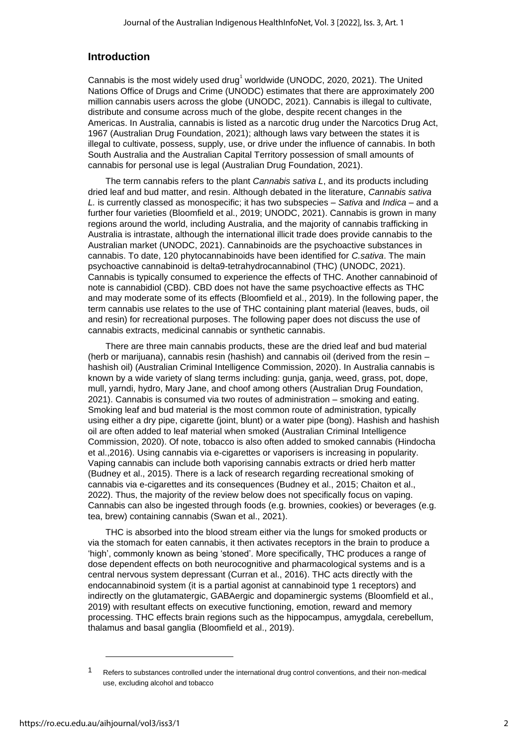## **Introduction**

Cannabis is the most widely used drug<sup>1</sup> worldwide (UNODC, 2020, 2021). The United Nations Office of Drugs and Crime (UNODC) estimates that there are approximately 200 million cannabis users across the globe (UNODC, 2021). Cannabis is illegal to cultivate, distribute and consume across much of the globe, despite recent changes in the Americas. In Australia, cannabis is listed as a narcotic drug under the Narcotics Drug Act, 1967 (Australian Drug Foundation, 2021); although laws vary between the states it is illegal to cultivate, possess, supply, use, or drive under the influence of cannabis. In both South Australia and the Australian Capital Territory possession of small amounts of cannabis for personal use is legal (Australian Drug Foundation, 2021).

The term cannabis refers to the plant *Cannabis sativa L*, and its products including dried leaf and bud matter, and resin. Although debated in the literature, *Cannabis sativa L.* is currently classed as monospecific; it has two subspecies – *Sativa* and *Indica –* and a further four varieties (Bloomfield et al., 2019; UNODC, 2021). Cannabis is grown in many regions around the world, including Australia, and the majority of cannabis trafficking in Australia is intrastate, although the international illicit trade does provide cannabis to the Australian market (UNODC, 2021). Cannabinoids are the psychoactive substances in cannabis. To date, 120 phytocannabinoids have been identified for *C.sativa*. The main psychoactive cannabinoid is delta9-tetrahydrocannabinol (THC) (UNODC, 2021). Cannabis is typically consumed to experience the effects of THC. Another cannabinoid of note is cannabidiol (CBD). CBD does not have the same psychoactive effects as THC and may moderate some of its effects (Bloomfield et al., 2019). In the following paper, the term cannabis use relates to the use of THC containing plant material (leaves, buds, oil and resin) for recreational purposes. The following paper does not discuss the use of cannabis extracts, medicinal cannabis or synthetic cannabis.

There are three main cannabis products, these are the dried leaf and bud material (herb or marijuana), cannabis resin (hashish) and cannabis oil (derived from the resin – hashish oil) (Australian Criminal Intelligence Commission, 2020). In Australia cannabis is known by a wide variety of slang terms including: gunja, ganja, weed, grass, pot, dope, mull, yarndi, hydro, Mary Jane, and choof among others (Australian Drug Foundation, 2021). Cannabis is consumed via two routes of administration – smoking and eating. Smoking leaf and bud material is the most common route of administration, typically using either a dry pipe, cigarette (joint, blunt) or a water pipe (bong). Hashish and hashish oil are often added to leaf material when smoked (Australian Criminal Intelligence Commission, 2020). Of note, tobacco is also often added to smoked cannabis (Hindocha et al.,2016). Using cannabis via e-cigarettes or vaporisers is increasing in popularity. Vaping cannabis can include both vaporising cannabis extracts or dried herb matter (Budney et al., 2015). There is a lack of research regarding recreational smoking of cannabis via e-cigarettes and its consequences (Budney et al., 2015; Chaiton et al., 2022). Thus, the majority of the review below does not specifically focus on vaping. Cannabis can also be ingested through foods (e.g. brownies, cookies) or beverages (e.g. tea, brew) containing cannabis (Swan et al., 2021).

THC is absorbed into the blood stream either via the lungs for smoked products or via the stomach for eaten cannabis, it then activates receptors in the brain to produce a 'high', commonly known as being 'stoned'. More specifically, THC produces a range of dose dependent effects on both neurocognitive and pharmacological systems and is a central nervous system depressant (Curran et al., 2016). THC acts directly with the endocannabinoid system (it is a partial agonist at cannabinoid type 1 receptors) and indirectly on the glutamatergic, GABAergic and dopaminergic systems (Bloomfield et al., 2019) with resultant effects on executive functioning, emotion, reward and memory processing. THC effects brain regions such as the hippocampus, amygdala, cerebellum, thalamus and basal ganglia (Bloomfield et al., 2019).

Refers to substances controlled under the international drug control conventions, and their non-medical use, excluding alcohol and tobacco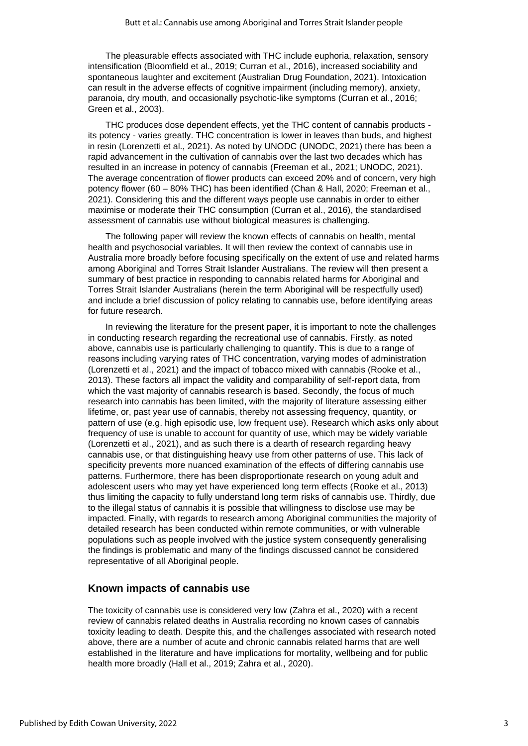The pleasurable effects associated with THC include euphoria, relaxation, sensory intensification (Bloomfield et al., 2019; Curran et al., 2016), increased sociability and spontaneous laughter and excitement (Australian Drug Foundation, 2021). Intoxication can result in the adverse effects of cognitive impairment (including memory), anxiety, paranoia, dry mouth, and occasionally psychotic-like symptoms (Curran et al., 2016; Green et al., 2003).

THC produces dose dependent effects, yet the THC content of cannabis products its potency - varies greatly. THC concentration is lower in leaves than buds, and highest in resin (Lorenzetti et al., 2021). As noted by UNODC (UNODC, 2021) there has been a rapid advancement in the cultivation of cannabis over the last two decades which has resulted in an increase in potency of cannabis (Freeman et al., 2021; UNODC, 2021). The average concentration of flower products can exceed 20% and of concern, very high potency flower (60 – 80% THC) has been identified (Chan & Hall, 2020; Freeman et al., 2021). Considering this and the different ways people use cannabis in order to either maximise or moderate their THC consumption (Curran et al., 2016), the standardised assessment of cannabis use without biological measures is challenging.

The following paper will review the known effects of cannabis on health, mental health and psychosocial variables. It will then review the context of cannabis use in Australia more broadly before focusing specifically on the extent of use and related harms among Aboriginal and Torres Strait Islander Australians. The review will then present a summary of best practice in responding to cannabis related harms for Aboriginal and Torres Strait Islander Australians (herein the term Aboriginal will be respectfully used) and include a brief discussion of policy relating to cannabis use, before identifying areas for future research.

In reviewing the literature for the present paper, it is important to note the challenges in conducting research regarding the recreational use of cannabis. Firstly, as noted above, cannabis use is particularly challenging to quantify. This is due to a range of reasons including varying rates of THC concentration, varying modes of administration (Lorenzetti et al., 2021) and the impact of tobacco mixed with cannabis (Rooke et al., 2013). These factors all impact the validity and comparability of self-report data, from which the vast majority of cannabis research is based. Secondly, the focus of much research into cannabis has been limited, with the majority of literature assessing either lifetime, or, past year use of cannabis, thereby not assessing frequency, quantity, or pattern of use (e.g. high episodic use, low frequent use). Research which asks only about frequency of use is unable to account for quantity of use, which may be widely variable (Lorenzetti et al., 2021), and as such there is a dearth of research regarding heavy cannabis use, or that distinguishing heavy use from other patterns of use. This lack of specificity prevents more nuanced examination of the effects of differing cannabis use patterns. Furthermore, there has been disproportionate research on young adult and adolescent users who may yet have experienced long term effects (Rooke et al., 2013) thus limiting the capacity to fully understand long term risks of cannabis use. Thirdly, due to the illegal status of cannabis it is possible that willingness to disclose use may be impacted. Finally, with regards to research among Aboriginal communities the majority of detailed research has been conducted within remote communities, or with vulnerable populations such as people involved with the justice system consequently generalising the findings is problematic and many of the findings discussed cannot be considered representative of all Aboriginal people.

## **Known impacts of cannabis use**

The toxicity of cannabis use is considered very low (Zahra et al., 2020) with a recent review of cannabis related deaths in Australia recording no known cases of cannabis toxicity leading to death. Despite this, and the challenges associated with research noted above, there are a number of acute and chronic cannabis related harms that are well established in the literature and have implications for mortality, wellbeing and for public health more broadly (Hall et al., 2019; Zahra et al., 2020).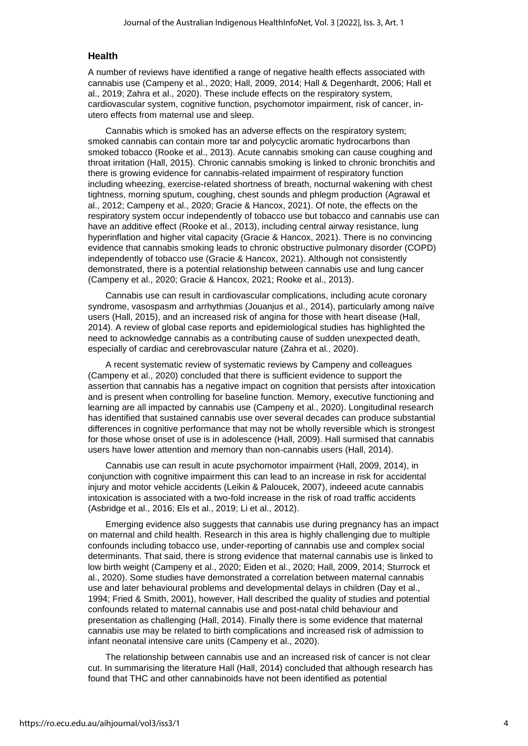#### **Health**

A number of reviews have identified a range of negative health effects associated with cannabis use (Campeny et al., 2020; Hall, 2009, 2014; Hall & Degenhardt, 2006; Hall et al., 2019; Zahra et al., 2020). These include effects on the respiratory system, cardiovascular system, cognitive function, psychomotor impairment, risk of cancer, inutero effects from maternal use and sleep.

Cannabis which is smoked has an adverse effects on the respiratory system; smoked cannabis can contain more tar and polycyclic aromatic hydrocarbons than smoked tobacco (Rooke et al., 2013). Acute cannabis smoking can cause coughing and throat irritation (Hall, 2015). Chronic cannabis smoking is linked to chronic bronchitis and there is growing evidence for cannabis-related impairment of respiratory function including wheezing, exercise-related shortness of breath, nocturnal wakening with chest tightness, morning sputum, coughing, chest sounds and phlegm production (Agrawal et al., 2012; Campeny et al., 2020; Gracie & Hancox, 2021). Of note, the effects on the respiratory system occur independently of tobacco use but tobacco and cannabis use can have an additive effect (Rooke et al., 2013), including central airway resistance, lung hyperinflation and higher vital capacity (Gracie & Hancox, 2021). There is no convincing evidence that cannabis smoking leads to chronic obstructive pulmonary disorder (COPD) independently of tobacco use (Gracie & Hancox, 2021). Although not consistently demonstrated, there is a potential relationship between cannabis use and lung cancer (Campeny et al., 2020; Gracie & Hancox, 2021; Rooke et al., 2013).

Cannabis use can result in cardiovascular complications, including acute coronary syndrome, vasospasm and arrhythmias (Jouanjus et al., 2014), particularly among naïve users (Hall, 2015), and an increased risk of angina for those with heart disease (Hall, 2014). A review of global case reports and epidemiological studies has highlighted the need to acknowledge cannabis as a contributing cause of sudden unexpected death, especially of cardiac and cerebrovascular nature (Zahra et al., 2020).

A recent systematic review of systematic reviews by Campeny and colleagues (Campeny et al., 2020) concluded that there is sufficient evidence to support the assertion that cannabis has a negative impact on cognition that persists after intoxication and is present when controlling for baseline function. Memory, executive functioning and learning are all impacted by cannabis use (Campeny et al., 2020). Longitudinal research has identified that sustained cannabis use over several decades can produce substantial differences in cognitive performance that may not be wholly reversible which is strongest for those whose onset of use is in adolescence (Hall, 2009). Hall surmised that cannabis users have lower attention and memory than non-cannabis users (Hall, 2014).

Cannabis use can result in acute psychomotor impairment (Hall, 2009, 2014), in conjunction with cognitive impairment this can lead to an increase in risk for accidental injury and motor vehicle accidents (Leikin & Paloucek, 2007), indeeed acute cannabis intoxication is associated with a two-fold increase in the risk of road traffic accidents (Asbridge et al., 2016; Els et al., 2019; Li et al., 2012).

Emerging evidence also suggests that cannabis use during pregnancy has an impact on maternal and child health. Research in this area is highly challenging due to multiple confounds including tobacco use, under-reporting of cannabis use and complex social determinants. That said, there is strong evidence that maternal cannabis use is linked to low birth weight (Campeny et al., 2020; Eiden et al., 2020; Hall, 2009, 2014; Sturrock et al., 2020). Some studies have demonstrated a correlation between maternal cannabis use and later behavioural problems and developmental delays in children (Day et al., 1994; Fried & Smith, 2001), however, Hall described the quality of studies and potential confounds related to maternal cannabis use and post-natal child behaviour and presentation as challenging (Hall, 2014). Finally there is some evidence that maternal cannabis use may be related to birth complications and increased risk of admission to infant neonatal intensive care units (Campeny et al., 2020).

The relationship between cannabis use and an increased risk of cancer is not clear cut. In summarising the literature Hall (Hall, 2014) concluded that although research has found that THC and other cannabinoids have not been identified as potential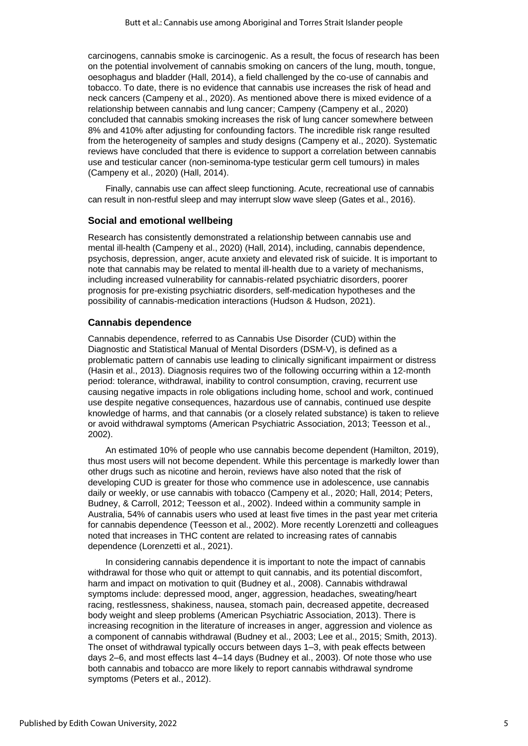carcinogens, cannabis smoke is carcinogenic. As a result, the focus of research has been on the potential involvement of cannabis smoking on cancers of the lung, mouth, tongue, oesophagus and bladder (Hall, 2014), a field challenged by the co-use of cannabis and tobacco. To date, there is no evidence that cannabis use increases the risk of head and neck cancers (Campeny et al., 2020). As mentioned above there is mixed evidence of a relationship between cannabis and lung cancer; Campeny (Campeny et al., 2020) concluded that cannabis smoking increases the risk of lung cancer somewhere between 8% and 410% after adjusting for confounding factors. The incredible risk range resulted from the heterogeneity of samples and study designs (Campeny et al., 2020). Systematic reviews have concluded that there is evidence to support a correlation between cannabis use and testicular cancer (non-seminoma-type testicular germ cell tumours) in males (Campeny et al., 2020) (Hall, 2014).

Finally, cannabis use can affect sleep functioning. Acute, recreational use of cannabis can result in non-restful sleep and may interrupt slow wave sleep (Gates et al., 2016).

#### **Social and emotional wellbeing**

Research has consistently demonstrated a relationship between cannabis use and mental ill-health (Campeny et al., 2020) (Hall, 2014), including, cannabis dependence, psychosis, depression, anger, acute anxiety and elevated risk of suicide. It is important to note that cannabis may be related to mental ill-health due to a variety of mechanisms, including increased vulnerability for cannabis-related psychiatric disorders, poorer prognosis for pre-existing psychiatric disorders, self-medication hypotheses and the possibility of cannabis-medication interactions (Hudson & Hudson, 2021).

#### **Cannabis dependence**

Cannabis dependence, referred to as Cannabis Use Disorder (CUD) within the Diagnostic and Statistical Manual of Mental Disorders (DSM-V), is defined as a problematic pattern of cannabis use leading to clinically significant impairment or distress (Hasin et al., 2013). Diagnosis requires two of the following occurring within a 12-month period: tolerance, withdrawal, inability to control consumption, craving, recurrent use causing negative impacts in role obligations including home, school and work, continued use despite negative consequences, hazardous use of cannabis, continued use despite knowledge of harms, and that cannabis (or a closely related substance) is taken to relieve or avoid withdrawal symptoms (American Psychiatric Association, 2013; Teesson et al., 2002).

An estimated 10% of people who use cannabis become dependent (Hamilton, 2019), thus most users will not become dependent. While this percentage is markedly lower than other drugs such as nicotine and heroin, reviews have also noted that the risk of developing CUD is greater for those who commence use in adolescence, use cannabis daily or weekly, or use cannabis with tobacco (Campeny et al., 2020; Hall, 2014; Peters, Budney, & Carroll, 2012; Teesson et al., 2002). Indeed within a community sample in Australia, 54% of cannabis users who used at least five times in the past year met criteria for cannabis dependence (Teesson et al., 2002). More recently Lorenzetti and colleagues noted that increases in THC content are related to increasing rates of cannabis dependence (Lorenzetti et al., 2021).

In considering cannabis dependence it is important to note the impact of cannabis withdrawal for those who quit or attempt to quit cannabis, and its potential discomfort, harm and impact on motivation to quit (Budney et al., 2008). Cannabis withdrawal symptoms include: depressed mood, anger, aggression, headaches, sweating/heart racing, restlessness, shakiness, nausea, stomach pain, decreased appetite, decreased body weight and sleep problems (American Psychiatric Association, 2013). There is increasing recognition in the literature of increases in anger, aggression and violence as a component of cannabis withdrawal (Budney et al., 2003; Lee et al., 2015; Smith, 2013). The onset of withdrawal typically occurs between days 1–3, with peak effects between days 2–6, and most effects last 4–14 days (Budney et al., 2003). Of note those who use both cannabis and tobacco are more likely to report cannabis withdrawal syndrome symptoms (Peters et al., 2012).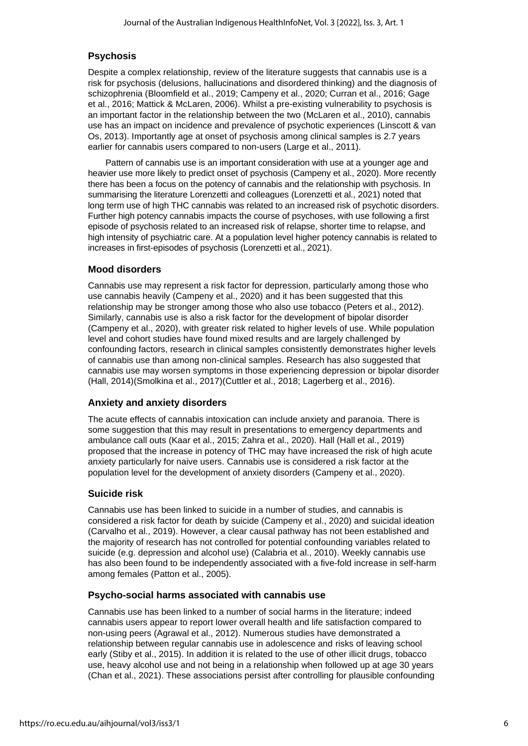## **Psychosis**

Despite a complex relationship, review of the literature suggests that cannabis use is a risk for psychosis (delusions, hallucinations and disordered thinking) and the diagnosis of schizophrenia (Bloomfield et al., 2019; Campeny et al., 2020; Curran et al., 2016; Gage et al., 2016; Mattick & McLaren, 2006). Whilst a pre-existing vulnerability to psychosis is an important factor in the relationship between the two (McLaren et al., 2010), cannabis use has an impact on incidence and prevalence of psychotic experiences (Linscott & van Os, 2013). Importantly age at onset of psychosis among clinical samples is 2.7 years earlier for cannabis users compared to non-users (Large et al., 2011).

Pattern of cannabis use is an important consideration with use at a younger age and heavier use more likely to predict onset of psychosis (Campeny et al., 2020). More recently there has been a focus on the potency of cannabis and the relationship with psychosis. In summarising the literature Lorenzetti and colleagues (Lorenzetti et al., 2021) noted that long term use of high THC cannabis was related to an increased risk of psychotic disorders. Further high potency cannabis impacts the course of psychoses, with use following a first episode of psychosis related to an increased risk of relapse, shorter time to relapse, and high intensity of psychiatric care. At a population level higher potency cannabis is related to increases in first-episodes of psychosis (Lorenzetti et al., 2021).

## **Mood disorders**

Cannabis use may represent a risk factor for depression, particularly among those who use cannabis heavily (Campeny et al., 2020) and it has been suggested that this relationship may be stronger among those who also use tobacco (Peters et al., 2012). Similarly, cannabis use is also a risk factor for the development of bipolar disorder (Campeny et al., 2020), with greater risk related to higher levels of use. While population level and cohort studies have found mixed results and are largely challenged by confounding factors, research in clinical samples consistently demonstrates higher levels of cannabis use than among non-clinical samples. Research has also suggested that cannabis use may worsen symptoms in those experiencing depression or bipolar disorder (Hall, 2014)(Smolkina et al., 2017)(Cuttler et al., 2018; Lagerberg et al., 2016).

#### **Anxiety and anxiety disorders**

The acute effects of cannabis intoxication can include anxiety and paranoia. There is some suggestion that this may result in presentations to emergency departments and ambulance call outs (Kaar et al., 2015; Zahra et al., 2020). Hall (Hall et al., 2019) proposed that the increase in potency of THC may have increased the risk of high acute anxiety particularly for naive users. Cannabis use is considered a risk factor at the population level for the development of anxiety disorders (Campeny et al., 2020).

#### **Suicide risk**

Cannabis use has been linked to suicide in a number of studies, and cannabis is considered a risk factor for death by suicide (Campeny et al., 2020) and suicidal ideation (Carvalho et al., 2019). However, a clear causal pathway has not been established and the majority of research has not controlled for potential confounding variables related to suicide (e.g. depression and alcohol use) (Calabria et al., 2010). Weekly cannabis use has also been found to be independently associated with a five-fold increase in self-harm among females (Patton et al., 2005).

#### **Psycho-social harms associated with cannabis use**

Cannabis use has been linked to a number of social harms in the literature; indeed cannabis users appear to report lower overall health and life satisfaction compared to non-using peers (Agrawal et al., 2012). Numerous studies have demonstrated a relationship between regular cannabis use in adolescence and risks of leaving school early (Stiby et al., 2015). In addition it is related to the use of other illicit drugs, tobacco use, heavy alcohol use and not being in a relationship when followed up at age 30 years (Chan et al., 2021). These associations persist after controlling for plausible confounding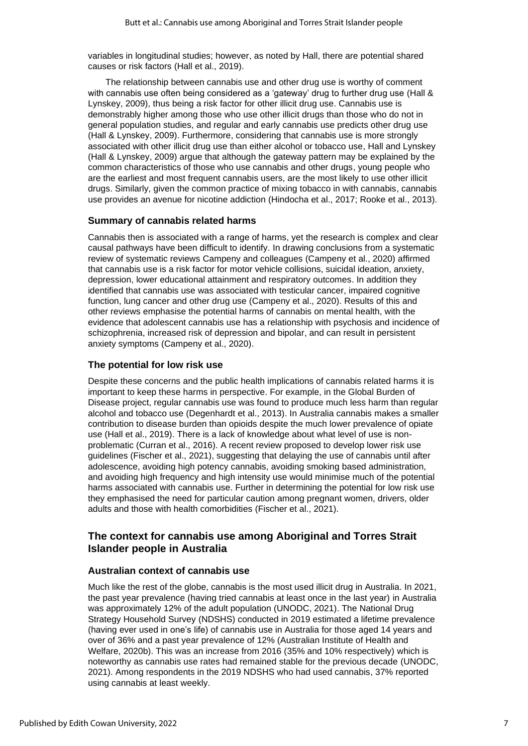variables in longitudinal studies; however, as noted by Hall, there are potential shared causes or risk factors (Hall et al., 2019).

The relationship between cannabis use and other drug use is worthy of comment with cannabis use often being considered as a 'gateway' drug to further drug use (Hall & Lynskey, 2009), thus being a risk factor for other illicit drug use. Cannabis use is demonstrably higher among those who use other illicit drugs than those who do not in general population studies, and regular and early cannabis use predicts other drug use (Hall & Lynskey, 2009). Furthermore, considering that cannabis use is more strongly associated with other illicit drug use than either alcohol or tobacco use, Hall and Lynskey (Hall & Lynskey, 2009) argue that although the gateway pattern may be explained by the common characteristics of those who use cannabis and other drugs, young people who are the earliest and most frequent cannabis users, are the most likely to use other illicit drugs. Similarly, given the common practice of mixing tobacco in with cannabis, cannabis use provides an avenue for nicotine addiction (Hindocha et al., 2017; Rooke et al., 2013).

#### **Summary of cannabis related harms**

Cannabis then is associated with a range of harms, yet the research is complex and clear causal pathways have been difficult to identify. In drawing conclusions from a systematic review of systematic reviews Campeny and colleagues (Campeny et al., 2020) affirmed that cannabis use is a risk factor for motor vehicle collisions, suicidal ideation, anxiety, depression, lower educational attainment and respiratory outcomes. In addition they identified that cannabis use was associated with testicular cancer, impaired cognitive function, lung cancer and other drug use (Campeny et al., 2020). Results of this and other reviews emphasise the potential harms of cannabis on mental health, with the evidence that adolescent cannabis use has a relationship with psychosis and incidence of schizophrenia, increased risk of depression and bipolar, and can result in persistent anxiety symptoms (Campeny et al., 2020).

#### **The potential for low risk use**

Despite these concerns and the public health implications of cannabis related harms it is important to keep these harms in perspective. For example, in the Global Burden of Disease project, regular cannabis use was found to produce much less harm than regular alcohol and tobacco use (Degenhardt et al., 2013). In Australia cannabis makes a smaller contribution to disease burden than opioids despite the much lower prevalence of opiate use (Hall et al., 2019). There is a lack of knowledge about what level of use is nonproblematic (Curran et al., 2016). A recent review proposed to develop lower risk use guidelines (Fischer et al., 2021), suggesting that delaying the use of cannabis until after adolescence, avoiding high potency cannabis, avoiding smoking based administration, and avoiding high frequency and high intensity use would minimise much of the potential harms associated with cannabis use. Further in determining the potential for low risk use they emphasised the need for particular caution among pregnant women, drivers, older adults and those with health comorbidities (Fischer et al., 2021).

## **The context for cannabis use among Aboriginal and Torres Strait Islander people in Australia**

#### **Australian context of cannabis use**

Much like the rest of the globe, cannabis is the most used illicit drug in Australia. In 2021, the past year prevalence (having tried cannabis at least once in the last year) in Australia was approximately 12% of the adult population (UNODC, 2021). The National Drug Strategy Household Survey (NDSHS) conducted in 2019 estimated a lifetime prevalence (having ever used in one's life) of cannabis use in Australia for those aged 14 years and over of 36% and a past year prevalence of 12% (Australian Institute of Health and Welfare, 2020b). This was an increase from 2016 (35% and 10% respectively) which is noteworthy as cannabis use rates had remained stable for the previous decade (UNODC, 2021). Among respondents in the 2019 NDSHS who had used cannabis, 37% reported using cannabis at least weekly.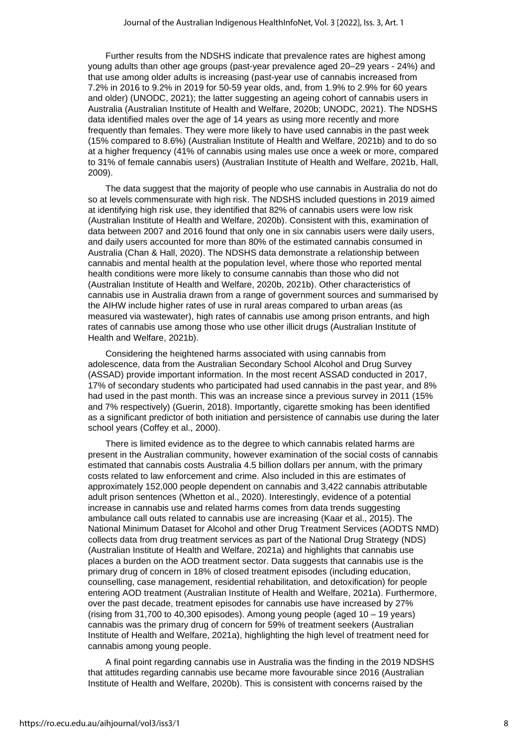Further results from the NDSHS indicate that prevalence rates are highest among young adults than other age groups (past-year prevalence aged 20–29 years - 24%) and that use among older adults is increasing (past-year use of cannabis increased from 7.2% in 2016 to 9.2% in 2019 for 50-59 year olds, and, from 1.9% to 2.9% for 60 years and older) (UNODC, 2021); the latter suggesting an ageing cohort of cannabis users in Australia (Australian Institute of Health and Welfare, 2020b; UNODC, 2021). The NDSHS data identified males over the age of 14 years as using more recently and more frequently than females. They were more likely to have used cannabis in the past week (15% compared to 8.6%) (Australian Institute of Health and Welfare, 2021b) and to do so at a higher frequency (41% of cannabis using males use once a week or more, compared to 31% of female cannabis users) (Australian Institute of Health and Welfare, 2021b, Hall, 2009).

The data suggest that the majority of people who use cannabis in Australia do not do so at levels commensurate with high risk. The NDSHS included questions in 2019 aimed at identifying high risk use, they identified that 82% of cannabis users were low risk (Australian Institute of Health and Welfare, 2020b). Consistent with this, examination of data between 2007 and 2016 found that only one in six cannabis users were daily users, and daily users accounted for more than 80% of the estimated cannabis consumed in Australia (Chan & Hall, 2020). The NDSHS data demonstrate a relationship between cannabis and mental health at the population level, where those who reported mental health conditions were more likely to consume cannabis than those who did not (Australian Institute of Health and Welfare, 2020b, 2021b). Other characteristics of cannabis use in Australia drawn from a range of government sources and summarised by the AIHW include higher rates of use in rural areas compared to urban areas (as measured via wastewater), high rates of cannabis use among prison entrants, and high rates of cannabis use among those who use other illicit drugs (Australian Institute of Health and Welfare, 2021b).

Considering the heightened harms associated with using cannabis from adolescence, data from the Australian Secondary School Alcohol and Drug Survey (ASSAD) provide important information. In the most recent ASSAD conducted in 2017, 17% of secondary students who participated had used cannabis in the past year, and 8% had used in the past month. This was an increase since a previous survey in 2011 (15% and 7% respectively) (Guerin, 2018). Importantly, cigarette smoking has been identified as a significant predictor of both initiation and persistence of cannabis use during the later school years (Coffey et al., 2000).

There is limited evidence as to the degree to which cannabis related harms are present in the Australian community, however examination of the social costs of cannabis estimated that cannabis costs Australia 4.5 billion dollars per annum, with the primary costs related to law enforcement and crime. Also included in this are estimates of approximately 152,000 people dependent on cannabis and 3,422 cannabis attributable adult prison sentences (Whetton et al., 2020). Interestingly, evidence of a potential increase in cannabis use and related harms comes from data trends suggesting ambulance call outs related to cannabis use are increasing (Kaar et al., 2015). The National Minimum Dataset for Alcohol and other Drug Treatment Services (AODTS NMD) collects data from drug treatment services as part of the National Drug Strategy (NDS) (Australian Institute of Health and Welfare, 2021a) and highlights that cannabis use places a burden on the AOD treatment sector. Data suggests that cannabis use is the primary drug of concern in 18% of closed treatment episodes (including education, counselling, case management, residential rehabilitation, and detoxification) for people entering AOD treatment (Australian Institute of Health and Welfare, 2021a). Furthermore, over the past decade, treatment episodes for cannabis use have increased by 27% (rising from 31,700 to 40,300 episodes). Among young people (aged 10 – 19 years) cannabis was the primary drug of concern for 59% of treatment seekers (Australian Institute of Health and Welfare, 2021a), highlighting the high level of treatment need for cannabis among young people.

A final point regarding cannabis use in Australia was the finding in the 2019 NDSHS that attitudes regarding cannabis use became more favourable since 2016 (Australian Institute of Health and Welfare, 2020b). This is consistent with concerns raised by the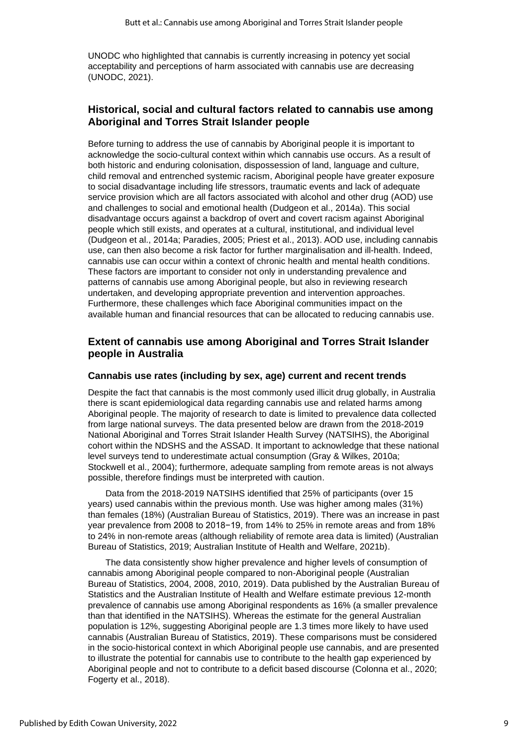UNODC who highlighted that cannabis is currently increasing in potency yet social acceptability and perceptions of harm associated with cannabis use are decreasing (UNODC, 2021).

## **Historical, social and cultural factors related to cannabis use among Aboriginal and Torres Strait Islander people**

Before turning to address the use of cannabis by Aboriginal people it is important to acknowledge the socio-cultural context within which cannabis use occurs. As a result of both historic and enduring colonisation, dispossession of land, language and culture, child removal and entrenched systemic racism, Aboriginal people have greater exposure to social disadvantage including life stressors, traumatic events and lack of adequate service provision which are all factors associated with alcohol and other drug (AOD) use and challenges to social and emotional health (Dudgeon et al., 2014a). This social disadvantage occurs against a backdrop of overt and covert racism against Aboriginal people which still exists, and operates at a cultural, institutional, and individual level (Dudgeon et al., 2014a; Paradies, 2005; Priest et al., 2013). AOD use, including cannabis use, can then also become a risk factor for further marginalisation and ill-health. Indeed, cannabis use can occur within a context of chronic health and mental health conditions. These factors are important to consider not only in understanding prevalence and patterns of cannabis use among Aboriginal people, but also in reviewing research undertaken, and developing appropriate prevention and intervention approaches. Furthermore, these challenges which face Aboriginal communities impact on the available human and financial resources that can be allocated to reducing cannabis use.

## **Extent of cannabis use among Aboriginal and Torres Strait Islander people in Australia**

#### **Cannabis use rates (including by sex, age) current and recent trends**

Despite the fact that cannabis is the most commonly used illicit drug globally, in Australia there is scant epidemiological data regarding cannabis use and related harms among Aboriginal people. The majority of research to date is limited to prevalence data collected from large national surveys. The data presented below are drawn from the 2018-2019 National Aboriginal and Torres Strait Islander Health Survey (NATSIHS), the Aboriginal cohort within the NDSHS and the ASSAD. It important to acknowledge that these national level surveys tend to underestimate actual consumption (Gray & Wilkes, 2010a; Stockwell et al., 2004); furthermore, adequate sampling from remote areas is not always possible, therefore findings must be interpreted with caution.

Data from the 2018-2019 NATSIHS identified that 25% of participants (over 15 years) used cannabis within the previous month. Use was higher among males (31%) than females (18%) (Australian Bureau of Statistics, 2019). There was an increase in past year prevalence from 2008 to 2018−19, from 14% to 25% in remote areas and from 18% to 24% in non-remote areas (although reliability of remote area data is limited) (Australian Bureau of Statistics, 2019; Australian Institute of Health and Welfare, 2021b).

The data consistently show higher prevalence and higher levels of consumption of cannabis among Aboriginal people compared to non-Aboriginal people (Australian Bureau of Statistics, 2004, 2008, 2010, 2019). Data published by the Australian Bureau of Statistics and the Australian Institute of Health and Welfare estimate previous 12-month prevalence of cannabis use among Aboriginal respondents as 16% (a smaller prevalence than that identified in the NATSIHS). Whereas the estimate for the general Australian population is 12%, suggesting Aboriginal people are 1.3 times more likely to have used cannabis (Australian Bureau of Statistics, 2019). These comparisons must be considered in the socio-historical context in which Aboriginal people use cannabis, and are presented to illustrate the potential for cannabis use to contribute to the health gap experienced by Aboriginal people and not to contribute to a deficit based discourse (Colonna et al., 2020; Fogerty et al., 2018).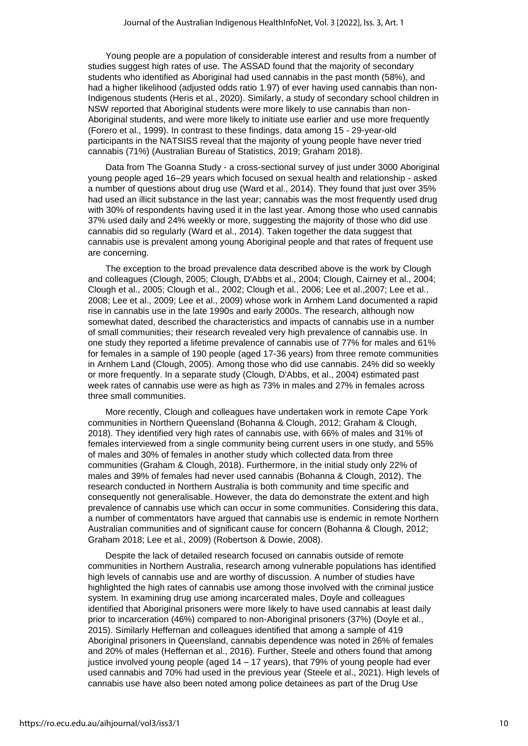Young people are a population of considerable interest and results from a number of studies suggest high rates of use. The ASSAD found that the majority of secondary students who identified as Aboriginal had used cannabis in the past month (58%), and had a higher likelihood (adjusted odds ratio 1.97) of ever having used cannabis than non-Indigenous students (Heris et al., 2020). Similarly, a study of secondary school children in NSW reported that Aboriginal students were more likely to use cannabis than non-Aboriginal students, and were more likely to initiate use earlier and use more frequently (Forero et al., 1999). In contrast to these findings, data among 15 - 29-year-old participants in the NATSISS reveal that the majority of young people have never tried cannabis (71%) (Australian Bureau of Statistics, 2019; Graham 2018).

Data from The Goanna Study - a cross-sectional survey of just under 3000 Aboriginal young people aged 16–29 years which focused on sexual health and relationship - asked a number of questions about drug use (Ward et al., 2014). They found that just over 35% had used an illicit substance in the last year; cannabis was the most frequently used drug with 30% of respondents having used it in the last year. Among those who used cannabis 37% used daily and 24% weekly or more, suggesting the majority of those who did use cannabis did so regularly (Ward et al., 2014). Taken together the data suggest that cannabis use is prevalent among young Aboriginal people and that rates of frequent use are concerning.

The exception to the broad prevalence data described above is the work by Clough and colleagues (Clough, 2005; Clough, D'Abbs et al., 2004; Clough, Cairney et al., 2004; Clough et al., 2005; Clough et al., 2002; Clough et al., 2006; Lee et al.,2007; Lee et al., 2008; Lee et al., 2009; Lee et al., 2009) whose work in Arnhem Land documented a rapid rise in cannabis use in the late 1990s and early 2000s. The research, although now somewhat dated, described the characteristics and impacts of cannabis use in a number of small communities; their research revealed very high prevalence of cannabis use. In one study they reported a lifetime prevalence of cannabis use of 77% for males and 61% for females in a sample of 190 people (aged 17-36 years) from three remote communities in Arnhem Land (Clough, 2005). Among those who did use cannabis. 24% did so weekly or more frequently. In a separate study (Clough, D'Abbs, et al., 2004) estimated past week rates of cannabis use were as high as 73% in males and 27% in females across three small communities.

More recently, Clough and colleagues have undertaken work in remote Cape York communities in Northern Queensland (Bohanna & Clough, 2012; Graham & Clough, 2018). They identified very high rates of cannabis use, with 66% of males and 31% of females interviewed from a single community being current users in one study, and 55% of males and 30% of females in another study which collected data from three communities (Graham & Clough, 2018). Furthermore, in the initial study only 22% of males and 39% of females had never used cannabis (Bohanna & Clough, 2012). The research conducted in Northern Australia is both community and time specific and consequently not generalisable. However, the data do demonstrate the extent and high prevalence of cannabis use which can occur in some communities. Considering this data, a number of commentators have argued that cannabis use is endemic in remote Northern Australian communities and of significant cause for concern (Bohanna & Clough, 2012; Graham 2018; Lee et al., 2009) (Robertson & Dowie, 2008).

Despite the lack of detailed research focused on cannabis outside of remote communities in Northern Australia, research among vulnerable populations has identified high levels of cannabis use and are worthy of discussion. A number of studies have highlighted the high rates of cannabis use among those involved with the criminal justice system. In examining drug use among incarcerated males, Doyle and colleagues identified that Aboriginal prisoners were more likely to have used cannabis at least daily prior to incarceration (46%) compared to non-Aboriginal prisoners (37%) (Doyle et al., 2015). Similarly Heffernan and colleagues identified that among a sample of 419 Aboriginal prisoners in Queensland, cannabis dependence was noted in 26% of females and 20% of males (Heffernan et al., 2016). Further, Steele and others found that among justice involved young people (aged 14 – 17 years), that 79% of young people had ever used cannabis and 70% had used in the previous year (Steele et al., 2021). High levels of cannabis use have also been noted among police detainees as part of the Drug Use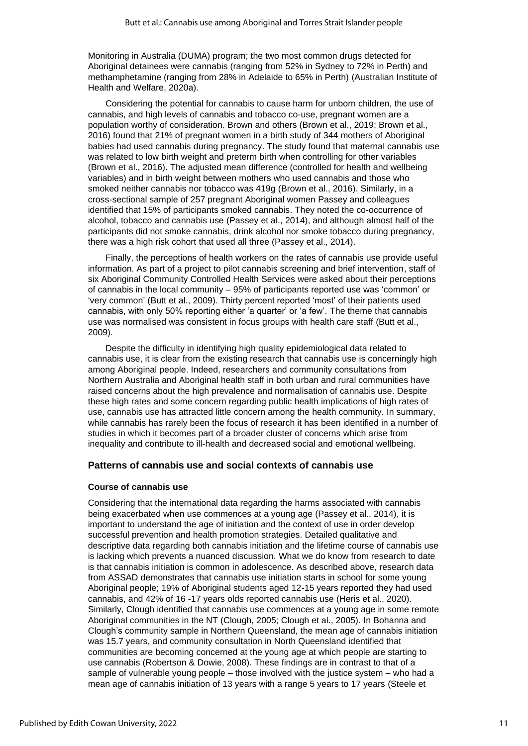Monitoring in Australia (DUMA) program; the two most common drugs detected for Aboriginal detainees were cannabis (ranging from 52% in Sydney to 72% in Perth) and methamphetamine (ranging from 28% in Adelaide to 65% in Perth) (Australian Institute of Health and Welfare, 2020a).

Considering the potential for cannabis to cause harm for unborn children, the use of cannabis, and high levels of cannabis and tobacco co-use, pregnant women are a population worthy of consideration. Brown and others (Brown et al., 2019; Brown et al., 2016) found that 21% of pregnant women in a birth study of 344 mothers of Aboriginal babies had used cannabis during pregnancy. The study found that maternal cannabis use was related to low birth weight and preterm birth when controlling for other variables (Brown et al., 2016). The adjusted mean difference (controlled for health and wellbeing variables) and in birth weight between mothers who used cannabis and those who smoked neither cannabis nor tobacco was 419g (Brown et al., 2016). Similarly, in a cross-sectional sample of 257 pregnant Aboriginal women Passey and colleagues identified that 15% of participants smoked cannabis. They noted the co-occurrence of alcohol, tobacco and cannabis use (Passey et al., 2014), and although almost half of the participants did not smoke cannabis, drink alcohol nor smoke tobacco during pregnancy, there was a high risk cohort that used all three (Passey et al., 2014).

Finally, the perceptions of health workers on the rates of cannabis use provide useful information. As part of a project to pilot cannabis screening and brief intervention, staff of six Aboriginal Community Controlled Health Services were asked about their perceptions of cannabis in the local community – 95% of participants reported use was 'common' or 'very common' (Butt et al., 2009). Thirty percent reported 'most' of their patients used cannabis, with only 50% reporting either 'a quarter' or 'a few'. The theme that cannabis use was normalised was consistent in focus groups with health care staff (Butt et al., 2009).

Despite the difficulty in identifying high quality epidemiological data related to cannabis use, it is clear from the existing research that cannabis use is concerningly high among Aboriginal people. Indeed, researchers and community consultations from Northern Australia and Aboriginal health staff in both urban and rural communities have raised concerns about the high prevalence and normalisation of cannabis use. Despite these high rates and some concern regarding public health implications of high rates of use, cannabis use has attracted little concern among the health community. In summary, while cannabis has rarely been the focus of research it has been identified in a number of studies in which it becomes part of a broader cluster of concerns which arise from inequality and contribute to ill-health and decreased social and emotional wellbeing.

#### **Patterns of cannabis use and social contexts of cannabis use**

#### **Course of cannabis use**

Considering that the international data regarding the harms associated with cannabis being exacerbated when use commences at a young age (Passey et al., 2014), it is important to understand the age of initiation and the context of use in order develop successful prevention and health promotion strategies. Detailed qualitative and descriptive data regarding both cannabis initiation and the lifetime course of cannabis use is lacking which prevents a nuanced discussion. What we do know from research to date is that cannabis initiation is common in adolescence. As described above, research data from ASSAD demonstrates that cannabis use initiation starts in school for some young Aboriginal people; 19% of Aboriginal students aged 12-15 years reported they had used cannabis, and 42% of 16 -17 years olds reported cannabis use (Heris et al., 2020). Similarly, Clough identified that cannabis use commences at a young age in some remote Aboriginal communities in the NT (Clough, 2005; Clough et al., 2005). In Bohanna and Clough's community sample in Northern Queensland, the mean age of cannabis initiation was 15.7 years, and community consultation in North Queensland identified that communities are becoming concerned at the young age at which people are starting to use cannabis (Robertson & Dowie, 2008). These findings are in contrast to that of a sample of vulnerable young people – those involved with the justice system – who had a mean age of cannabis initiation of 13 years with a range 5 years to 17 years (Steele et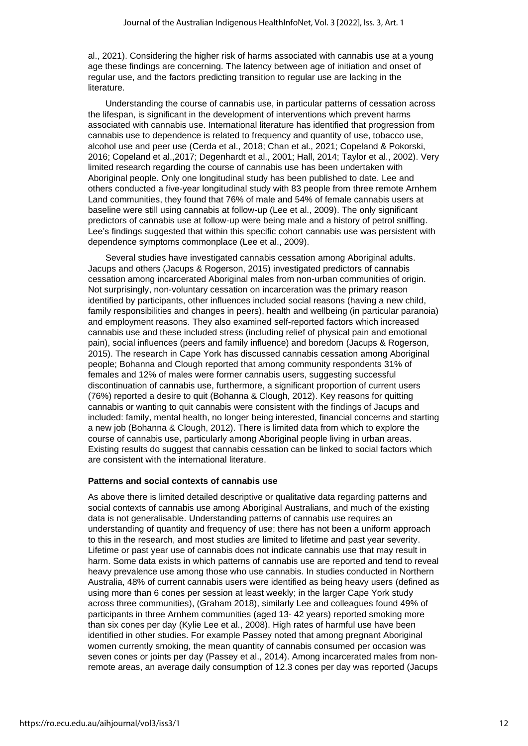al., 2021). Considering the higher risk of harms associated with cannabis use at a young age these findings are concerning. The latency between age of initiation and onset of regular use, and the factors predicting transition to regular use are lacking in the literature.

Understanding the course of cannabis use, in particular patterns of cessation across the lifespan, is significant in the development of interventions which prevent harms associated with cannabis use. International literature has identified that progression from cannabis use to dependence is related to frequency and quantity of use, tobacco use, alcohol use and peer use (Cerda et al., 2018; Chan et al., 2021; Copeland & Pokorski, 2016; Copeland et al.,2017; Degenhardt et al., 2001; Hall, 2014; Taylor et al., 2002). Very limited research regarding the course of cannabis use has been undertaken with Aboriginal people. Only one longitudinal study has been published to date. Lee and others conducted a five-year longitudinal study with 83 people from three remote Arnhem Land communities, they found that 76% of male and 54% of female cannabis users at baseline were still using cannabis at follow-up (Lee et al., 2009). The only significant predictors of cannabis use at follow-up were being male and a history of petrol sniffing. Lee's findings suggested that within this specific cohort cannabis use was persistent with dependence symptoms commonplace (Lee et al., 2009).

Several studies have investigated cannabis cessation among Aboriginal adults. Jacups and others (Jacups & Rogerson, 2015) investigated predictors of cannabis cessation among incarcerated Aboriginal males from non-urban communities of origin. Not surprisingly, non-voluntary cessation on incarceration was the primary reason identified by participants, other influences included social reasons (having a new child, family responsibilities and changes in peers), health and wellbeing (in particular paranoia) and employment reasons. They also examined self-reported factors which increased cannabis use and these included stress (including relief of physical pain and emotional pain), social influences (peers and family influence) and boredom (Jacups & Rogerson, 2015). The research in Cape York has discussed cannabis cessation among Aboriginal people; Bohanna and Clough reported that among community respondents 31% of females and 12% of males were former cannabis users, suggesting successful discontinuation of cannabis use, furthermore, a significant proportion of current users (76%) reported a desire to quit (Bohanna & Clough, 2012). Key reasons for quitting cannabis or wanting to quit cannabis were consistent with the findings of Jacups and included: family, mental health, no longer being interested, financial concerns and starting a new job (Bohanna & Clough, 2012). There is limited data from which to explore the course of cannabis use, particularly among Aboriginal people living in urban areas. Existing results do suggest that cannabis cessation can be linked to social factors which are consistent with the international literature.

#### **Patterns and social contexts of cannabis use**

As above there is limited detailed descriptive or qualitative data regarding patterns and social contexts of cannabis use among Aboriginal Australians, and much of the existing data is not generalisable. Understanding patterns of cannabis use requires an understanding of quantity and frequency of use; there has not been a uniform approach to this in the research, and most studies are limited to lifetime and past year severity. Lifetime or past year use of cannabis does not indicate cannabis use that may result in harm. Some data exists in which patterns of cannabis use are reported and tend to reveal heavy prevalence use among those who use cannabis. In studies conducted in Northern Australia, 48% of current cannabis users were identified as being heavy users (defined as using more than 6 cones per session at least weekly; in the larger Cape York study across three communities), (Graham 2018), similarly Lee and colleagues found 49% of participants in three Arnhem communities (aged 13- 42 years) reported smoking more than six cones per day (Kylie Lee et al., 2008). High rates of harmful use have been identified in other studies. For example Passey noted that among pregnant Aboriginal women currently smoking, the mean quantity of cannabis consumed per occasion was seven cones or joints per day (Passey et al., 2014). Among incarcerated males from nonremote areas, an average daily consumption of 12.3 cones per day was reported (Jacups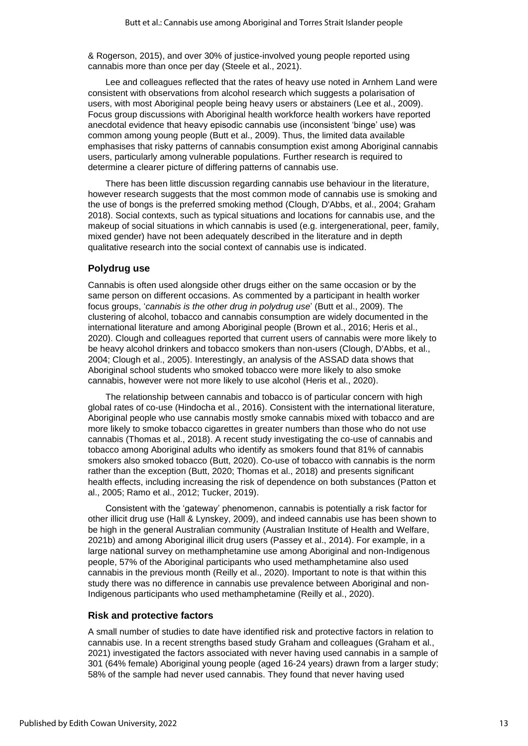& Rogerson, 2015), and over 30% of justice-involved young people reported using cannabis more than once per day (Steele et al., 2021).

Lee and colleagues reflected that the rates of heavy use noted in Arnhem Land were consistent with observations from alcohol research which suggests a polarisation of users, with most Aboriginal people being heavy users or abstainers (Lee et al., 2009). Focus group discussions with Aboriginal health workforce health workers have reported anecdotal evidence that heavy episodic cannabis use (inconsistent 'binge' use) was common among young people (Butt et al., 2009). Thus, the limited data available emphasises that risky patterns of cannabis consumption exist among Aboriginal cannabis users, particularly among vulnerable populations. Further research is required to determine a clearer picture of differing patterns of cannabis use.

There has been little discussion regarding cannabis use behaviour in the literature, however research suggests that the most common mode of cannabis use is smoking and the use of bongs is the preferred smoking method (Clough, D'Abbs, et al., 2004; Graham 2018). Social contexts, such as typical situations and locations for cannabis use, and the makeup of social situations in which cannabis is used (e.g. intergenerational, peer, family, mixed gender) have not been adequately described in the literature and in depth qualitative research into the social context of cannabis use is indicated.

#### **Polydrug use**

Cannabis is often used alongside other drugs either on the same occasion or by the same person on different occasions. As commented by a participant in health worker focus groups, '*cannabis is the other drug in polydrug use*' (Butt et al., 2009). The clustering of alcohol, tobacco and cannabis consumption are widely documented in the international literature and among Aboriginal people (Brown et al., 2016; Heris et al., 2020). Clough and colleagues reported that current users of cannabis were more likely to be heavy alcohol drinkers and tobacco smokers than non-users (Clough, D'Abbs, et al., 2004; Clough et al., 2005). Interestingly, an analysis of the ASSAD data shows that Aboriginal school students who smoked tobacco were more likely to also smoke cannabis, however were not more likely to use alcohol (Heris et al., 2020).

The relationship between cannabis and tobacco is of particular concern with high global rates of co-use (Hindocha et al., 2016). Consistent with the international literature, Aboriginal people who use cannabis mostly smoke cannabis mixed with tobacco and are more likely to smoke tobacco cigarettes in greater numbers than those who do not use cannabis (Thomas et al., 2018). A recent study investigating the co-use of cannabis and tobacco among Aboriginal adults who identify as smokers found that 81% of cannabis smokers also smoked tobacco (Butt, 2020). Co-use of tobacco with cannabis is the norm rather than the exception (Butt, 2020; Thomas et al., 2018) and presents significant health effects, including increasing the risk of dependence on both substances (Patton et al., 2005; Ramo et al., 2012; Tucker, 2019).

Consistent with the 'gateway' phenomenon, cannabis is potentially a risk factor for other illicit drug use (Hall & Lynskey, 2009), and indeed cannabis use has been shown to be high in the general Australian community (Australian Institute of Health and Welfare, 2021b) and among Aboriginal illicit drug users (Passey et al., 2014). For example, in a large national survey on methamphetamine use among Aboriginal and non-Indigenous people, 57% of the Aboriginal participants who used methamphetamine also used cannabis in the previous month (Reilly et al., 2020). Important to note is that within this study there was no difference in cannabis use prevalence between Aboriginal and non-Indigenous participants who used methamphetamine (Reilly et al., 2020).

#### **Risk and protective factors**

A small number of studies to date have identified risk and protective factors in relation to cannabis use. In a recent strengths based study Graham and colleagues (Graham et al., 2021) investigated the factors associated with never having used cannabis in a sample of 301 (64% female) Aboriginal young people (aged 16-24 years) drawn from a larger study; 58% of the sample had never used cannabis. They found that never having used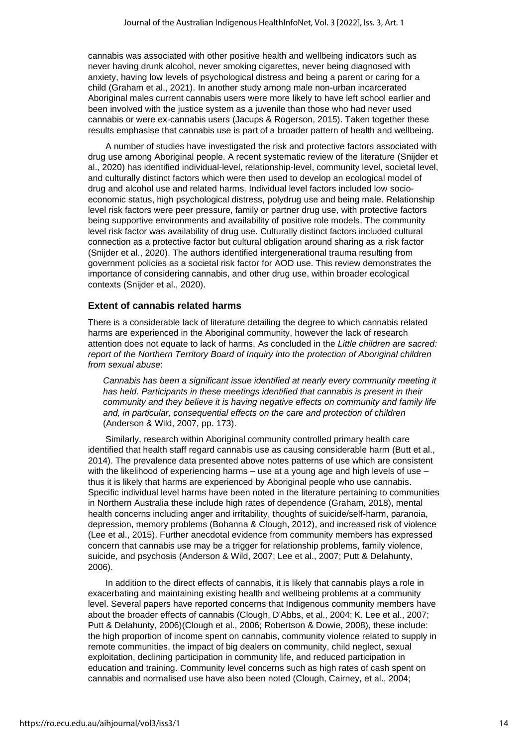cannabis was associated with other positive health and wellbeing indicators such as never having drunk alcohol, never smoking cigarettes, never being diagnosed with anxiety, having low levels of psychological distress and being a parent or caring for a child (Graham et al., 2021). In another study among male non-urban incarcerated Aboriginal males current cannabis users were more likely to have left school earlier and been involved with the justice system as a juvenile than those who had never used cannabis or were ex-cannabis users (Jacups & Rogerson, 2015). Taken together these results emphasise that cannabis use is part of a broader pattern of health and wellbeing.

A number of studies have investigated the risk and protective factors associated with drug use among Aboriginal people. A recent systematic review of the literature (Snijder et al., 2020) has identified individual-level, relationship-level, community level, societal level, and culturally distinct factors which were then used to develop an ecological model of drug and alcohol use and related harms. Individual level factors included low socioeconomic status, high psychological distress, polydrug use and being male. Relationship level risk factors were peer pressure, family or partner drug use, with protective factors being supportive environments and availability of positive role models. The community level risk factor was availability of drug use. Culturally distinct factors included cultural connection as a protective factor but cultural obligation around sharing as a risk factor (Snijder et al., 2020). The authors identified intergenerational trauma resulting from government policies as a societal risk factor for AOD use. This review demonstrates the importance of considering cannabis, and other drug use, within broader ecological contexts (Snijder et al., 2020).

#### **Extent of cannabis related harms**

There is a considerable lack of literature detailing the degree to which cannabis related harms are experienced in the Aboriginal community, however the lack of research attention does not equate to lack of harms. As concluded in the *Little children are sacred: report of the Northern Territory Board of Inquiry into the protection of Aboriginal children from sexual abuse*:

Cannabis has been a significant issue identified at nearly every community meeting it *has held. Participants in these meetings identified that cannabis is present in their community and they believe it is having negative effects on community and family life and, in particular, consequential effects on the care and protection of children*  (Anderson & Wild, 2007, pp. 173).

Similarly, research within Aboriginal community controlled primary health care identified that health staff regard cannabis use as causing considerable harm (Butt et al., 2014). The prevalence data presented above notes patterns of use which are consistent with the likelihood of experiencing harms  $-$  use at a young age and high levels of use  $$ thus it is likely that harms are experienced by Aboriginal people who use cannabis. Specific individual level harms have been noted in the literature pertaining to communities in Northern Australia these include high rates of dependence (Graham, 2018), mental health concerns including anger and irritability, thoughts of suicide/self-harm, paranoia, depression, memory problems (Bohanna & Clough, 2012), and increased risk of violence (Lee et al., 2015). Further anecdotal evidence from community members has expressed concern that cannabis use may be a trigger for relationship problems, family violence, suicide, and psychosis (Anderson & Wild, 2007; Lee et al., 2007; Putt & Delahunty, 2006).

In addition to the direct effects of cannabis, it is likely that cannabis plays a role in exacerbating and maintaining existing health and wellbeing problems at a community level. Several papers have reported concerns that Indigenous community members have about the broader effects of cannabis (Clough, D'Abbs, et al., 2004; K. Lee et al., 2007; Putt & Delahunty, 2006)(Clough et al., 2006; Robertson & Dowie, 2008), these include: the high proportion of income spent on cannabis, community violence related to supply in remote communities, the impact of big dealers on community, child neglect, sexual exploitation, declining participation in community life, and reduced participation in education and training. Community level concerns such as high rates of cash spent on cannabis and normalised use have also been noted (Clough, Cairney, et al., 2004;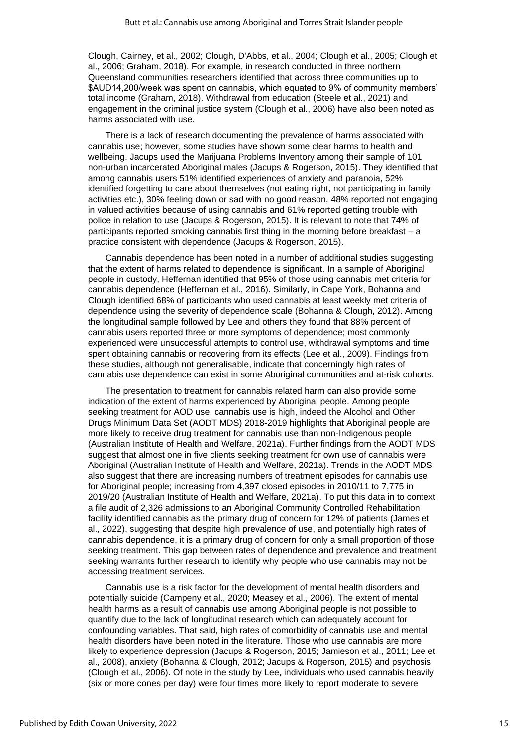Clough, Cairney, et al., 2002; Clough, D'Abbs, et al., 2004; Clough et al., 2005; Clough et al., 2006; Graham, 2018). For example, in research conducted in three northern Queensland communities researchers identified that across three communities up to \$AUD14,200/week was spent on cannabis, which equated to 9% of community members' total income (Graham, 2018). Withdrawal from education (Steele et al., 2021) and engagement in the criminal justice system (Clough et al., 2006) have also been noted as harms associated with use.

There is a lack of research documenting the prevalence of harms associated with cannabis use; however, some studies have shown some clear harms to health and wellbeing. Jacups used the Marijuana Problems Inventory among their sample of 101 non-urban incarcerated Aboriginal males (Jacups & Rogerson, 2015). They identified that among cannabis users 51% identified experiences of anxiety and paranoia, 52% identified forgetting to care about themselves (not eating right, not participating in family activities etc.), 30% feeling down or sad with no good reason, 48% reported not engaging in valued activities because of using cannabis and 61% reported getting trouble with police in relation to use (Jacups & Rogerson, 2015). It is relevant to note that 74% of participants reported smoking cannabis first thing in the morning before breakfast – a practice consistent with dependence (Jacups & Rogerson, 2015).

Cannabis dependence has been noted in a number of additional studies suggesting that the extent of harms related to dependence is significant. In a sample of Aboriginal people in custody, Heffernan identified that 95% of those using cannabis met criteria for cannabis dependence (Heffernan et al., 2016). Similarly, in Cape York, Bohanna and Clough identified 68% of participants who used cannabis at least weekly met criteria of dependence using the severity of dependence scale (Bohanna & Clough, 2012). Among the longitudinal sample followed by Lee and others they found that 88% percent of cannabis users reported three or more symptoms of dependence; most commonly experienced were unsuccessful attempts to control use, withdrawal symptoms and time spent obtaining cannabis or recovering from its effects (Lee et al., 2009). Findings from these studies, although not generalisable, indicate that concerningly high rates of cannabis use dependence can exist in some Aboriginal communities and at-risk cohorts.

The presentation to treatment for cannabis related harm can also provide some indication of the extent of harms experienced by Aboriginal people. Among people seeking treatment for AOD use, cannabis use is high, indeed the Alcohol and Other Drugs Minimum Data Set (AODT MDS) 2018-2019 highlights that Aboriginal people are more likely to receive drug treatment for cannabis use than non-Indigenous people (Australian Institute of Health and Welfare, 2021a). Further findings from the AODT MDS suggest that almost one in five clients seeking treatment for own use of cannabis were Aboriginal (Australian Institute of Health and Welfare, 2021a). Trends in the AODT MDS also suggest that there are increasing numbers of treatment episodes for cannabis use for Aboriginal people; increasing from 4,397 closed episodes in 2010/11 to 7,775 in 2019/20 (Australian Institute of Health and Welfare, 2021a). To put this data in to context a file audit of 2,326 admissions to an Aboriginal Community Controlled Rehabilitation facility identified cannabis as the primary drug of concern for 12% of patients (James et al., 2022), suggesting that despite high prevalence of use, and potentially high rates of cannabis dependence, it is a primary drug of concern for only a small proportion of those seeking treatment. This gap between rates of dependence and prevalence and treatment seeking warrants further research to identify why people who use cannabis may not be accessing treatment services.

Cannabis use is a risk factor for the development of mental health disorders and potentially suicide (Campeny et al., 2020; Measey et al., 2006). The extent of mental health harms as a result of cannabis use among Aboriginal people is not possible to quantify due to the lack of longitudinal research which can adequately account for confounding variables. That said, high rates of comorbidity of cannabis use and mental health disorders have been noted in the literature. Those who use cannabis are more likely to experience depression (Jacups & Rogerson, 2015; Jamieson et al., 2011; Lee et al., 2008), anxiety (Bohanna & Clough, 2012; Jacups & Rogerson, 2015) and psychosis (Clough et al., 2006). Of note in the study by Lee, individuals who used cannabis heavily (six or more cones per day) were four times more likely to report moderate to severe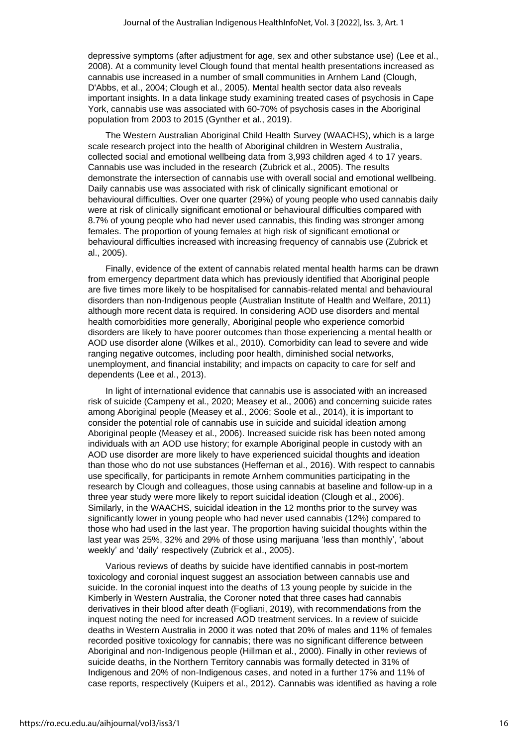depressive symptoms (after adjustment for age, sex and other substance use) (Lee et al., 2008). At a community level Clough found that mental health presentations increased as cannabis use increased in a number of small communities in Arnhem Land (Clough, D'Abbs, et al., 2004; Clough et al., 2005). Mental health sector data also reveals important insights. In a data linkage study examining treated cases of psychosis in Cape York, cannabis use was associated with 60-70% of psychosis cases in the Aboriginal population from 2003 to 2015 (Gynther et al., 2019).

The Western Australian Aboriginal Child Health Survey (WAACHS), which is a large scale research project into the health of Aboriginal children in Western Australia, collected social and emotional wellbeing data from 3,993 children aged 4 to 17 years. Cannabis use was included in the research (Zubrick et al., 2005). The results demonstrate the intersection of cannabis use with overall social and emotional wellbeing. Daily cannabis use was associated with risk of clinically significant emotional or behavioural difficulties. Over one quarter (29%) of young people who used cannabis daily were at risk of clinically significant emotional or behavioural difficulties compared with 8.7% of young people who had never used cannabis, this finding was stronger among females. The proportion of young females at high risk of significant emotional or behavioural difficulties increased with increasing frequency of cannabis use (Zubrick et al., 2005).

Finally, evidence of the extent of cannabis related mental health harms can be drawn from emergency department data which has previously identified that Aboriginal people are five times more likely to be hospitalised for cannabis-related mental and behavioural disorders than non-Indigenous people (Australian Institute of Health and Welfare, 2011) although more recent data is required. In considering AOD use disorders and mental health comorbidities more generally, Aboriginal people who experience comorbid disorders are likely to have poorer outcomes than those experiencing a mental health or AOD use disorder alone (Wilkes et al., 2010). Comorbidity can lead to severe and wide ranging negative outcomes, including poor health, diminished social networks, unemployment, and financial instability; and impacts on capacity to care for self and dependents (Lee et al., 2013).

In light of international evidence that cannabis use is associated with an increased risk of suicide (Campeny et al., 2020; Measey et al., 2006) and concerning suicide rates among Aboriginal people (Measey et al., 2006; Soole et al., 2014), it is important to consider the potential role of cannabis use in suicide and suicidal ideation among Aboriginal people (Measey et al., 2006). Increased suicide risk has been noted among individuals with an AOD use history; for example Aboriginal people in custody with an AOD use disorder are more likely to have experienced suicidal thoughts and ideation than those who do not use substances (Heffernan et al., 2016). With respect to cannabis use specifically, for participants in remote Arnhem communities participating in the research by Clough and colleagues, those using cannabis at baseline and follow-up in a three year study were more likely to report suicidal ideation (Clough et al., 2006). Similarly, in the WAACHS, suicidal ideation in the 12 months prior to the survey was significantly lower in young people who had never used cannabis (12%) compared to those who had used in the last year. The proportion having suicidal thoughts within the last year was 25%, 32% and 29% of those using marijuana 'less than monthly', 'about weekly' and 'daily' respectively (Zubrick et al., 2005).

Various reviews of deaths by suicide have identified cannabis in post-mortem toxicology and coronial inquest suggest an association between cannabis use and suicide. In the coronial inquest into the deaths of 13 young people by suicide in the Kimberly in Western Australia, the Coroner noted that three cases had cannabis derivatives in their blood after death (Fogliani, 2019), with recommendations from the inquest noting the need for increased AOD treatment services. In a review of suicide deaths in Western Australia in 2000 it was noted that 20% of males and 11% of females recorded positive toxicology for cannabis; there was no significant difference between Aboriginal and non-Indigenous people (Hillman et al., 2000). Finally in other reviews of suicide deaths, in the Northern Territory cannabis was formally detected in 31% of Indigenous and 20% of non-Indigenous cases, and noted in a further 17% and 11% of case reports, respectively (Kuipers et al., 2012). Cannabis was identified as having a role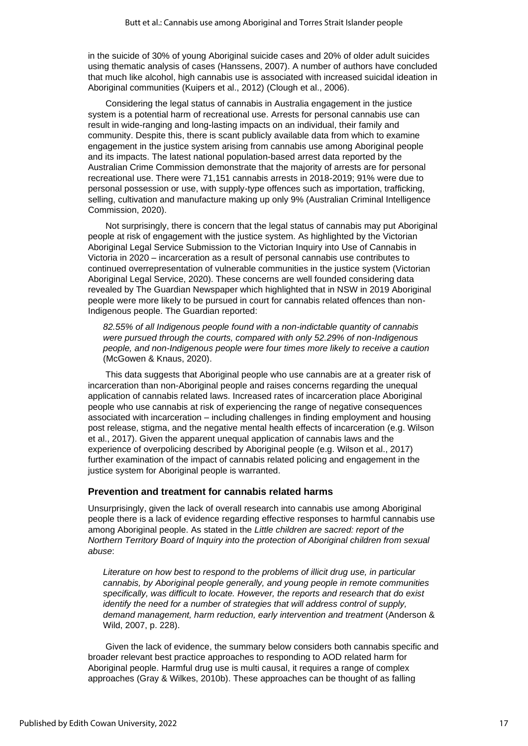in the suicide of 30% of young Aboriginal suicide cases and 20% of older adult suicides using thematic analysis of cases (Hanssens, 2007). A number of authors have concluded that much like alcohol, high cannabis use is associated with increased suicidal ideation in Aboriginal communities (Kuipers et al., 2012) (Clough et al., 2006).

Considering the legal status of cannabis in Australia engagement in the justice system is a potential harm of recreational use. Arrests for personal cannabis use can result in wide-ranging and long-lasting impacts on an individual, their family and community. Despite this, there is scant publicly available data from which to examine engagement in the justice system arising from cannabis use among Aboriginal people and its impacts. The latest national population-based arrest data reported by the Australian Crime Commission demonstrate that the majority of arrests are for personal recreational use. There were 71,151 cannabis arrests in 2018-2019; 91% were due to personal possession or use, with supply-type offences such as importation, trafficking, selling, cultivation and manufacture making up only 9% (Australian Criminal Intelligence Commission, 2020).

Not surprisingly, there is concern that the legal status of cannabis may put Aboriginal people at risk of engagement with the justice system. As highlighted by the Victorian Aboriginal Legal Service Submission to the Victorian Inquiry into Use of Cannabis in Victoria in 2020 – incarceration as a result of personal cannabis use contributes to continued overrepresentation of vulnerable communities in the justice system (Victorian Aboriginal Legal Service, 2020). These concerns are well founded considering data revealed by The Guardian Newspaper which highlighted that in NSW in 2019 Aboriginal people were more likely to be pursued in court for cannabis related offences than non-Indigenous people. The Guardian reported:

*82.55% of all Indigenous people found with a non-indictable quantity of cannabis were pursued through the courts, compared with only 52.29% of non-Indigenous people, and non-Indigenous people were four times more likely to receive a caution* (McGowen & Knaus, 2020).

This data suggests that Aboriginal people who use cannabis are at a greater risk of incarceration than non-Aboriginal people and raises concerns regarding the unequal application of cannabis related laws. Increased rates of incarceration place Aboriginal people who use cannabis at risk of experiencing the range of negative consequences associated with incarceration – including challenges in finding employment and housing post release, stigma, and the negative mental health effects of incarceration (e.g. Wilson et al., 2017). Given the apparent unequal application of cannabis laws and the experience of overpolicing described by Aboriginal people (e.g. Wilson et al., 2017) further examination of the impact of cannabis related policing and engagement in the justice system for Aboriginal people is warranted.

#### **Prevention and treatment for cannabis related harms**

Unsurprisingly, given the lack of overall research into cannabis use among Aboriginal people there is a lack of evidence regarding effective responses to harmful cannabis use among Aboriginal people. As stated in the *Little children are sacred: report of the Northern Territory Board of Inquiry into the protection of Aboriginal children from sexual abuse*:

*Literature on how best to respond to the problems of illicit drug use, in particular cannabis, by Aboriginal people generally, and young people in remote communities specifically, was difficult to locate. However, the reports and research that do exist identify the need for a number of strategies that will address control of supply, demand management, harm reduction, early intervention and treatment* (Anderson & Wild, 2007, p. 228).

Given the lack of evidence, the summary below considers both cannabis specific and broader relevant best practice approaches to responding to AOD related harm for Aboriginal people. Harmful drug use is multi causal, it requires a range of complex approaches (Gray & Wilkes, 2010b). These approaches can be thought of as falling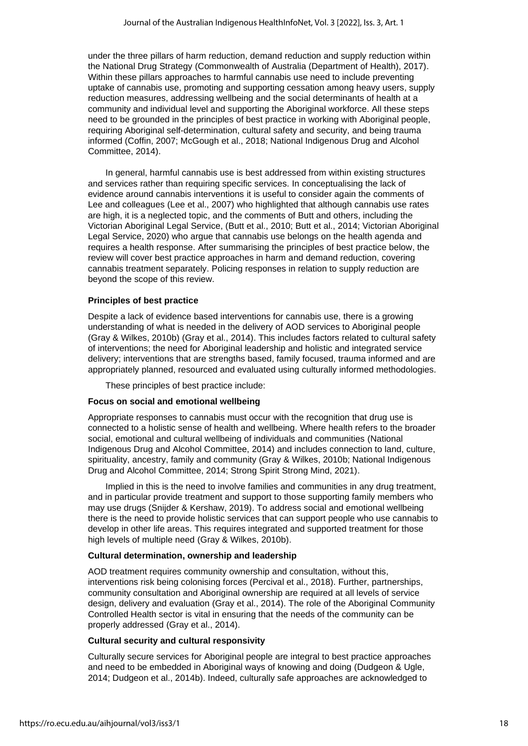under the three pillars of harm reduction, demand reduction and supply reduction within the National Drug Strategy (Commonwealth of Australia (Department of Health), 2017). Within these pillars approaches to harmful cannabis use need to include preventing uptake of cannabis use, promoting and supporting cessation among heavy users, supply reduction measures, addressing wellbeing and the social determinants of health at a community and individual level and supporting the Aboriginal workforce. All these steps need to be grounded in the principles of best practice in working with Aboriginal people, requiring Aboriginal self-determination, cultural safety and security, and being trauma informed (Coffin, 2007; McGough et al., 2018; National Indigenous Drug and Alcohol Committee, 2014).

In general, harmful cannabis use is best addressed from within existing structures and services rather than requiring specific services. In conceptualising the lack of evidence around cannabis interventions it is useful to consider again the comments of Lee and colleagues (Lee et al., 2007) who highlighted that although cannabis use rates are high, it is a neglected topic, and the comments of Butt and others, including the Victorian Aboriginal Legal Service, (Butt et al., 2010; Butt et al., 2014; Victorian Aboriginal Legal Service, 2020) who argue that cannabis use belongs on the health agenda and requires a health response. After summarising the principles of best practice below, the review will cover best practice approaches in harm and demand reduction, covering cannabis treatment separately. Policing responses in relation to supply reduction are beyond the scope of this review.

#### **Principles of best practice**

Despite a lack of evidence based interventions for cannabis use, there is a growing understanding of what is needed in the delivery of AOD services to Aboriginal people (Gray & Wilkes, 2010b) (Gray et al., 2014). This includes factors related to cultural safety of interventions; the need for Aboriginal leadership and holistic and integrated service delivery; interventions that are strengths based, family focused, trauma informed and are appropriately planned, resourced and evaluated using culturally informed methodologies.

These principles of best practice include:

#### **Focus on social and emotional wellbeing**

Appropriate responses to cannabis must occur with the recognition that drug use is connected to a holistic sense of health and wellbeing. Where health refers to the broader social, emotional and cultural wellbeing of individuals and communities (National Indigenous Drug and Alcohol Committee, 2014) and includes connection to land, culture, spirituality, ancestry, family and community (Gray & Wilkes, 2010b; National Indigenous Drug and Alcohol Committee, 2014; Strong Spirit Strong Mind, 2021).

Implied in this is the need to involve families and communities in any drug treatment, and in particular provide treatment and support to those supporting family members who may use drugs (Snijder & Kershaw, 2019). To address social and emotional wellbeing there is the need to provide holistic services that can support people who use cannabis to develop in other life areas. This requires integrated and supported treatment for those high levels of multiple need (Gray & Wilkes, 2010b).

#### **Cultural determination, ownership and leadership**

AOD treatment requires community ownership and consultation, without this, interventions risk being colonising forces (Percival et al., 2018). Further, partnerships, community consultation and Aboriginal ownership are required at all levels of service design, delivery and evaluation (Gray et al., 2014). The role of the Aboriginal Community Controlled Health sector is vital in ensuring that the needs of the community can be properly addressed (Gray et al., 2014).

#### **Cultural security and cultural responsivity**

Culturally secure services for Aboriginal people are integral to best practice approaches and need to be embedded in Aboriginal ways of knowing and doing (Dudgeon & Ugle, 2014; Dudgeon et al., 2014b). Indeed, culturally safe approaches are acknowledged to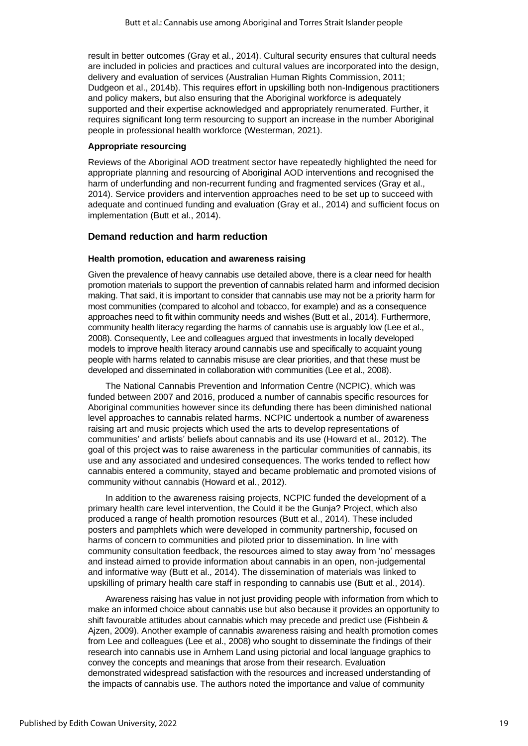result in better outcomes (Gray et al., 2014). Cultural security ensures that cultural needs are included in policies and practices and cultural values are incorporated into the design, delivery and evaluation of services (Australian Human Rights Commission, 2011; Dudgeon et al., 2014b). This requires effort in upskilling both non-Indigenous practitioners and policy makers, but also ensuring that the Aboriginal workforce is adequately supported and their expertise acknowledged and appropriately renumerated. Further, it requires significant long term resourcing to support an increase in the number Aboriginal people in professional health workforce (Westerman, 2021).

#### **Appropriate resourcing**

Reviews of the Aboriginal AOD treatment sector have repeatedly highlighted the need for appropriate planning and resourcing of Aboriginal AOD interventions and recognised the harm of underfunding and non-recurrent funding and fragmented services (Gray et al., 2014). Service providers and intervention approaches need to be set up to succeed with adequate and continued funding and evaluation (Gray et al., 2014) and sufficient focus on implementation (Butt et al., 2014).

#### **Demand reduction and harm reduction**

#### **Health promotion, education and awareness raising**

Given the prevalence of heavy cannabis use detailed above, there is a clear need for health promotion materials to support the prevention of cannabis related harm and informed decision making. That said, it is important to consider that cannabis use may not be a priority harm for most communities (compared to alcohol and tobacco, for example) and as a consequence approaches need to fit within community needs and wishes (Butt et al., 2014). Furthermore, community health literacy regarding the harms of cannabis use is arguably low (Lee et al., 2008). Consequently, Lee and colleagues argued that investments in locally developed models to improve health literacy around cannabis use and specifically to acquaint young people with harms related to cannabis misuse are clear priorities, and that these must be developed and disseminated in collaboration with communities (Lee et al., 2008).

The National Cannabis Prevention and Information Centre (NCPIC), which was funded between 2007 and 2016, produced a number of cannabis specific resources for Aboriginal communities however since its defunding there has been diminished national level approaches to cannabis related harms. NCPIC undertook a number of awareness raising art and music projects which used the arts to develop representations of communities' and artists' beliefs about cannabis and its use (Howard et al., 2012). The goal of this project was to raise awareness in the particular communities of cannabis, its use and any associated and undesired consequences. The works tended to reflect how cannabis entered a community, stayed and became problematic and promoted visions of community without cannabis (Howard et al., 2012).

In addition to the awareness raising projects, NCPIC funded the development of a primary health care level intervention, the Could it be the Gunja? Project, which also produced a range of health promotion resources (Butt et al., 2014). These included posters and pamphlets which were developed in community partnership, focused on harms of concern to communities and piloted prior to dissemination. In line with community consultation feedback, the resources aimed to stay away from 'no' messages and instead aimed to provide information about cannabis in an open, non-judgemental and informative way (Butt et al., 2014). The dissemination of materials was linked to upskilling of primary health care staff in responding to cannabis use (Butt et al., 2014).

Awareness raising has value in not just providing people with information from which to make an informed choice about cannabis use but also because it provides an opportunity to shift favourable attitudes about cannabis which may precede and predict use (Fishbein & Ajzen, 2009). Another example of cannabis awareness raising and health promotion comes from Lee and colleagues (Lee et al., 2008) who sought to disseminate the findings of their research into cannabis use in Arnhem Land using pictorial and local language graphics to convey the concepts and meanings that arose from their research. Evaluation demonstrated widespread satisfaction with the resources and increased understanding of the impacts of cannabis use. The authors noted the importance and value of community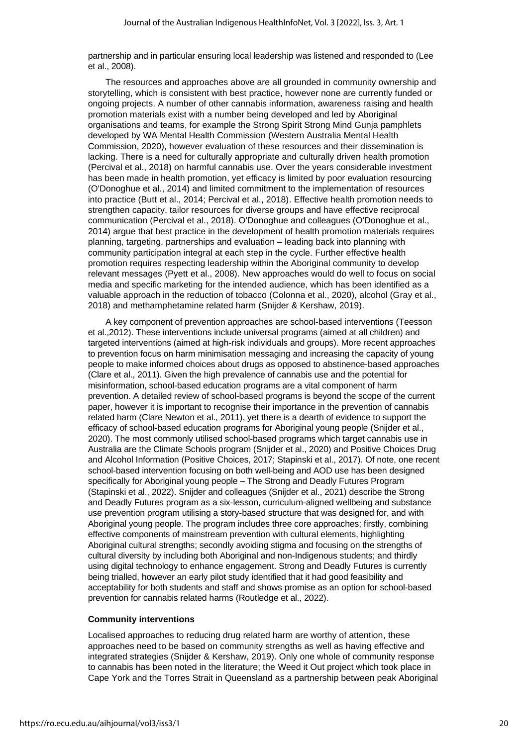partnership and in particular ensuring local leadership was listened and responded to (Lee et al., 2008).

The resources and approaches above are all grounded in community ownership and storytelling, which is consistent with best practice, however none are currently funded or ongoing projects. A number of other cannabis information, awareness raising and health promotion materials exist with a number being developed and led by Aboriginal organisations and teams, for example the Strong Spirit Strong Mind Gunja pamphlets developed by WA Mental Health Commission (Western Australia Mental Health Commission, 2020), however evaluation of these resources and their dissemination is lacking. There is a need for culturally appropriate and culturally driven health promotion (Percival et al., 2018) on harmful cannabis use. Over the years considerable investment has been made in health promotion, yet efficacy is limited by poor evaluation resourcing (O'Donoghue et al., 2014) and limited commitment to the implementation of resources into practice (Butt et al., 2014; Percival et al., 2018). Effective health promotion needs to strengthen capacity, tailor resources for diverse groups and have effective reciprocal communication (Percival et al., 2018). O'Donoghue and colleagues (O'Donoghue et al., 2014) argue that best practice in the development of health promotion materials requires planning, targeting, partnerships and evaluation – leading back into planning with community participation integral at each step in the cycle. Further effective health promotion requires respecting leadership within the Aboriginal community to develop relevant messages (Pyett et al., 2008). New approaches would do well to focus on social media and specific marketing for the intended audience, which has been identified as a valuable approach in the reduction of tobacco (Colonna et al., 2020), alcohol (Gray et al., 2018) and methamphetamine related harm (Snijder & Kershaw, 2019).

A key component of prevention approaches are school-based interventions (Teesson et al.,2012). These interventions include universal programs (aimed at all children) and targeted interventions (aimed at high-risk individuals and groups). More recent approaches to prevention focus on harm minimisation messaging and increasing the capacity of young people to make informed choices about drugs as opposed to abstinence-based approaches (Clare et al., 2011). Given the high prevalence of cannabis use and the potential for misinformation, school-based education programs are a vital component of harm prevention. A detailed review of school-based programs is beyond the scope of the current paper, however it is important to recognise their importance in the prevention of cannabis related harm (Clare Newton et al., 2011), yet there is a dearth of evidence to support the efficacy of school-based education programs for Aboriginal young people (Snijder et al., 2020). The most commonly utilised school-based programs which target cannabis use in Australia are the Climate Schools program (Snijder et al., 2020) and Positive Choices Drug and Alcohol Information (Positive Choices, 2017; Stapinski et al., 2017). Of note, one recent school-based intervention focusing on both well-being and AOD use has been designed specifically for Aboriginal young people – The Strong and Deadly Futures Program (Stapinski et al., 2022). Snijder and colleagues (Snijder et al., 2021) describe the Strong and Deadly Futures program as a six-lesson, curriculum-aligned wellbeing and substance use prevention program utilising a story-based structure that was designed for, and with Aboriginal young people. The program includes three core approaches; firstly, combining effective components of mainstream prevention with cultural elements, highlighting Aboriginal cultural strengths; secondly avoiding stigma and focusing on the strengths of cultural diversity by including both Aboriginal and non-Indigenous students; and thirdly using digital technology to enhance engagement. Strong and Deadly Futures is currently being trialled, however an early pilot study identified that it had good feasibility and acceptability for both students and staff and shows promise as an option for school-based prevention for cannabis related harms (Routledge et al., 2022).

#### **Community interventions**

Localised approaches to reducing drug related harm are worthy of attention, these approaches need to be based on community strengths as well as having effective and integrated strategies (Snijder & Kershaw, 2019). Only one whole of community response to cannabis has been noted in the literature; the Weed it Out project which took place in Cape York and the Torres Strait in Queensland as a partnership between peak Aboriginal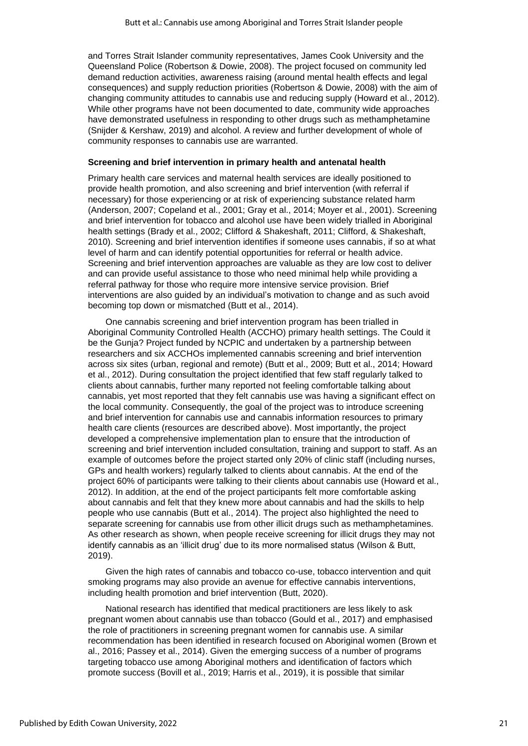and Torres Strait Islander community representatives, James Cook University and the Queensland Police (Robertson & Dowie, 2008). The project focused on community led demand reduction activities, awareness raising (around mental health effects and legal consequences) and supply reduction priorities (Robertson & Dowie, 2008) with the aim of changing community attitudes to cannabis use and reducing supply (Howard et al., 2012). While other programs have not been documented to date, community wide approaches have demonstrated usefulness in responding to other drugs such as methamphetamine (Snijder & Kershaw, 2019) and alcohol. A review and further development of whole of community responses to cannabis use are warranted.

#### **Screening and brief intervention in primary health and antenatal health**

Primary health care services and maternal health services are ideally positioned to provide health promotion, and also screening and brief intervention (with referral if necessary) for those experiencing or at risk of experiencing substance related harm (Anderson, 2007; Copeland et al., 2001; Gray et al., 2014; Moyer et al., 2001). Screening and brief intervention for tobacco and alcohol use have been widely trialled in Aboriginal health settings (Brady et al., 2002; Clifford & Shakeshaft, 2011; Clifford, & Shakeshaft, 2010). Screening and brief intervention identifies if someone uses cannabis, if so at what level of harm and can identify potential opportunities for referral or health advice. Screening and brief intervention approaches are valuable as they are low cost to deliver and can provide useful assistance to those who need minimal help while providing a referral pathway for those who require more intensive service provision. Brief interventions are also guided by an individual's motivation to change and as such avoid becoming top down or mismatched (Butt et al., 2014).

One cannabis screening and brief intervention program has been trialled in Aboriginal Community Controlled Health (ACCHO) primary health settings. The Could it be the Gunja? Project funded by NCPIC and undertaken by a partnership between researchers and six ACCHOs implemented cannabis screening and brief intervention across six sites (urban, regional and remote) (Butt et al., 2009; Butt et al., 2014; Howard et al., 2012). During consultation the project identified that few staff regularly talked to clients about cannabis, further many reported not feeling comfortable talking about cannabis, yet most reported that they felt cannabis use was having a significant effect on the local community. Consequently, the goal of the project was to introduce screening and brief intervention for cannabis use and cannabis information resources to primary health care clients (resources are described above). Most importantly, the project developed a comprehensive implementation plan to ensure that the introduction of screening and brief intervention included consultation, training and support to staff. As an example of outcomes before the project started only 20% of clinic staff (including nurses, GPs and health workers) regularly talked to clients about cannabis. At the end of the project 60% of participants were talking to their clients about cannabis use (Howard et al., 2012). In addition, at the end of the project participants felt more comfortable asking about cannabis and felt that they knew more about cannabis and had the skills to help people who use cannabis (Butt et al., 2014). The project also highlighted the need to separate screening for cannabis use from other illicit drugs such as methamphetamines. As other research as shown, when people receive screening for illicit drugs they may not identify cannabis as an 'illicit drug' due to its more normalised status (Wilson & Butt, 2019).

Given the high rates of cannabis and tobacco co-use, tobacco intervention and quit smoking programs may also provide an avenue for effective cannabis interventions, including health promotion and brief intervention (Butt, 2020).

National research has identified that medical practitioners are less likely to ask pregnant women about cannabis use than tobacco (Gould et al., 2017) and emphasised the role of practitioners in screening pregnant women for cannabis use. A similar recommendation has been identified in research focused on Aboriginal women (Brown et al., 2016; Passey et al., 2014). Given the emerging success of a number of programs targeting tobacco use among Aboriginal mothers and identification of factors which promote success (Bovill et al., 2019; Harris et al., 2019), it is possible that similar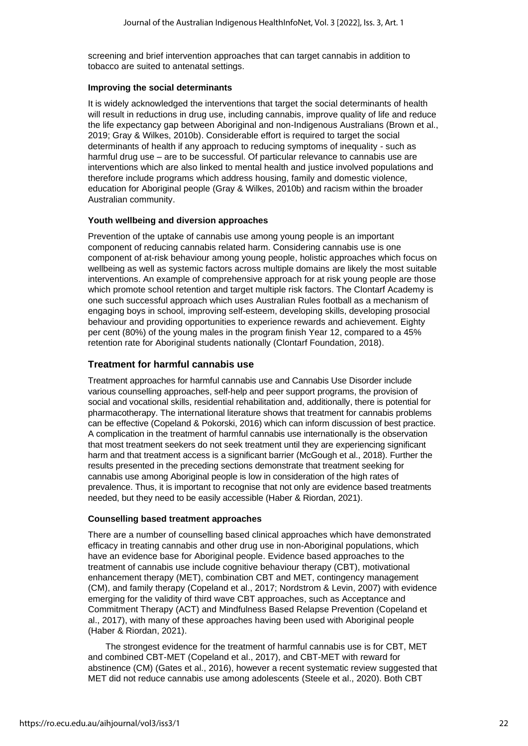screening and brief intervention approaches that can target cannabis in addition to tobacco are suited to antenatal settings.

#### **Improving the social determinants**

It is widely acknowledged the interventions that target the social determinants of health will result in reductions in drug use, including cannabis, improve quality of life and reduce the life expectancy gap between Aboriginal and non-Indigenous Australians (Brown et al., 2019; Gray & Wilkes, 2010b). Considerable effort is required to target the social determinants of health if any approach to reducing symptoms of inequality - such as harmful drug use – are to be successful. Of particular relevance to cannabis use are interventions which are also linked to mental health and justice involved populations and therefore include programs which address housing, family and domestic violence, education for Aboriginal people (Gray & Wilkes, 2010b) and racism within the broader Australian community.

#### **Youth wellbeing and diversion approaches**

Prevention of the uptake of cannabis use among young people is an important component of reducing cannabis related harm. Considering cannabis use is one component of at-risk behaviour among young people, holistic approaches which focus on wellbeing as well as systemic factors across multiple domains are likely the most suitable interventions. An example of comprehensive approach for at risk young people are those which promote school retention and target multiple risk factors. The Clontarf Academy is one such successful approach which uses Australian Rules football as a mechanism of engaging boys in school, improving self-esteem, developing skills, developing prosocial behaviour and providing opportunities to experience rewards and achievement. Eighty per cent (80%) of the young males in the program finish Year 12, compared to a 45% retention rate for Aboriginal students nationally (Clontarf Foundation, 2018).

### **Treatment for harmful cannabis use**

Treatment approaches for harmful cannabis use and Cannabis Use Disorder include various counselling approaches, self-help and peer support programs, the provision of social and vocational skills, residential rehabilitation and, additionally, there is potential for pharmacotherapy. The international literature shows that treatment for cannabis problems can be effective (Copeland & Pokorski, 2016) which can inform discussion of best practice. A complication in the treatment of harmful cannabis use internationally is the observation that most treatment seekers do not seek treatment until they are experiencing significant harm and that treatment access is a significant barrier (McGough et al., 2018). Further the results presented in the preceding sections demonstrate that treatment seeking for cannabis use among Aboriginal people is low in consideration of the high rates of prevalence. Thus, it is important to recognise that not only are evidence based treatments needed, but they need to be easily accessible (Haber & Riordan, 2021).

#### **Counselling based treatment approaches**

There are a number of counselling based clinical approaches which have demonstrated efficacy in treating cannabis and other drug use in non-Aboriginal populations, which have an evidence base for Aboriginal people. Evidence based approaches to the treatment of cannabis use include cognitive behaviour therapy (CBT), motivational enhancement therapy (MET), combination CBT and MET, contingency management (CM), and family therapy (Copeland et al., 2017; Nordstrom & Levin, 2007) with evidence emerging for the validity of third wave CBT approaches, such as Acceptance and Commitment Therapy (ACT) and Mindfulness Based Relapse Prevention (Copeland et al., 2017), with many of these approaches having been used with Aboriginal people (Haber & Riordan, 2021).

The strongest evidence for the treatment of harmful cannabis use is for CBT, MET and combined CBT-MET (Copeland et al., 2017), and CBT-MET with reward for abstinence (CM) (Gates et al., 2016), however a recent systematic review suggested that MET did not reduce cannabis use among adolescents (Steele et al., 2020). Both CBT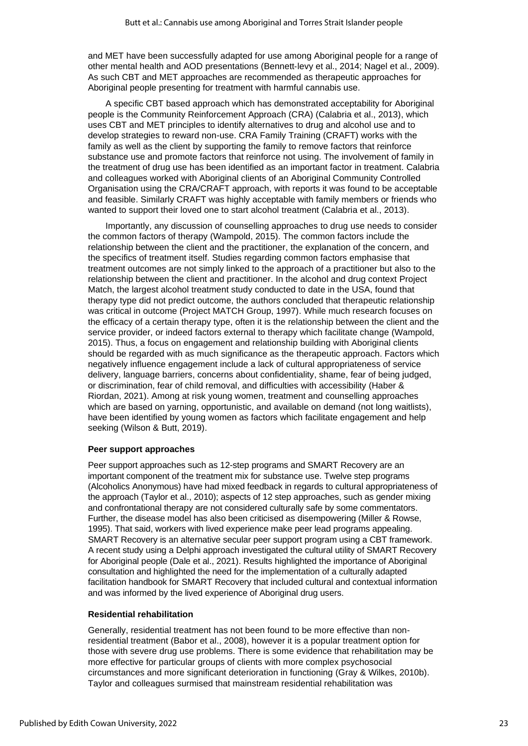and MET have been successfully adapted for use among Aboriginal people for a range of other mental health and AOD presentations (Bennett‐levy et al., 2014; Nagel et al., 2009). As such CBT and MET approaches are recommended as therapeutic approaches for Aboriginal people presenting for treatment with harmful cannabis use.

A specific CBT based approach which has demonstrated acceptability for Aboriginal people is the Community Reinforcement Approach (CRA) (Calabria et al., 2013), which uses CBT and MET principles to identify alternatives to drug and alcohol use and to develop strategies to reward non-use. CRA Family Training (CRAFT) works with the family as well as the client by supporting the family to remove factors that reinforce substance use and promote factors that reinforce not using. The involvement of family in the treatment of drug use has been identified as an important factor in treatment. Calabria and colleagues worked with Aboriginal clients of an Aboriginal Community Controlled Organisation using the CRA/CRAFT approach, with reports it was found to be acceptable and feasible. Similarly CRAFT was highly acceptable with family members or friends who wanted to support their loved one to start alcohol treatment (Calabria et al., 2013).

Importantly, any discussion of counselling approaches to drug use needs to consider the common factors of therapy (Wampold, 2015). The common factors include the relationship between the client and the practitioner, the explanation of the concern, and the specifics of treatment itself. Studies regarding common factors emphasise that treatment outcomes are not simply linked to the approach of a practitioner but also to the relationship between the client and practitioner. In the alcohol and drug context Project Match, the largest alcohol treatment study conducted to date in the USA, found that therapy type did not predict outcome, the authors concluded that therapeutic relationship was critical in outcome (Project MATCH Group, 1997). While much research focuses on the efficacy of a certain therapy type, often it is the relationship between the client and the service provider, or indeed factors external to therapy which facilitate change (Wampold, 2015). Thus, a focus on engagement and relationship building with Aboriginal clients should be regarded with as much significance as the therapeutic approach. Factors which negatively influence engagement include a lack of cultural appropriateness of service delivery, language barriers, concerns about confidentiality, shame, fear of being judged, or discrimination, fear of child removal, and difficulties with accessibility (Haber & Riordan, 2021). Among at risk young women, treatment and counselling approaches which are based on yarning, opportunistic, and available on demand (not long waitlists), have been identified by young women as factors which facilitate engagement and help seeking (Wilson & Butt, 2019).

#### **Peer support approaches**

Peer support approaches such as 12-step programs and SMART Recovery are an important component of the treatment mix for substance use. Twelve step programs (Alcoholics Anonymous) have had mixed feedback in regards to cultural appropriateness of the approach (Taylor et al., 2010); aspects of 12 step approaches, such as gender mixing and confrontational therapy are not considered culturally safe by some commentators. Further, the disease model has also been criticised as disempowering (Miller & Rowse, 1995). That said, workers with lived experience make peer lead programs appealing. SMART Recovery is an alternative secular peer support program using a CBT framework. A recent study using a Delphi approach investigated the cultural utility of SMART Recovery for Aboriginal people (Dale et al., 2021). Results highlighted the importance of Aboriginal consultation and highlighted the need for the implementation of a culturally adapted facilitation handbook for SMART Recovery that included cultural and contextual information and was informed by the lived experience of Aboriginal drug users.

#### **Residential rehabilitation**

Generally, residential treatment has not been found to be more effective than nonresidential treatment (Babor et al., 2008), however it is a popular treatment option for those with severe drug use problems. There is some evidence that rehabilitation may be more effective for particular groups of clients with more complex psychosocial circumstances and more significant deterioration in functioning (Gray & Wilkes, 2010b). Taylor and colleagues surmised that mainstream residential rehabilitation was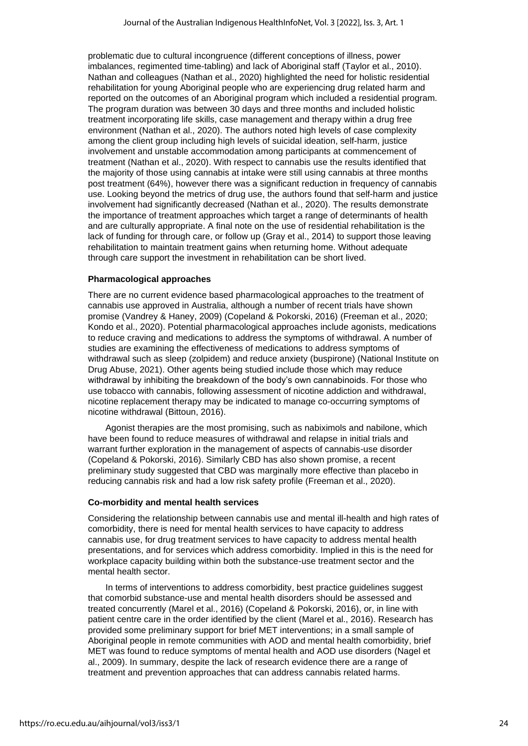problematic due to cultural incongruence (different conceptions of illness, power imbalances, regimented time-tabling) and lack of Aboriginal staff (Taylor et al., 2010). Nathan and colleagues (Nathan et al., 2020) highlighted the need for holistic residential rehabilitation for young Aboriginal people who are experiencing drug related harm and reported on the outcomes of an Aboriginal program which included a residential program. The program duration was between 30 days and three months and included holistic treatment incorporating life skills, case management and therapy within a drug free environment (Nathan et al., 2020). The authors noted high levels of case complexity among the client group including high levels of suicidal ideation, self-harm, justice involvement and unstable accommodation among participants at commencement of treatment (Nathan et al., 2020). With respect to cannabis use the results identified that the majority of those using cannabis at intake were still using cannabis at three months post treatment (64%), however there was a significant reduction in frequency of cannabis use. Looking beyond the metrics of drug use, the authors found that self-harm and justice involvement had significantly decreased (Nathan et al., 2020). The results demonstrate the importance of treatment approaches which target a range of determinants of health and are culturally appropriate. A final note on the use of residential rehabilitation is the lack of funding for through care, or follow up (Gray et al., 2014) to support those leaving rehabilitation to maintain treatment gains when returning home. Without adequate through care support the investment in rehabilitation can be short lived.

#### **Pharmacological approaches**

There are no current evidence based pharmacological approaches to the treatment of cannabis use approved in Australia, although a number of recent trials have shown promise (Vandrey & Haney, 2009) (Copeland & Pokorski, 2016) (Freeman et al., 2020; Kondo et al., 2020). Potential pharmacological approaches include agonists, medications to reduce craving and medications to address the symptoms of withdrawal. A number of studies are examining the effectiveness of medications to address symptoms of withdrawal such as sleep (zolpidem) and reduce anxiety (buspirone) (National Institute on Drug Abuse, 2021). Other agents being studied include those which may reduce withdrawal by inhibiting the breakdown of the body's own cannabinoids. For those who use tobacco with cannabis, following assessment of nicotine addiction and withdrawal, nicotine replacement therapy may be indicated to manage co-occurring symptoms of nicotine withdrawal (Bittoun, 2016).

Agonist therapies are the most promising, such as nabiximols and nabilone, which have been found to reduce measures of withdrawal and relapse in initial trials and warrant further exploration in the management of aspects of cannabis-use disorder (Copeland & Pokorski, 2016). Similarly CBD has also shown promise, a recent preliminary study suggested that CBD was marginally more effective than placebo in reducing cannabis risk and had a low risk safety profile (Freeman et al., 2020).

#### **Co-morbidity and mental health services**

Considering the relationship between cannabis use and mental ill-health and high rates of comorbidity, there is need for mental health services to have capacity to address cannabis use, for drug treatment services to have capacity to address mental health presentations, and for services which address comorbidity. Implied in this is the need for workplace capacity building within both the substance-use treatment sector and the mental health sector.

In terms of interventions to address comorbidity, best practice guidelines suggest that comorbid substance-use and mental health disorders should be assessed and treated concurrently (Marel et al., 2016) (Copeland & Pokorski, 2016), or, in line with patient centre care in the order identified by the client (Marel et al., 2016). Research has provided some preliminary support for brief MET interventions; in a small sample of Aboriginal people in remote communities with AOD and mental health comorbidity, brief MET was found to reduce symptoms of mental health and AOD use disorders (Nagel et al., 2009). In summary, despite the lack of research evidence there are a range of treatment and prevention approaches that can address cannabis related harms.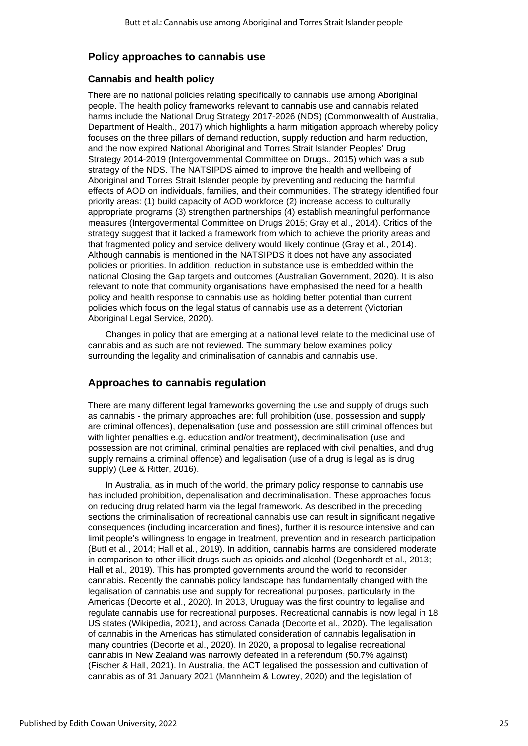## **Policy approaches to cannabis use**

#### **Cannabis and health policy**

There are no national policies relating specifically to cannabis use among Aboriginal people. The health policy frameworks relevant to cannabis use and cannabis related harms include the National Drug Strategy 2017-2026 (NDS) (Commonwealth of Australia, Department of Health., 2017) which highlights a harm mitigation approach whereby policy focuses on the three pillars of demand reduction, supply reduction and harm reduction, and the now expired National Aboriginal and Torres Strait Islander Peoples' Drug Strategy 2014-2019 (Intergovernmental Committee on Drugs., 2015) which was a sub strategy of the NDS. The NATSIPDS aimed to improve the health and wellbeing of Aboriginal and Torres Strait Islander people by preventing and reducing the harmful effects of AOD on individuals, families, and their communities. The strategy identified four priority areas: (1) build capacity of AOD workforce (2) increase access to culturally appropriate programs (3) strengthen partnerships (4) establish meaningful performance measures (Intergovermental Committee on Drugs 2015; Gray et al., 2014). Critics of the strategy suggest that it lacked a framework from which to achieve the priority areas and that fragmented policy and service delivery would likely continue (Gray et al., 2014). Although cannabis is mentioned in the NATSIPDS it does not have any associated policies or priorities. In addition, reduction in substance use is embedded within the national Closing the Gap targets and outcomes (Australian Government, 2020). It is also relevant to note that community organisations have emphasised the need for a health policy and health response to cannabis use as holding better potential than current policies which focus on the legal status of cannabis use as a deterrent (Victorian Aboriginal Legal Service, 2020).

Changes in policy that are emerging at a national level relate to the medicinal use of cannabis and as such are not reviewed. The summary below examines policy surrounding the legality and criminalisation of cannabis and cannabis use.

## **Approaches to cannabis regulation**

There are many different legal frameworks governing the use and supply of drugs such as cannabis - the primary approaches are: full prohibition (use, possession and supply are criminal offences), depenalisation (use and possession are still criminal offences but with lighter penalties e.g. education and/or treatment), decriminalisation (use and possession are not criminal, criminal penalties are replaced with civil penalties, and drug supply remains a criminal offence) and legalisation (use of a drug is legal as is drug supply) (Lee & Ritter, 2016).

In Australia, as in much of the world, the primary policy response to cannabis use has included prohibition, depenalisation and decriminalisation. These approaches focus on reducing drug related harm via the legal framework. As described in the preceding sections the criminalisation of recreational cannabis use can result in significant negative consequences (including incarceration and fines), further it is resource intensive and can limit people's willingness to engage in treatment, prevention and in research participation (Butt et al., 2014; Hall et al., 2019). In addition, cannabis harms are considered moderate in comparison to other illicit drugs such as opioids and alcohol (Degenhardt et al., 2013; Hall et al., 2019). This has prompted governments around the world to reconsider cannabis. Recently the cannabis policy landscape has fundamentally changed with the legalisation of cannabis use and supply for recreational purposes, particularly in the Americas (Decorte et al., 2020). In 2013, Uruguay was the first country to legalise and regulate cannabis use for recreational purposes. Recreational cannabis is now legal in 18 US states (Wikipedia, 2021), and across Canada (Decorte et al., 2020). The legalisation of cannabis in the Americas has stimulated consideration of cannabis legalisation in many countries (Decorte et al., 2020). In 2020, a proposal to legalise recreational cannabis in New Zealand was narrowly defeated in a referendum (50.7% against) (Fischer & Hall, 2021). In Australia, the ACT legalised the possession and cultivation of cannabis as of 31 January 2021 (Mannheim & Lowrey, 2020) and the legislation of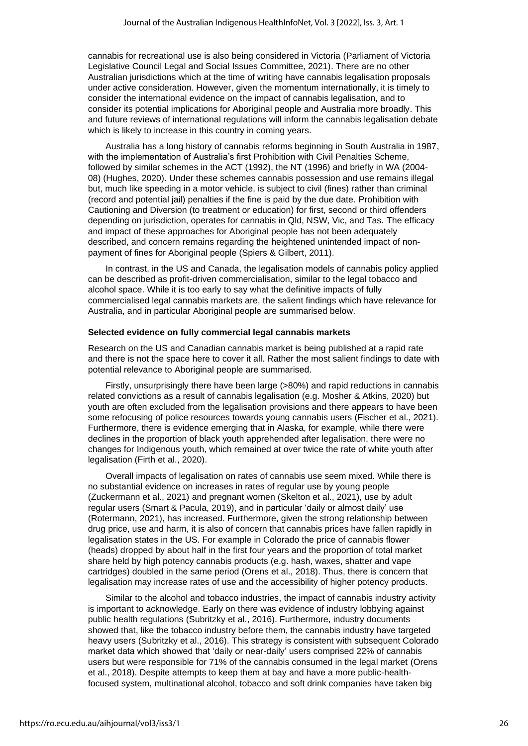cannabis for recreational use is also being considered in Victoria (Parliament of Victoria Legislative Council Legal and Social Issues Committee, 2021). There are no other Australian jurisdictions which at the time of writing have cannabis legalisation proposals under active consideration. However, given the momentum internationally, it is timely to consider the international evidence on the impact of cannabis legalisation, and to consider its potential implications for Aboriginal people and Australia more broadly. This and future reviews of international regulations will inform the cannabis legalisation debate which is likely to increase in this country in coming years.

Australia has a long history of cannabis reforms beginning in South Australia in 1987, with the implementation of Australia's first Prohibition with Civil Penalties Scheme, followed by similar schemes in the ACT (1992), the NT (1996) and briefly in WA (2004- 08) (Hughes, 2020). Under these schemes cannabis possession and use remains illegal but, much like speeding in a motor vehicle, is subject to civil (fines) rather than criminal (record and potential jail) penalties if the fine is paid by the due date. Prohibition with Cautioning and Diversion (to treatment or education) for first, second or third offenders depending on jurisdiction, operates for cannabis in Qld, NSW, Vic, and Tas. The efficacy and impact of these approaches for Aboriginal people has not been adequately described, and concern remains regarding the heightened unintended impact of nonpayment of fines for Aboriginal people (Spiers & Gilbert, 2011).

In contrast, in the US and Canada, the legalisation models of cannabis policy applied can be described as profit-driven commercialisation, similar to the legal tobacco and alcohol space. While it is too early to say what the definitive impacts of fully commercialised legal cannabis markets are, the salient findings which have relevance for Australia, and in particular Aboriginal people are summarised below.

#### **Selected evidence on fully commercial legal cannabis markets**

Research on the US and Canadian cannabis market is being published at a rapid rate and there is not the space here to cover it all. Rather the most salient findings to date with potential relevance to Aboriginal people are summarised.

Firstly, unsurprisingly there have been large (>80%) and rapid reductions in cannabis related convictions as a result of cannabis legalisation (e.g. Mosher & Atkins, 2020) but youth are often excluded from the legalisation provisions and there appears to have been some refocusing of police resources towards young cannabis users (Fischer et al., 2021). Furthermore, there is evidence emerging that in Alaska, for example, while there were declines in the proportion of black youth apprehended after legalisation, there were no changes for Indigenous youth, which remained at over twice the rate of white youth after legalisation (Firth et al., 2020).

Overall impacts of legalisation on rates of cannabis use seem mixed. While there is no substantial evidence on increases in rates of regular use by young people (Zuckermann et al., 2021) and pregnant women (Skelton et al., 2021), use by adult regular users (Smart & Pacula, 2019), and in particular 'daily or almost daily' use (Rotermann, 2021), has increased. Furthermore, given the strong relationship between drug price, use and harm, it is also of concern that cannabis prices have fallen rapidly in legalisation states in the US. For example in Colorado the price of cannabis flower (heads) dropped by about half in the first four years and the proportion of total market share held by high potency cannabis products (e.g. hash, waxes, shatter and vape cartridges) doubled in the same period (Orens et al., 2018). Thus, there is concern that legalisation may increase rates of use and the accessibility of higher potency products.

Similar to the alcohol and tobacco industries, the impact of cannabis industry activity is important to acknowledge. Early on there was evidence of industry lobbying against public health regulations (Subritzky et al., 2016). Furthermore, industry documents showed that, like the tobacco industry before them, the cannabis industry have targeted heavy users (Subritzky et al., 2016). This strategy is consistent with subsequent Colorado market data which showed that 'daily or near-daily' users comprised 22% of cannabis users but were responsible for 71% of the cannabis consumed in the legal market (Orens et al., 2018). Despite attempts to keep them at bay and have a more public-healthfocused system, multinational alcohol, tobacco and soft drink companies have taken big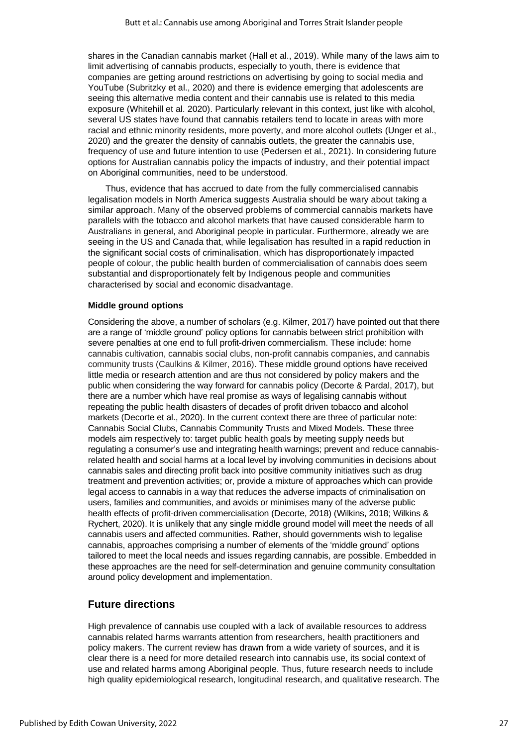shares in the Canadian cannabis market (Hall et al., 2019). While many of the laws aim to limit advertising of cannabis products, especially to youth, there is evidence that companies are getting around restrictions on advertising by going to social media and YouTube (Subritzky et al., 2020) and there is evidence emerging that adolescents are seeing this alternative media content and their cannabis use is related to this media exposure (Whitehill et al. 2020). Particularly relevant in this context, just like with alcohol, several US states have found that cannabis retailers tend to locate in areas with more racial and ethnic minority residents, more poverty, and more alcohol outlets (Unger et al., 2020) and the greater the density of cannabis outlets, the greater the cannabis use, frequency of use and future intention to use (Pedersen et al., 2021). In considering future options for Australian cannabis policy the impacts of industry, and their potential impact on Aboriginal communities, need to be understood.

Thus, evidence that has accrued to date from the fully commercialised cannabis legalisation models in North America suggests Australia should be wary about taking a similar approach. Many of the observed problems of commercial cannabis markets have parallels with the tobacco and alcohol markets that have caused considerable harm to Australians in general, and Aboriginal people in particular. Furthermore, already we are seeing in the US and Canada that, while legalisation has resulted in a rapid reduction in the significant social costs of criminalisation, which has disproportionately impacted people of colour, the public health burden of commercialisation of cannabis does seem substantial and disproportionately felt by Indigenous people and communities characterised by social and economic disadvantage.

#### **Middle ground options**

Considering the above, a number of scholars (e.g. Kilmer, 2017) have pointed out that there are a range of 'middle ground' policy options for cannabis between strict prohibition with severe penalties at one end to full profit-driven commercialism. These include: home cannabis cultivation, cannabis social clubs, non-profit cannabis companies, and cannabis community trusts (Caulkins & Kilmer, 2016). These middle ground options have received little media or research attention and are thus not considered by policy makers and the public when considering the way forward for cannabis policy (Decorte & Pardal, 2017), but there are a number which have real promise as ways of legalising cannabis without repeating the public health disasters of decades of profit driven tobacco and alcohol markets (Decorte et al., 2020). In the current context there are three of particular note: Cannabis Social Clubs, Cannabis Community Trusts and Mixed Models. These three models aim respectively to: target public health goals by meeting supply needs but regulating a consumer's use and integrating health warnings; prevent and reduce cannabisrelated health and social harms at a local level by involving communities in decisions about cannabis sales and directing profit back into positive community initiatives such as drug treatment and prevention activities; or, provide a mixture of approaches which can provide legal access to cannabis in a way that reduces the adverse impacts of criminalisation on users, families and communities, and avoids or minimises many of the adverse public health effects of profit-driven commercialisation (Decorte, 2018) (Wilkins, 2018; Wilkins & Rychert, 2020). It is unlikely that any single middle ground model will meet the needs of all cannabis users and affected communities. Rather, should governments wish to legalise cannabis, approaches comprising a number of elements of the 'middle ground' options tailored to meet the local needs and issues regarding cannabis, are possible. Embedded in these approaches are the need for self-determination and genuine community consultation around policy development and implementation.

## **Future directions**

High prevalence of cannabis use coupled with a lack of available resources to address cannabis related harms warrants attention from researchers, health practitioners and policy makers. The current review has drawn from a wide variety of sources, and it is clear there is a need for more detailed research into cannabis use, its social context of use and related harms among Aboriginal people. Thus, future research needs to include high quality epidemiological research, longitudinal research, and qualitative research. The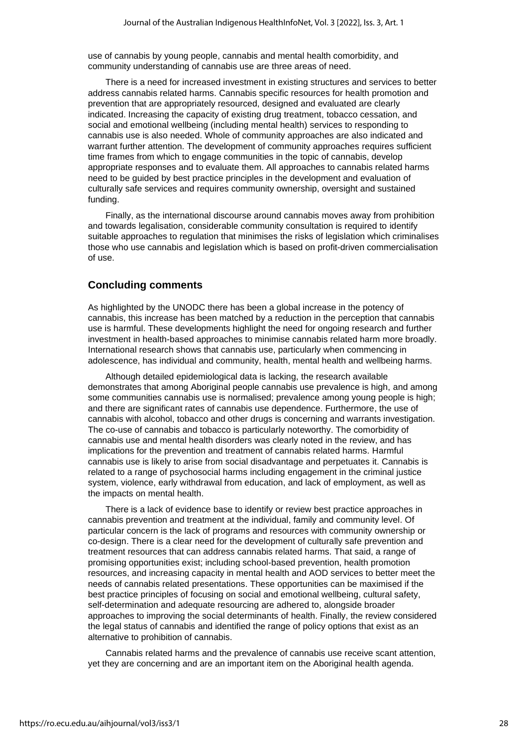use of cannabis by young people, cannabis and mental health comorbidity, and community understanding of cannabis use are three areas of need.

There is a need for increased investment in existing structures and services to better address cannabis related harms. Cannabis specific resources for health promotion and prevention that are appropriately resourced, designed and evaluated are clearly indicated. Increasing the capacity of existing drug treatment, tobacco cessation, and social and emotional wellbeing (including mental health) services to responding to cannabis use is also needed. Whole of community approaches are also indicated and warrant further attention. The development of community approaches requires sufficient time frames from which to engage communities in the topic of cannabis, develop appropriate responses and to evaluate them. All approaches to cannabis related harms need to be guided by best practice principles in the development and evaluation of culturally safe services and requires community ownership, oversight and sustained funding.

Finally, as the international discourse around cannabis moves away from prohibition and towards legalisation, considerable community consultation is required to identify suitable approaches to regulation that minimises the risks of legislation which criminalises those who use cannabis and legislation which is based on profit-driven commercialisation of use.

## **Concluding comments**

As highlighted by the UNODC there has been a global increase in the potency of cannabis, this increase has been matched by a reduction in the perception that cannabis use is harmful. These developments highlight the need for ongoing research and further investment in health-based approaches to minimise cannabis related harm more broadly. International research shows that cannabis use, particularly when commencing in adolescence, has individual and community, health, mental health and wellbeing harms.

Although detailed epidemiological data is lacking, the research available demonstrates that among Aboriginal people cannabis use prevalence is high, and among some communities cannabis use is normalised; prevalence among young people is high; and there are significant rates of cannabis use dependence. Furthermore, the use of cannabis with alcohol, tobacco and other drugs is concerning and warrants investigation. The co-use of cannabis and tobacco is particularly noteworthy. The comorbidity of cannabis use and mental health disorders was clearly noted in the review, and has implications for the prevention and treatment of cannabis related harms. Harmful cannabis use is likely to arise from social disadvantage and perpetuates it. Cannabis is related to a range of psychosocial harms including engagement in the criminal justice system, violence, early withdrawal from education, and lack of employment, as well as the impacts on mental health.

There is a lack of evidence base to identify or review best practice approaches in cannabis prevention and treatment at the individual, family and community level. Of particular concern is the lack of programs and resources with community ownership or co-design. There is a clear need for the development of culturally safe prevention and treatment resources that can address cannabis related harms. That said, a range of promising opportunities exist; including school-based prevention, health promotion resources, and increasing capacity in mental health and AOD services to better meet the needs of cannabis related presentations. These opportunities can be maximised if the best practice principles of focusing on social and emotional wellbeing, cultural safety, self-determination and adequate resourcing are adhered to, alongside broader approaches to improving the social determinants of health. Finally, the review considered the legal status of cannabis and identified the range of policy options that exist as an alternative to prohibition of cannabis.

Cannabis related harms and the prevalence of cannabis use receive scant attention, yet they are concerning and are an important item on the Aboriginal health agenda.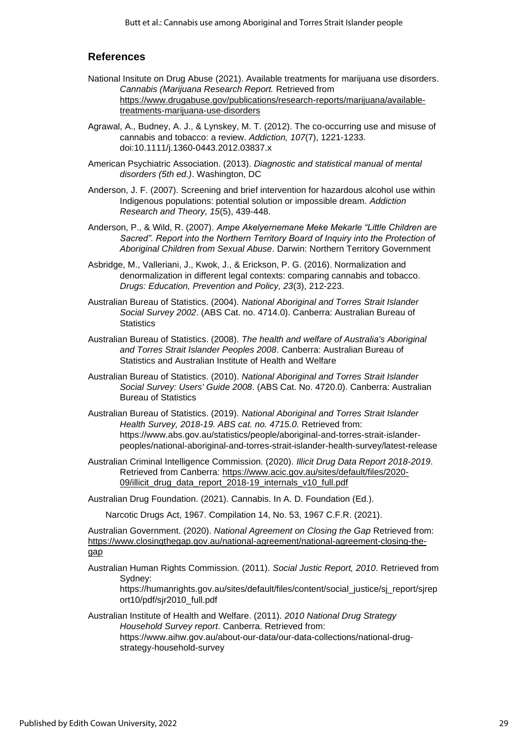## **References**

- National Insitute on Drug Abuse (2021). Available treatments for marijuana use disorders. *Cannabis (Marijuana Research Report.* Retrieved from [https://www.drugabuse.gov/publications/research-reports/marijuana/available](https://www.drugabuse.gov/publications/research-reports/marijuana/available-treatments-marijuana-use-disorders)[treatments-marijuana-use-disorders](https://www.drugabuse.gov/publications/research-reports/marijuana/available-treatments-marijuana-use-disorders)
- Agrawal, A., Budney, A. J., & Lynskey, M. T. (2012). The co-occurring use and misuse of cannabis and tobacco: a review. *Addiction, 107*(7), 1221-1233. doi:10.1111/j.1360-0443.2012.03837.x
- American Psychiatric Association. (2013). *Diagnostic and statistical manual of mental disorders (5th ed.)*. Washington, DC
- Anderson, J. F. (2007). Screening and brief intervention for hazardous alcohol use within Indigenous populations: potential solution or impossible dream. *Addiction Research and Theory, 15*(5), 439-448.
- Anderson, P., & Wild, R. (2007). *Ampe Akelyernemane Meke Mekarle "Little Children are*  Sacred". Report into the Northern Territory Board of Inquiry into the Protection of *Aboriginal Children from Sexual Abuse*. Darwin: Northern Territory Government
- Asbridge, M., Valleriani, J., Kwok, J., & Erickson, P. G. (2016). Normalization and denormalization in different legal contexts: comparing cannabis and tobacco. *Drugs: Education, Prevention and Policy, 23*(3), 212-223.
- Australian Bureau of Statistics. (2004). *National Aboriginal and Torres Strait Islander Social Survey 2002*. (ABS Cat. no. 4714.0). Canberra: Australian Bureau of **Statistics**
- Australian Bureau of Statistics. (2008). *The health and welfare of Australia's Aboriginal and Torres Strait Islander Peoples 2008*. Canberra: Australian Bureau of Statistics and Australian Institute of Health and Welfare
- Australian Bureau of Statistics. (2010). *National Aboriginal and Torres Strait Islander Social Survey: Users' Guide 2008*. (ABS Cat. No. 4720.0). Canberra: Australian Bureau of Statistics
- Australian Bureau of Statistics. (2019). *National Aboriginal and Torres Strait Islander Health Survey, 2018-19. ABS cat. no. 4715.0.* Retrieved from: https://www.abs.gov.au/statistics/people/aboriginal-and-torres-strait-islanderpeoples/national-aboriginal-and-torres-strait-islander-health-survey/latest-release
- Australian Criminal Intelligence Commission. (2020). *Illicit Drug Data Report 2018-2019*. Retrieved from Canberra: [https://www.acic.gov.au/sites/default/files/2020-](https://www.acic.gov.au/sites/default/files/2020-09/illicit_drug_data_report_2018-19_internals_v10_full.pdf) 09/illicit drug data report 2018-19 internals v10 full.pdf

Australian Drug Foundation. (2021). Cannabis. In A. D. Foundation (Ed.).

Narcotic Drugs Act, 1967. Compilation 14, No. 53, 1967 C.F.R. (2021).

Australian Government. (2020). *National Agreement on Closing the Gap* Retrieved from: [https://www.closingthegap.gov.au/national-agreement/national-agreement-closing-the](https://www.closingthegap.gov.au/national-agreement/national-agreement-closing-the-gap)[gap](https://www.closingthegap.gov.au/national-agreement/national-agreement-closing-the-gap)

Australian Human Rights Commission. (2011). *Social Justic Report, 2010*. Retrieved from Sydney:

https://humanrights.gov.au/sites/default/files/content/social\_justice/sj\_report/sjrep ort10/pdf/sjr2010\_full.pdf

Australian Institute of Health and Welfare. (2011). *2010 National Drug Strategy Household Survey report*. Canberra. Retrieved from: https://www.aihw.gov.au/about-our-data/our-data-collections/national-drugstrategy-household-survey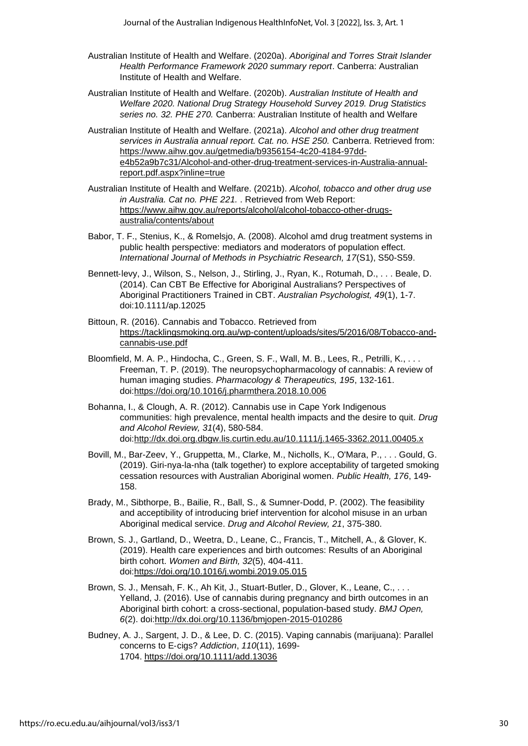- Australian Institute of Health and Welfare. (2020a). *Aboriginal and Torres Strait Islander Health Performance Framework 2020 summary report*. Canberra: Australian Institute of Health and Welfare.
- Australian Institute of Health and Welfare. (2020b). *Australian Institute of Health and Welfare 2020. National Drug Strategy Household Survey 2019. Drug Statistics series no. 32. PHE 270.* Canberra: Australian Institute of health and Welfare
- Australian Institute of Health and Welfare. (2021a). *Alcohol and other drug treatment services in Australia annual report. Cat. no. HSE 250.* Canberra. Retrieved from: [https://www.aihw.gov.au/getmedia/b9356154-4c20-4184-97dd](https://www.aihw.gov.au/getmedia/b9356154-4c20-4184-97dd-e4b52a9b7c31/Alcohol-and-other-drug-treatment-services-in-Australia-annual-report.pdf.aspx?inline=true)[e4b52a9b7c31/Alcohol-and-other-drug-treatment-services-in-Australia-annual](https://www.aihw.gov.au/getmedia/b9356154-4c20-4184-97dd-e4b52a9b7c31/Alcohol-and-other-drug-treatment-services-in-Australia-annual-report.pdf.aspx?inline=true)[report.pdf.aspx?inline=true](https://www.aihw.gov.au/getmedia/b9356154-4c20-4184-97dd-e4b52a9b7c31/Alcohol-and-other-drug-treatment-services-in-Australia-annual-report.pdf.aspx?inline=true)
- Australian Institute of Health and Welfare. (2021b). *Alcohol, tobacco and other drug use in Australia. Cat no. PHE 221.* . Retrieved from Web Report: [https://www.aihw.gov.au/reports/alcohol/alcohol-tobacco-other-drugs](https://www.aihw.gov.au/reports/alcohol/alcohol-tobacco-other-drugs-australia/contents/about)[australia/contents/about](https://www.aihw.gov.au/reports/alcohol/alcohol-tobacco-other-drugs-australia/contents/about)
- Babor, T. F., Stenius, K., & Romelsjo, A. (2008). Alcohol amd drug treatment systems in public health perspective: mediators and moderators of population effect. *International Journal of Methods in Psychiatric Research, 17*(S1), S50-S59.
- Bennett-levy, J., Wilson, S., Nelson, J., Stirling, J., Ryan, K., Rotumah, D., . . . Beale, D. (2014). Can CBT Be Effective for Aboriginal Australians? Perspectives of Aboriginal Practitioners Trained in CBT. *Australian Psychologist, 49*(1), 1-7. doi:10.1111/ap.12025
- Bittoun, R. (2016). Cannabis and Tobacco. Retrieved from [https://tacklingsmoking.org.au/wp-content/uploads/sites/5/2016/08/Tobacco-and](https://tacklingsmoking.org.au/wp-content/uploads/sites/5/2016/08/Tobacco-and-cannabis-use.pdf)[cannabis-use.pdf](https://tacklingsmoking.org.au/wp-content/uploads/sites/5/2016/08/Tobacco-and-cannabis-use.pdf)
- Bloomfield, M. A. P., Hindocha, C., Green, S. F., Wall, M. B., Lees, R., Petrilli, K., . . . Freeman, T. P. (2019). The neuropsychopharmacology of cannabis: A review of human imaging studies. *Pharmacology & Therapeutics, 195*, 132-161. doi[:https://doi.org/10.1016/j.pharmthera.2018.10.006](https://doi.org/10.1016/j.pharmthera.2018.10.006)
- Bohanna, I., & Clough, A. R. (2012). Cannabis use in Cape York Indigenous communities: high prevalence, mental health impacts and the desire to quit. *Drug and Alcohol Review, 31*(4), 580-584. doi[:http://dx.doi.org.dbgw.lis.curtin.edu.au/10.1111/j.1465-3362.2011.00405.x](http://dx.doi.org.dbgw.lis.curtin.edu.au/10.1111/j.1465-3362.2011.00405.x)
- Bovill, M., Bar-Zeev, Y., Gruppetta, M., Clarke, M., Nicholls, K., O'Mara, P., . . . Gould, G. (2019). Giri-nya-la-nha (talk together) to explore acceptability of targeted smoking cessation resources with Australian Aboriginal women. *Public Health, 176*, 149- 158.
- Brady, M., Sibthorpe, B., Bailie, R., Ball, S., & Sumner-Dodd, P. (2002). The feasibility and acceptibility of introducing brief intervention for alcohol misuse in an urban Aboriginal medical service. *Drug and Alcohol Review, 21*, 375-380.
- Brown, S. J., Gartland, D., Weetra, D., Leane, C., Francis, T., Mitchell, A., & Glover, K. (2019). Health care experiences and birth outcomes: Results of an Aboriginal birth cohort. *Women and Birth, 32*(5), 404-411. doi[:https://doi.org/10.1016/j.wombi.2019.05.015](https://doi.org/10.1016/j.wombi.2019.05.015)
- Brown, S. J., Mensah, F. K., Ah Kit, J., Stuart-Butler, D., Glover, K., Leane, C., . . . Yelland, J. (2016). Use of cannabis during pregnancy and birth outcomes in an Aboriginal birth cohort: a cross-sectional, population-based study. *BMJ Open, 6*(2). doi[:http://dx.doi.org/10.1136/bmjopen-2015-010286](http://dx.doi.org/10.1136/bmjopen-2015-010286)
- Budney, A. J., Sargent, J. D., & Lee, D. C. (2015). Vaping cannabis (marijuana): Parallel concerns to E‐cigs? *Addiction*, *110*(11), 1699- 1704. <https://doi.org/10.1111/add.13036>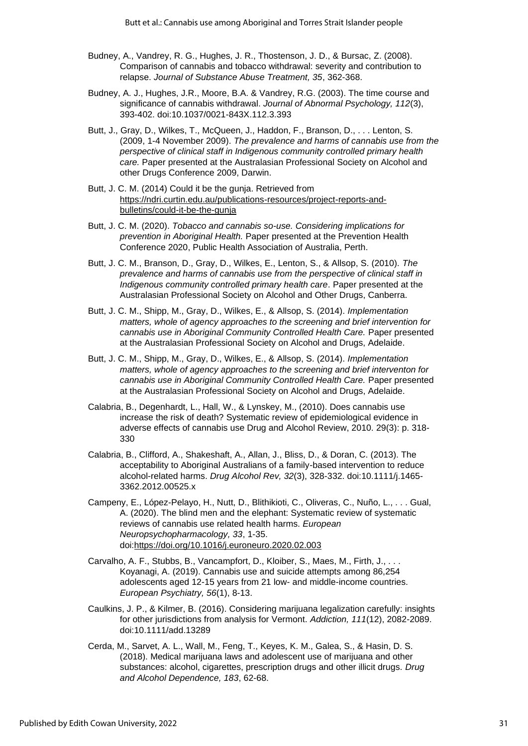- Budney, A., Vandrey, R. G., Hughes, J. R., Thostenson, J. D., & Bursac, Z. (2008). Comparison of cannabis and tobacco withdrawal: severity and contribution to relapse. *Journal of Substance Abuse Treatment, 35*, 362-368.
- Budney, A. J., Hughes, J.R., Moore, B.A. & Vandrey, R.G. (2003). The time course and significance of cannabis withdrawal. *Journal of Abnormal Psychology, 112*(3), 393-402. doi:10.1037/0021-843X.112.3.393
- Butt, J., Gray, D., Wilkes, T., McQueen, J., Haddon, F., Branson, D., . . . Lenton, S. (2009, 1-4 November 2009). *The prevalence and harms of cannabis use from the perspective of clinical staff in Indigenous community controlled primary health care.* Paper presented at the Australasian Professional Society on Alcohol and other Drugs Conference 2009, Darwin.
- Butt, J. C. M. (2014) Could it be the gunja. Retrieved from [https://ndri.curtin.edu.au/publications-resources/project-reports-and](https://ndri.curtin.edu.au/publications-resources/project-reports-and-bulletins/could-it-be-the-gunja)[bulletins/could-it-be-the-gunja](https://ndri.curtin.edu.au/publications-resources/project-reports-and-bulletins/could-it-be-the-gunja)
- Butt, J. C. M. (2020). *Tobacco and cannabis so-use. Considering implications for prevention in Aboriginal Health.* Paper presented at the Prevention Health Conference 2020, Public Health Association of Australia, Perth.
- Butt, J. C. M., Branson, D., Gray, D., Wilkes, E., Lenton, S., & Allsop, S. (2010). *The prevalence and harms of cannabis use from the perspective of clinical staff in Indigenous community controlled primary health care*. Paper presented at the Australasian Professional Society on Alcohol and Other Drugs, Canberra.
- Butt, J. C. M., Shipp, M., Gray, D., Wilkes, E., & Allsop, S. (2014). *Implementation matters, whole of agency approaches to the screening and brief intervention for cannabis use in Aboriginal Community Controlled Health Care.* Paper presented at the Australasian Professional Society on Alcohol and Drugs, Adelaide.
- Butt, J. C. M., Shipp, M., Gray, D., Wilkes, E., & Allsop, S. (2014). *Implementation matters, whole of agency approaches to the screening and brief interventon for cannabis use in Aboriginal Community Controlled Health Care.* Paper presented at the Australasian Professional Society on Alcohol and Drugs, Adelaide.
- Calabria, B., Degenhardt, L., Hall, W., & Lynskey, M., (2010). Does cannabis use increase the risk of death? Systematic review of epidemiological evidence in adverse effects of cannabis use Drug and Alcohol Review, 2010. 29(3): p. 318- 330
- Calabria, B., Clifford, A., Shakeshaft, A., Allan, J., Bliss, D., & Doran, C. (2013). The acceptability to Aboriginal Australians of a family-based intervention to reduce alcohol-related harms. *Drug Alcohol Rev, 32*(3), 328-332. doi:10.1111/j.1465- 3362.2012.00525.x
- Campeny, E., López-Pelayo, H., Nutt, D., Blithikioti, C., Oliveras, C., Nuño, L., . . . Gual, A. (2020). The blind men and the elephant: Systematic review of systematic reviews of cannabis use related health harms. *European Neuropsychopharmacology, 33*, 1-35. doi[:https://doi.org/10.1016/j.euroneuro.2020.02.003](https://doi.org/10.1016/j.euroneuro.2020.02.003)
- Carvalho, A. F., Stubbs, B., Vancampfort, D., Kloiber, S., Maes, M., Firth, J., . . . Koyanagi, A. (2019). Cannabis use and suicide attempts among 86,254 adolescents aged 12-15 years from 21 low- and middle-income countries. *European Psychiatry, 56*(1), 8-13.
- Caulkins, J. P., & Kilmer, B. (2016). Considering marijuana legalization carefully: insights for other jurisdictions from analysis for Vermont. *Addiction, 111*(12), 2082-2089. doi:10.1111/add.13289
- Cerda, M., Sarvet, A. L., Wall, M., Feng, T., Keyes, K. M., Galea, S., & Hasin, D. S. (2018). Medical marijuana laws and adolescent use of marijuana and other substances: alcohol, cigarettes, prescription drugs and other illicit drugs. *Drug and Alcohol Dependence, 183*, 62-68.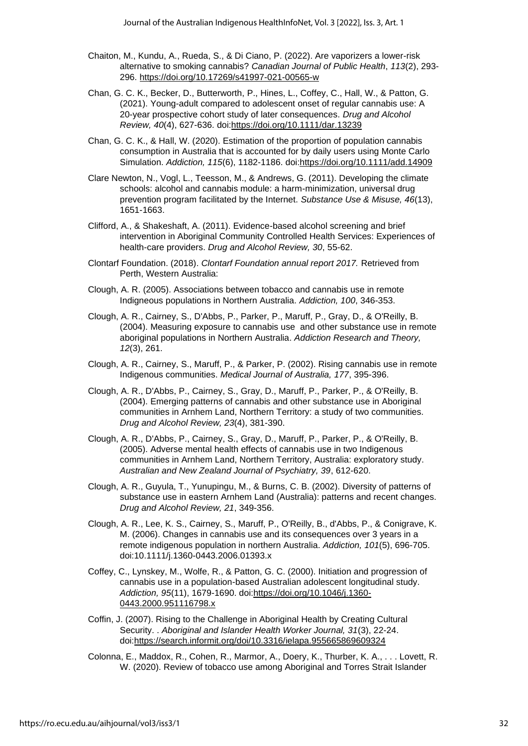- Chaiton, M., Kundu, A., Rueda, S., & Di Ciano, P. (2022). Are vaporizers a lower-risk alternative to smoking cannabis? *Canadian Journal of Public Health*, *113*(2), 293- 296. <https://doi.org/10.17269/s41997-021-00565-w>
- Chan, G. C. K., Becker, D., Butterworth, P., Hines, L., Coffey, C., Hall, W., & Patton, G. (2021). Young-adult compared to adolescent onset of regular cannabis use: A 20-year prospective cohort study of later consequences. *Drug and Alcohol Review, 40*(4), 627-636. doi[:https://doi.org/10.1111/dar.13239](https://doi.org/10.1111/dar.13239)
- Chan, G. C. K., & Hall, W. (2020). Estimation of the proportion of population cannabis consumption in Australia that is accounted for by daily users using Monte Carlo Simulation. *Addiction, 115*(6), 1182-1186. doi[:https://doi.org/10.1111/add.14909](https://doi.org/10.1111/add.14909)
- Clare Newton, N., Vogl, L., Teesson, M., & Andrews, G. (2011). Developing the climate schools: alcohol and cannabis module: a harm-minimization, universal drug prevention program facilitated by the Internet. *Substance Use & Misuse, 46*(13), 1651-1663.
- Clifford, A., & Shakeshaft, A. (2011). Evidence-based alcohol screening and brief intervention in Aboriginal Community Controlled Health Services: Experiences of health-care providers. *Drug and Alcohol Review, 30*, 55-62.
- Clontarf Foundation. (2018). *Clontarf Foundation annual report 2017.* Retrieved from Perth, Western Australia:
- Clough, A. R. (2005). Associations between tobacco and cannabis use in remote Indigneous populations in Northern Australia. *Addiction, 100*, 346-353.
- Clough, A. R., Cairney, S., D'Abbs, P., Parker, P., Maruff, P., Gray, D., & O'Reilly, B. (2004). Measuring exposure to cannabis use and other substance use in remote aboriginal populations in Northern Australia. *Addiction Research and Theory, 12*(3), 261.
- Clough, A. R., Cairney, S., Maruff, P., & Parker, P. (2002). Rising cannabis use in remote Indigenous communities. *Medical Journal of Australia, 177*, 395-396.
- Clough, A. R., D'Abbs, P., Cairney, S., Gray, D., Maruff, P., Parker, P., & O'Reilly, B. (2004). Emerging patterns of cannabis and other substance use in Aboriginal communities in Arnhem Land, Northern Territory: a study of two communities. *Drug and Alcohol Review, 23*(4), 381-390.
- Clough, A. R., D'Abbs, P., Cairney, S., Gray, D., Maruff, P., Parker, P., & O'Reilly, B. (2005). Adverse mental health effects of cannabis use in two Indigenous communities in Arnhem Land, Northern Territory, Australia: exploratory study. *Australian and New Zealand Journal of Psychiatry, 39*, 612-620.
- Clough, A. R., Guyula, T., Yunupingu, M., & Burns, C. B. (2002). Diversity of patterns of substance use in eastern Arnhem Land (Australia): patterns and recent changes. *Drug and Alcohol Review, 21*, 349-356.
- Clough, A. R., Lee, K. S., Cairney, S., Maruff, P., O'Reilly, B., d'Abbs, P., & Conigrave, K. M. (2006). Changes in cannabis use and its consequences over 3 years in a remote indigenous population in northern Australia. *Addiction, 101*(5), 696-705. doi:10.1111/j.1360-0443.2006.01393.x
- Coffey, C., Lynskey, M., Wolfe, R., & Patton, G. C. (2000). Initiation and progression of cannabis use in a population-based Australian adolescent longitudinal study. *Addiction, 95*(11), 1679-1690. doi[:https://doi.org/10.1046/j.1360-](https://doi.org/10.1046/j.1360-0443.2000.951116798.x) [0443.2000.951116798.x](https://doi.org/10.1046/j.1360-0443.2000.951116798.x)
- Coffin, J. (2007). Rising to the Challenge in Aboriginal Health by Creating Cultural Security. . *Aboriginal and Islander Health Worker Journal, 31*(3), 22-24. doi[:https://search.informit.org/doi/10.3316/ielapa.955665869609324](https://search.informit.org/doi/10.3316/ielapa.955665869609324)
- Colonna, E., Maddox, R., Cohen, R., Marmor, A., Doery, K., Thurber, K. A., . . . Lovett, R. W. (2020). Review of tobacco use among Aboriginal and Torres Strait Islander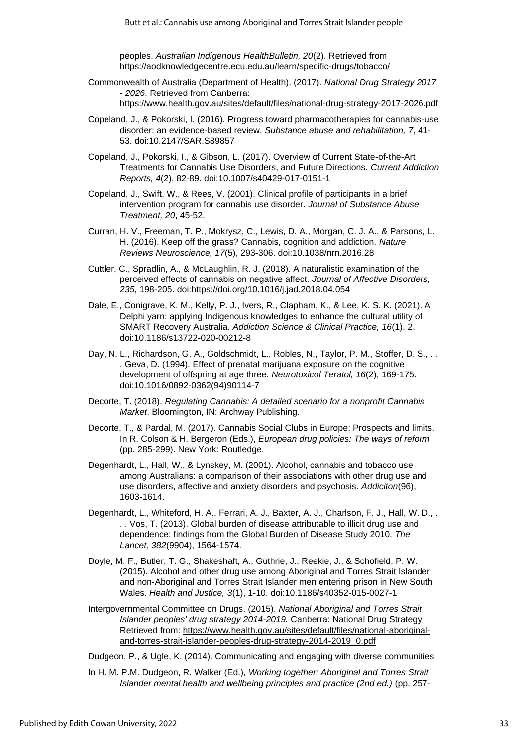peoples. *Australian Indigenous HealthBulletin, 20*(2). Retrieved from <https://aodknowledgecentre.ecu.edu.au/learn/specific-drugs/tobacco/>

- Commonwealth of Australia (Department of Health). (2017). *National Drug Strategy 2017 - 2026*. Retrieved from Canberra: <https://www.health.gov.au/sites/default/files/national-drug-strategy-2017-2026.pdf>
- Copeland, J., & Pokorski, I. (2016). Progress toward pharmacotherapies for cannabis-use disorder: an evidence-based review. *Substance abuse and rehabilitation, 7*, 41- 53. doi:10.2147/SAR.S89857
- Copeland, J., Pokorski, I., & Gibson, L. (2017). Overview of Current State-of-the-Art Treatments for Cannabis Use Disorders, and Future Directions. *Current Addiction Reports, 4*(2), 82-89. doi:10.1007/s40429-017-0151-1
- Copeland, J., Swift, W., & Rees, V. (2001). Clinical profile of participants in a brief intervention program for cannabis use disorder. *Journal of Substance Abuse Treatment, 20*, 45-52.
- Curran, H. V., Freeman, T. P., Mokrysz, C., Lewis, D. A., Morgan, C. J. A., & Parsons, L. H. (2016). Keep off the grass? Cannabis, cognition and addiction. *Nature Reviews Neuroscience, 17*(5), 293-306. doi:10.1038/nrn.2016.28
- Cuttler, C., Spradlin, A., & McLaughlin, R. J. (2018). A naturalistic examination of the perceived effects of cannabis on negative affect. *Journal of Affective Disorders, 235*, 198-205. doi[:https://doi.org/10.1016/j.jad.2018.04.054](https://doi.org/10.1016/j.jad.2018.04.054)
- Dale, E., Conigrave, K. M., Kelly, P. J., Ivers, R., Clapham, K., & Lee, K. S. K. (2021). A Delphi yarn: applying Indigenous knowledges to enhance the cultural utility of SMART Recovery Australia. *Addiction Science & Clinical Practice, 16*(1), 2. doi:10.1186/s13722-020-00212-8
- Day, N. L., Richardson, G. A., Goldschmidt, L., Robles, N., Taylor, P. M., Stoffer, D. S., . . . Geva, D. (1994). Effect of prenatal marijuana exposure on the cognitive development of offspring at age three. *Neurotoxicol Teratol, 16*(2), 169-175. doi:10.1016/0892-0362(94)90114-7
- Decorte, T. (2018). *Regulating Cannabis: A detailed scenario for a nonprofit Cannabis Market*. Bloomington, IN: Archway Publishing.
- Decorte, T., & Pardal, M. (2017). Cannabis Social Clubs in Europe: Prospects and limits. In R. Colson & H. Bergeron (Eds.), *European drug policies: The ways of reform* (pp. 285-299). New York: Routledge.
- Degenhardt, L., Hall, W., & Lynskey, M. (2001). Alcohol, cannabis and tobacco use among Australians: a comparison of their associations with other drug use and use disorders, affective and anxiety disorders and psychosis. *Addiciton*(96), 1603-1614.
- Degenhardt, L., Whiteford, H. A., Ferrari, A. J., Baxter, A. J., Charlson, F. J., Hall, W. D., . . . Vos, T. (2013). Global burden of disease attributable to illicit drug use and dependence: findings from the Global Burden of Disease Study 2010. *The Lancet, 382*(9904), 1564-1574.
- Doyle, M. F., Butler, T. G., Shakeshaft, A., Guthrie, J., Reekie, J., & Schofield, P. W. (2015). Alcohol and other drug use among Aboriginal and Torres Strait Islander and non-Aboriginal and Torres Strait Islander men entering prison in New South Wales. *Health and Justice, 3*(1), 1-10. doi:10.1186/s40352-015-0027-1
- Intergovernmental Committee on Drugs. (2015). *National Aboriginal and Torres Strait Islander peoples' drug strategy 2014-2019.* Canberra: National Drug Strategy Retrieved from: [https://www.health.gov.au/sites/default/files/national-aboriginal](https://www.health.gov.au/sites/default/files/national-aboriginal-and-torres-strait-islander-peoples-drug-strategy-2014-2019_0.pdf)[and-torres-strait-islander-peoples-drug-strategy-2014-2019\\_0.pdf](https://www.health.gov.au/sites/default/files/national-aboriginal-and-torres-strait-islander-peoples-drug-strategy-2014-2019_0.pdf)

Dudgeon, P., & Ugle, K. (2014). Communicating and engaging with diverse communities

In H. M. P.M. Dudgeon, R. Walker (Ed.), *Working together: Aboriginal and Torres Strait Islander mental health and wellbeing principles and practice (2nd ed.)* (pp. 257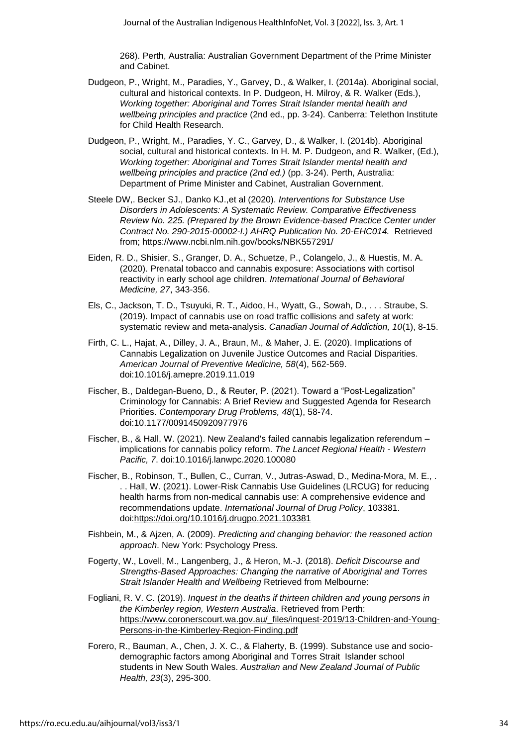268). Perth, Australia: Australian Government Department of the Prime Minister and Cabinet.

- Dudgeon, P., Wright, M., Paradies, Y., Garvey, D., & Walker, I. (2014a). Aboriginal social, cultural and historical contexts. In P. Dudgeon, H. Milroy, & R. Walker (Eds.), *Working together: Aboriginal and Torres Strait Islander mental health and wellbeing principles and practice* (2nd ed., pp. 3-24). Canberra: Telethon Institute for Child Health Research.
- Dudgeon, P., Wright, M., Paradies, Y. C., Garvey, D., & Walker, I. (2014b). Aboriginal social, cultural and historical contexts. In H. M. P. Dudgeon, and R. Walker, (Ed.), *Working together: Aboriginal and Torres Strait Islander mental health and wellbeing principles and practice (2nd ed.)* (pp. 3-24). Perth, Australia: Department of Prime Minister and Cabinet, Australian Government.
- Steele DW,. Becker SJ., Danko KJ.,et al (2020). *Interventions for Substance Use Disorders in Adolescents: A Systematic Review. Comparative Effectiveness Review No. 225. (Prepared by the Brown Evidence-based Practice Center under Contract No. 290-2015-00002-I.) AHRQ Publication No. 20-EHC014.* Retrieved from; https://www.ncbi.nlm.nih.gov/books/NBK557291/
- Eiden, R. D., Shisier, S., Granger, D. A., Schuetze, P., Colangelo, J., & Huestis, M. A. (2020). Prenatal tobacco and cannabis exposure: Associations with cortisol reactivity in early school age children. *International Journal of Behavioral Medicine, 27*, 343-356.
- Els, C., Jackson, T. D., Tsuyuki, R. T., Aidoo, H., Wyatt, G., Sowah, D., . . . Straube, S. (2019). Impact of cannabis use on road traffic collisions and safety at work: systematic review and meta-analysis. *Canadian Journal of Addiction, 10*(1), 8-15.
- Firth, C. L., Hajat, A., Dilley, J. A., Braun, M., & Maher, J. E. (2020). Implications of Cannabis Legalization on Juvenile Justice Outcomes and Racial Disparities. *American Journal of Preventive Medicine, 58*(4), 562-569. doi:10.1016/j.amepre.2019.11.019
- Fischer, B., Daldegan-Bueno, D., & Reuter, P. (2021). Toward a "Post-Legalization" Criminology for Cannabis: A Brief Review and Suggested Agenda for Research Priorities. *Contemporary Drug Problems, 48*(1), 58-74. doi:10.1177/0091450920977976
- Fischer, B., & Hall, W. (2021). New Zealand's failed cannabis legalization referendum implications for cannabis policy reform. *The Lancet Regional Health - Western Pacific, 7*. doi:10.1016/j.lanwpc.2020.100080
- Fischer, B., Robinson, T., Bullen, C., Curran, V., Jutras-Aswad, D., Medina-Mora, M. E., . . . Hall, W. (2021). Lower-Risk Cannabis Use Guidelines (LRCUG) for reducing health harms from non-medical cannabis use: A comprehensive evidence and recommendations update. *International Journal of Drug Policy*, 103381. doi[:https://doi.org/10.1016/j.drugpo.2021.103381](https://doi.org/10.1016/j.drugpo.2021.103381)
- Fishbein, M., & Ajzen, A. (2009). *Predicting and changing behavior: the reasoned action approach*. New York: Psychology Press.
- Fogerty, W., Lovell, M., Langenberg, J., & Heron, M.-J. (2018). *Deficit Discourse and Strengths-Based Approaches: Changing the narrative of Aboriginal and Torres Strait Islander Health and Wellbeing* Retrieved from Melbourne:
- Fogliani, R. V. C. (2019). *Inquest in the deaths if thirteen children and young persons in the Kimberley region, Western Australia*. Retrieved from Perth: [https://www.coronerscourt.wa.gov.au/\\_files/inquest-2019/13-Children-and-Young-](https://www.coronerscourt.wa.gov.au/_files/inquest-2019/13-Children-and-Young-Persons-in-the-Kimberley-Region-Finding.pdf)[Persons-in-the-Kimberley-Region-Finding.pdf](https://www.coronerscourt.wa.gov.au/_files/inquest-2019/13-Children-and-Young-Persons-in-the-Kimberley-Region-Finding.pdf)
- Forero, R., Bauman, A., Chen, J. X. C., & Flaherty, B. (1999). Substance use and sociodemographic factors among Aboriginal and Torres Strait Islander school students in New South Wales. *Australian and New Zealand Journal of Public Health, 23*(3), 295-300.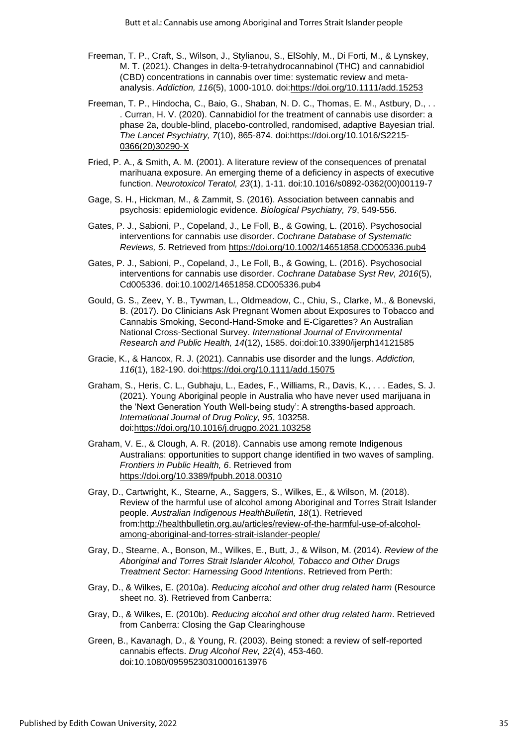- Freeman, T. P., Craft, S., Wilson, J., Stylianou, S., ElSohly, M., Di Forti, M., & Lynskey, M. T. (2021). Changes in delta-9-tetrahydrocannabinol (THC) and cannabidiol (CBD) concentrations in cannabis over time: systematic review and metaanalysis. *Addiction, 116*(5), 1000-1010. doi[:https://doi.org/10.1111/add.15253](https://doi.org/10.1111/add.15253)
- Freeman, T. P., Hindocha, C., Baio, G., Shaban, N. D. C., Thomas, E. M., Astbury, D., . . . Curran, H. V. (2020). Cannabidiol for the treatment of cannabis use disorder: a phase 2a, double-blind, placebo-controlled, randomised, adaptive Bayesian trial. *The Lancet Psychiatry, 7*(10), 865-874. doi[:https://doi.org/10.1016/S2215-](https://doi.org/10.1016/S2215-0366(20)30290-X) [0366\(20\)30290-X](https://doi.org/10.1016/S2215-0366(20)30290-X)
- Fried, P. A., & Smith, A. M. (2001). A literature review of the consequences of prenatal marihuana exposure. An emerging theme of a deficiency in aspects of executive function. *Neurotoxicol Teratol, 23*(1), 1-11. doi:10.1016/s0892-0362(00)00119-7
- Gage, S. H., Hickman, M., & Zammit, S. (2016). Association between cannabis and psychosis: epidemiologic evidence. *Biological Psychiatry, 79*, 549-556.
- Gates, P. J., Sabioni, P., Copeland, J., Le Foll, B., & Gowing, L. (2016). Psychosocial interventions for cannabis use disorder. *Cochrane Database of Systematic Reviews, 5*. Retrieved from<https://doi.org/10.1002/14651858.CD005336.pub4>
- Gates, P. J., Sabioni, P., Copeland, J., Le Foll, B., & Gowing, L. (2016). Psychosocial interventions for cannabis use disorder. *Cochrane Database Syst Rev, 2016*(5), Cd005336. doi:10.1002/14651858.CD005336.pub4
- Gould, G. S., Zeev, Y. B., Tywman, L., Oldmeadow, C., Chiu, S., Clarke, M., & Bonevski, B. (2017). Do Clinicians Ask Pregnant Women about Exposures to Tobacco and Cannabis Smoking, Second-Hand-Smoke and E-Cigarettes? An Australian National Cross-Sectional Survey. *International Journal of Environmental Research and Public Health, 14*(12), 1585. doi:doi:10.3390/ijerph14121585
- Gracie, K., & Hancox, R. J. (2021). Cannabis use disorder and the lungs. *Addiction, 116*(1), 182-190. doi[:https://doi.org/10.1111/add.15075](https://doi.org/10.1111/add.15075)
- Graham, S., Heris, C. L., Gubhaju, L., Eades, F., Williams, R., Davis, K., . . . Eades, S. J. (2021). Young Aboriginal people in Australia who have never used marijuana in the 'Next Generation Youth Well-being study': A strengths-based approach. *International Journal of Drug Policy, 95*, 103258. doi[:https://doi.org/10.1016/j.drugpo.2021.103258](https://doi.org/10.1016/j.drugpo.2021.103258)
- Graham, V. E., & Clough, A. R. (2018). Cannabis use among remote Indigenous Australians: opportunities to support change identified in two waves of sampling. *Frontiers in Public Health, 6*. Retrieved from <https://doi.org/10.3389/fpubh.2018.00310>
- Gray, D., Cartwright, K., Stearne, A., Saggers, S., Wilkes, E., & Wilson, M. (2018). Review of the harmful use of alcohol among Aboriginal and Torres Strait Islander people. *Australian Indigenous HealthBulletin, 18*(1). Retrieved from[:http://healthbulletin.org.au/articles/review-of-the-harmful-use-of-alcohol](http://healthbulletin.org.au/articles/review-of-the-harmful-use-of-alcohol-among-aboriginal-and-torres-strait-islander-people/)[among-aboriginal-and-torres-strait-islander-people/](http://healthbulletin.org.au/articles/review-of-the-harmful-use-of-alcohol-among-aboriginal-and-torres-strait-islander-people/)
- Gray, D., Stearne, A., Bonson, M., Wilkes, E., Butt, J., & Wilson, M. (2014). *Review of the Aboriginal and Torres Strait Islander Alcohol, Tobacco and Other Drugs Treatment Sector: Harnessing Good Intentions*. Retrieved from Perth:
- Gray, D., & Wilkes, E. (2010a). *Reducing alcohol and other drug related harm* (Resource sheet no. 3). Retrieved from Canberra:
- Gray, D., & Wilkes, E. (2010b). *Reducing alcohol and other drug related harm*. Retrieved from Canberra: Closing the Gap Clearinghouse
- Green, B., Kavanagh, D., & Young, R. (2003). Being stoned: a review of self-reported cannabis effects. *Drug Alcohol Rev, 22*(4), 453-460. doi:10.1080/09595230310001613976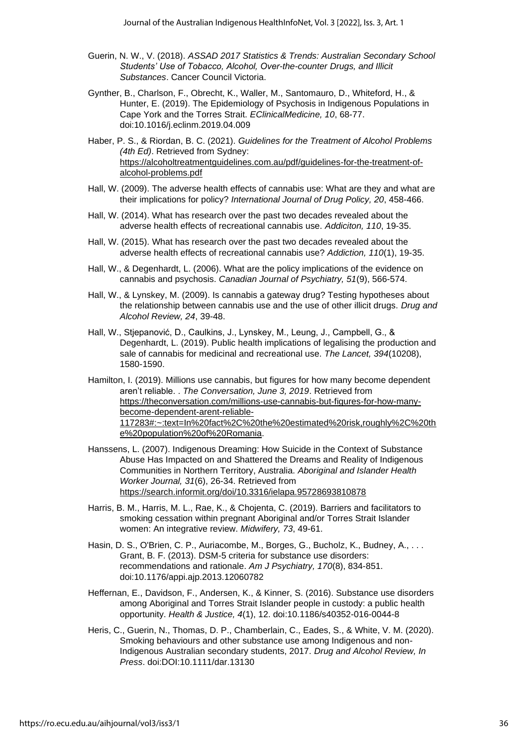- Guerin, N. W., V. (2018). *ASSAD 2017 Statistics & Trends: Australian Secondary School Students' Use of Tobacco, Alcohol, Over-the-counter Drugs, and Illicit Substances*. Cancer Council Victoria.
- Gynther, B., Charlson, F., Obrecht, K., Waller, M., Santomauro, D., Whiteford, H., & Hunter, E. (2019). The Epidemiology of Psychosis in Indigenous Populations in Cape York and the Torres Strait. *EClinicalMedicine, 10*, 68-77. doi:10.1016/j.eclinm.2019.04.009
- Haber, P. S., & Riordan, B. C. (2021). *Guidelines for the Treatment of Alcohol Problems (4th Ed)*. Retrieved from Sydney: [https://alcoholtreatmentguidelines.com.au/pdf/guidelines-for-the-treatment-of](https://alcoholtreatmentguidelines.com.au/pdf/guidelines-for-the-treatment-of-alcohol-problems.pdf)[alcohol-problems.pdf](https://alcoholtreatmentguidelines.com.au/pdf/guidelines-for-the-treatment-of-alcohol-problems.pdf)
- Hall, W. (2009). The adverse health effects of cannabis use: What are they and what are their implications for policy? *International Journal of Drug Policy, 20*, 458-466.
- Hall, W. (2014). What has research over the past two decades revealed about the adverse health effects of recreational cannabis use. *Addiciton, 110*, 19-35.
- Hall, W. (2015). What has research over the past two decades revealed about the adverse health effects of recreational cannabis use? *Addiction, 110*(1), 19-35.
- Hall, W., & Degenhardt, L. (2006). What are the policy implications of the evidence on cannabis and psychosis. *Canadian Journal of Psychiatry, 51*(9), 566-574.
- Hall, W., & Lynskey, M. (2009). Is cannabis a gateway drug? Testing hypotheses about the relationship between cannabis use and the use of other illicit drugs. *Drug and Alcohol Review, 24*, 39-48.
- Hall, W., Stjepanović, D., Caulkins, J., Lynskey, M., Leung, J., Campbell, G., & Degenhardt, L. (2019). Public health implications of legalising the production and sale of cannabis for medicinal and recreational use. *The Lancet, 394*(10208), 1580-1590.
- Hamilton, I. (2019). Millions use cannabis, but figures for how many become dependent aren't reliable. . *The Conversation, June 3, 2019*. Retrieved from [https://theconversation.com/millions-use-cannabis-but-figures-for-how-many](https://theconversation.com/millions-use-cannabis-but-figures-for-how-many-become-dependent-arent-reliable-117283#:~:text=In%20fact%2C%20the%20estimated%20risk,roughly%2C%20the%20population%20of%20Romania)[become-dependent-arent-reliable-](https://theconversation.com/millions-use-cannabis-but-figures-for-how-many-become-dependent-arent-reliable-117283#:~:text=In%20fact%2C%20the%20estimated%20risk,roughly%2C%20the%20population%20of%20Romania)[117283#:~:text=In%20fact%2C%20the%20estimated%20risk,roughly%2C%20th](https://theconversation.com/millions-use-cannabis-but-figures-for-how-many-become-dependent-arent-reliable-117283#:~:text=In%20fact%2C%20the%20estimated%20risk,roughly%2C%20the%20population%20of%20Romania) [e%20population%20of%20Romania.](https://theconversation.com/millions-use-cannabis-but-figures-for-how-many-become-dependent-arent-reliable-117283#:~:text=In%20fact%2C%20the%20estimated%20risk,roughly%2C%20the%20population%20of%20Romania)
- Hanssens, L. (2007). Indigenous Dreaming: How Suicide in the Context of Substance Abuse Has Impacted on and Shattered the Dreams and Reality of Indigenous Communities in Northern Territory, Australia. *Aboriginal and Islander Health Worker Journal, 31*(6), 26-34. Retrieved from <https://search.informit.org/doi/10.3316/ielapa.95728693810878>
- Harris, B. M., Harris, M. L., Rae, K., & Chojenta, C. (2019). Barriers and facilitators to smoking cessation within pregnant Aboriginal and/or Torres Strait Islander women: An integrative review. *Midwifery, 73*, 49-61.
- Hasin, D. S., O'Brien, C. P., Auriacombe, M., Borges, G., Bucholz, K., Budney, A., ... Grant, B. F. (2013). DSM-5 criteria for substance use disorders: recommendations and rationale. *Am J Psychiatry, 170*(8), 834-851. doi:10.1176/appi.ajp.2013.12060782
- Heffernan, E., Davidson, F., Andersen, K., & Kinner, S. (2016). Substance use disorders among Aboriginal and Torres Strait Islander people in custody: a public health opportunity. *Health & Justice, 4*(1), 12. doi:10.1186/s40352-016-0044-8
- Heris, C., Guerin, N., Thomas, D. P., Chamberlain, C., Eades, S., & White, V. M. (2020). Smoking behaviours and other substance use among Indigenous and non-Indigenous Australian secondary students, 2017. *Drug and Alcohol Review, In Press*. doi:DOI:10.1111/dar.13130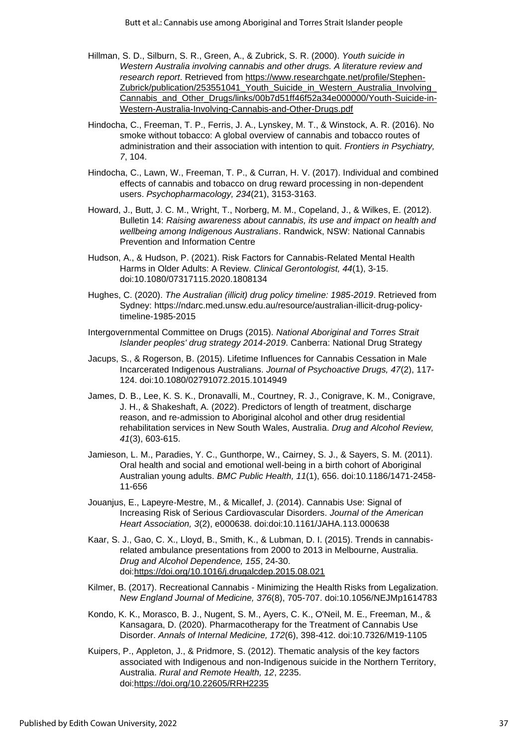- Hillman, S. D., Silburn, S. R., Green, A., & Zubrick, S. R. (2000). *Youth suicide in Western Australia involving cannabis and other drugs. A literature review and research report*. Retrieved from [https://www.researchgate.net/profile/Stephen-](https://www.researchgate.net/profile/Stephen-Zubrick/publication/253551041_Youth_Suicide_in_Western_Australia_Involving_Cannabis_and_Other_Drugs/links/00b7d51ff46f52a34e000000/Youth-Suicide-in-Western-Australia-Involving-Cannabis-and-Other-Drugs.pdf)[Zubrick/publication/253551041\\_Youth\\_Suicide\\_in\\_Western\\_Australia\\_Involving\\_](https://www.researchgate.net/profile/Stephen-Zubrick/publication/253551041_Youth_Suicide_in_Western_Australia_Involving_Cannabis_and_Other_Drugs/links/00b7d51ff46f52a34e000000/Youth-Suicide-in-Western-Australia-Involving-Cannabis-and-Other-Drugs.pdf) [Cannabis\\_and\\_Other\\_Drugs/links/00b7d51ff46f52a34e000000/Youth-Suicide-in-](https://www.researchgate.net/profile/Stephen-Zubrick/publication/253551041_Youth_Suicide_in_Western_Australia_Involving_Cannabis_and_Other_Drugs/links/00b7d51ff46f52a34e000000/Youth-Suicide-in-Western-Australia-Involving-Cannabis-and-Other-Drugs.pdf)[Western-Australia-Involving-Cannabis-and-Other-Drugs.pdf](https://www.researchgate.net/profile/Stephen-Zubrick/publication/253551041_Youth_Suicide_in_Western_Australia_Involving_Cannabis_and_Other_Drugs/links/00b7d51ff46f52a34e000000/Youth-Suicide-in-Western-Australia-Involving-Cannabis-and-Other-Drugs.pdf)
- Hindocha, C., Freeman, T. P., Ferris, J. A., Lynskey, M. T., & Winstock, A. R. (2016). No smoke without tobacco: A global overview of cannabis and tobacco routes of administration and their association with intention to quit. *Frontiers in Psychiatry, 7*, 104.
- Hindocha, C., Lawn, W., Freeman, T. P., & Curran, H. V. (2017). Individual and combined effects of cannabis and tobacco on drug reward processing in non-dependent users. *Psychopharmacology, 234*(21), 3153-3163.
- Howard, J., Butt, J. C. M., Wright, T., Norberg, M. M., Copeland, J., & Wilkes, E. (2012). Bulletin 14: *Raising awareness about cannabis, its use and impact on health and wellbeing among Indigenous Australians*. Randwick, NSW: National Cannabis Prevention and Information Centre
- Hudson, A., & Hudson, P. (2021). Risk Factors for Cannabis-Related Mental Health Harms in Older Adults: A Review. *Clinical Gerontologist, 44*(1), 3-15. doi:10.1080/07317115.2020.1808134
- Hughes, C. (2020). *The Australian (illicit) drug policy timeline: 1985-2019*. Retrieved from Sydney: https://ndarc.med.unsw.edu.au/resource/australian-illicit-drug-policytimeline-1985-2015
- Intergovernmental Committee on Drugs (2015). *National Aboriginal and Torres Strait Islander peoples' drug strategy 2014-2019*. Canberra: National Drug Strategy
- Jacups, S., & Rogerson, B. (2015). Lifetime Influences for Cannabis Cessation in Male Incarcerated Indigenous Australians. *Journal of Psychoactive Drugs, 47*(2), 117- 124. doi:10.1080/02791072.2015.1014949
- James, D. B., Lee, K. S. K., Dronavalli, M., Courtney, R. J., Conigrave, K. M., Conigrave, J. H., & Shakeshaft, A. (2022). Predictors of length of treatment, discharge reason, and re-admission to Aboriginal alcohol and other drug residential rehabilitation services in New South Wales, Australia. *Drug and Alcohol Review, 41*(3), 603-615.
- Jamieson, L. M., Paradies, Y. C., Gunthorpe, W., Cairney, S. J., & Sayers, S. M. (2011). Oral health and social and emotional well-being in a birth cohort of Aboriginal Australian young adults. *BMC Public Health, 11*(1), 656. doi:10.1186/1471-2458- 11-656
- Jouanjus, E., Lapeyre‐Mestre, M., & Micallef, J. (2014). Cannabis Use: Signal of Increasing Risk of Serious Cardiovascular Disorders. *Journal of the American Heart Association, 3*(2), e000638. doi:doi:10.1161/JAHA.113.000638
- Kaar, S. J., Gao, C. X., Lloyd, B., Smith, K., & Lubman, D. I. (2015). Trends in cannabisrelated ambulance presentations from 2000 to 2013 in Melbourne, Australia. *Drug and Alcohol Dependence, 155*, 24-30. doi[:https://doi.org/10.1016/j.drugalcdep.2015.08.021](https://doi.org/10.1016/j.drugalcdep.2015.08.021)
- Kilmer, B. (2017). Recreational Cannabis Minimizing the Health Risks from Legalization. *New England Journal of Medicine, 376*(8), 705-707. doi:10.1056/NEJMp1614783
- Kondo, K. K., Morasco, B. J., Nugent, S. M., Ayers, C. K., O'Neil, M. E., Freeman, M., & Kansagara, D. (2020). Pharmacotherapy for the Treatment of Cannabis Use Disorder. *Annals of Internal Medicine, 172*(6), 398-412. doi:10.7326/M19-1105
- Kuipers, P., Appleton, J., & Pridmore, S. (2012). Thematic analysis of the key factors associated with Indigenous and non-Indigenous suicide in the Northern Territory, Australia. *Rural and Remote Health, 12*, 2235. doi[:https://doi.org/10.22605/RRH2235](https://doi.org/10.22605/RRH2235)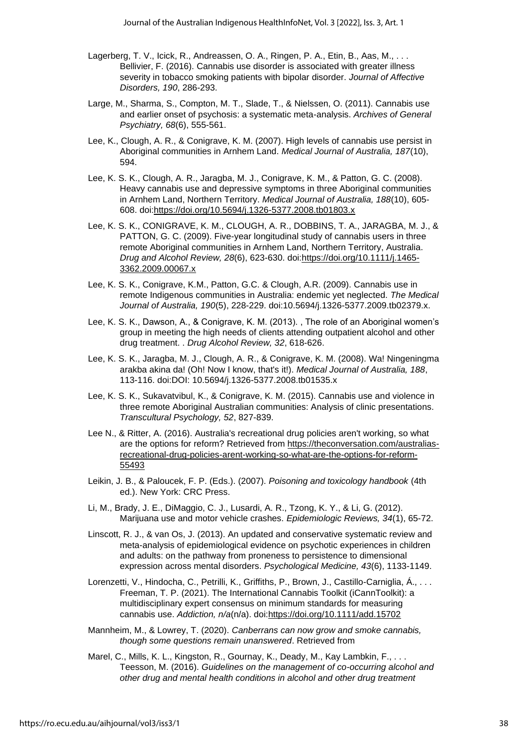- Lagerberg, T. V., Icick, R., Andreassen, O. A., Ringen, P. A., Etin, B., Aas, M., ... Bellivier, F. (2016). Cannabis use disorder is associated with greater illness severity in tobacco smoking patients with bipolar disorder. *Journal of Affective Disorders, 190*, 286-293.
- Large, M., Sharma, S., Compton, M. T., Slade, T., & Nielssen, O. (2011). Cannabis use and earlier onset of psychosis: a systematic meta-analysis. *Archives of General Psychiatry, 68*(6), 555-561.
- Lee, K., Clough, A. R., & Conigrave, K. M. (2007). High levels of cannabis use persist in Aboriginal communities in Arnhem Land. *Medical Journal of Australia, 187*(10), 594.
- Lee, K. S. K., Clough, A. R., Jaragba, M. J., Conigrave, K. M., & Patton, G. C. (2008). Heavy cannabis use and depressive symptoms in three Aboriginal communities in Arnhem Land, Northern Territory. *Medical Journal of Australia, 188*(10), 605- 608. doi[:https://doi.org/10.5694/j.1326-5377.2008.tb01803.x](https://doi.org/10.5694/j.1326-5377.2008.tb01803.x)
- Lee, K. S. K., CONIGRAVE, K. M., CLOUGH, A. R., DOBBINS, T. A., JARAGBA, M. J., & PATTON, G. C. (2009). Five-year longitudinal study of cannabis users in three remote Aboriginal communities in Arnhem Land, Northern Territory, Australia. *Drug and Alcohol Review, 28*(6), 623-630. doi[:https://doi.org/10.1111/j.1465-](https://doi.org/10.1111/j.1465-3362.2009.00067.x) [3362.2009.00067.x](https://doi.org/10.1111/j.1465-3362.2009.00067.x)
- Lee, K. S. K., Conigrave, K.M., Patton, G.C. & Clough, A.R. (2009). Cannabis use in remote Indigenous communities in Australia: endemic yet neglected. *The Medical Journal of Australia, 190*(5), 228-229. doi:10.5694/j.1326-5377.2009.tb02379.x.
- Lee, K. S. K., Dawson, A., & Conigrave, K. M. (2013). , The role of an Aboriginal women's group in meeting the high needs of clients attending outpatient alcohol and other drug treatment. . *Drug Alcohol Review, 32*, 618-626.
- Lee, K. S. K., Jaragba, M. J., Clough, A. R., & Conigrave, K. M. (2008). Wa! Ningeningma arakba akina da! (Oh! Now I know, that's it!). *Medical Journal of Australia, 188*, 113-116. doi:DOI: 10.5694/j.1326-5377.2008.tb01535.x
- Lee, K. S. K., Sukavatvibul, K., & Conigrave, K. M. (2015). Cannabis use and violence in three remote Aboriginal Australian communities: Analysis of clinic presentations. *Transcultural Psychology, 52*, 827-839.
- Lee N., & Ritter, A. (2016). Australia's recreational drug policies aren't working, so what are the options for reform? Retrieved from [https://theconversation.com/australias](https://theconversation.com/australias-recreational-drug-policies-arent-working-so-what-are-the-options-for-reform-55493)[recreational-drug-policies-arent-working-so-what-are-the-options-for-reform-](https://theconversation.com/australias-recreational-drug-policies-arent-working-so-what-are-the-options-for-reform-55493)[55493](https://theconversation.com/australias-recreational-drug-policies-arent-working-so-what-are-the-options-for-reform-55493)
- Leikin, J. B., & Paloucek, F. P. (Eds.). (2007). *Poisoning and toxicology handbook* (4th ed.). New York: CRC Press.
- Li, M., Brady, J. E., DiMaggio, C. J., Lusardi, A. R., Tzong, K. Y., & Li, G. (2012). Marijuana use and motor vehicle crashes. *Epidemiologic Reviews, 34*(1), 65-72.
- Linscott, R. J., & van Os, J. (2013). An updated and conservative systematic review and meta-analysis of epidemiological evidence on psychotic experiences in children and adults: on the pathway from proneness to persistence to dimensional expression across mental disorders. *Psychological Medicine, 43*(6), 1133-1149.
- Lorenzetti, V., Hindocha, C., Petrilli, K., Griffiths, P., Brown, J., Castillo-Carniglia, Á., . . . Freeman, T. P. (2021). The International Cannabis Toolkit (iCannToolkit): a multidisciplinary expert consensus on minimum standards for measuring cannabis use. *Addiction, n/a*(n/a). doi[:https://doi.org/10.1111/add.15702](https://doi.org/10.1111/add.15702)
- Mannheim, M., & Lowrey, T. (2020). *Canberrans can now grow and smoke cannabis, though some questions remain unanswered*. Retrieved from
- Marel, C., Mills, K. L., Kingston, R., Gournay, K., Deady, M., Kay Lambkin, F., . . . Teesson, M. (2016). *Guidelines on the management of co-occurring alcohol and other drug and mental health conditions in alcohol and other drug treatment*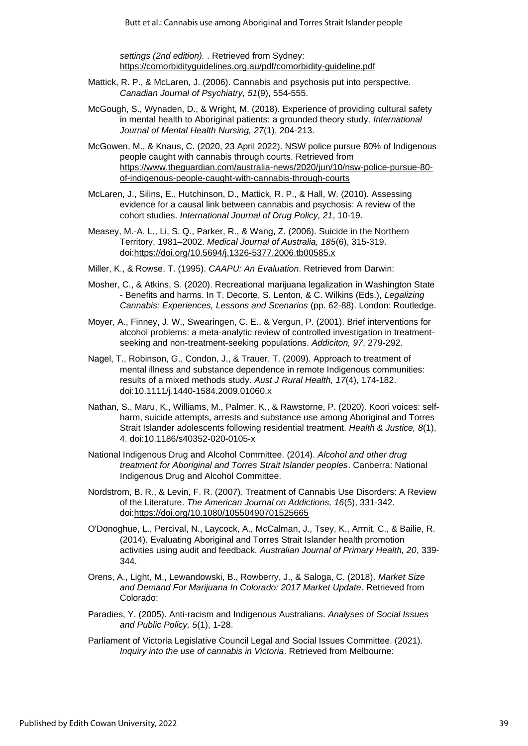*settings (2nd edition).* . Retrieved from Sydney: <https://comorbidityguidelines.org.au/pdf/comorbidity-guideline.pdf>

- Mattick, R. P., & McLaren, J. (2006). Cannabis and psychosis put into perspective. *Canadian Journal of Psychiatry, 51*(9), 554-555.
- McGough, S., Wynaden, D., & Wright, M. (2018). Experience of providing cultural safety in mental health to Aboriginal patients: a grounded theory study. *International Journal of Mental Health Nursing, 27*(1), 204-213.
- McGowen, M., & Knaus, C. (2020, 23 April 2022). NSW police pursue 80% of Indigenous people caught with cannabis through courts. Retrieved from [https://www.theguardian.com/australia-news/2020/jun/10/nsw-police-pursue-80](https://www.theguardian.com/australia-news/2020/jun/10/nsw-police-pursue-80-of-indigenous-people-caught-with-cannabis-through-courts) [of-indigenous-people-caught-with-cannabis-through-courts](https://www.theguardian.com/australia-news/2020/jun/10/nsw-police-pursue-80-of-indigenous-people-caught-with-cannabis-through-courts)
- McLaren, J., Silins, E., Hutchinson, D., Mattick, R. P., & Hall, W. (2010). Assessing evidence for a causal link between cannabis and psychosis: A review of the cohort studies. *International Journal of Drug Policy, 21*, 10-19.
- Measey, M.-A. L., Li, S. Q., Parker, R., & Wang, Z. (2006). Suicide in the Northern Territory, 1981–2002. *Medical Journal of Australia, 185*(6), 315-319. doi[:https://doi.org/10.5694/j.1326-5377.2006.tb00585.x](https://doi.org/10.5694/j.1326-5377.2006.tb00585.x)
- Miller, K., & Rowse, T. (1995). *CAAPU: An Evaluation*. Retrieved from Darwin:
- Mosher, C., & Atkins, S. (2020). Recreational marijuana legalization in Washington State - Benefits and harms. In T. Decorte, S. Lenton, & C. Wilkins (Eds.), *Legalizing Cannabis: Experiences, Lessons and Scenarios* (pp. 62-88). London: Routledge.
- Moyer, A., Finney, J. W., Swearingen, C. E., & Vergun, P. (2001). Brief interventions for alcohol problems: a meta-analytic review of controlled investigation in treatmentseeking and non-treatment-seeking populations. *Addiciton, 97*, 279-292.
- Nagel, T., Robinson, G., Condon, J., & Trauer, T. (2009). Approach to treatment of mental illness and substance dependence in remote Indigenous communities: results of a mixed methods study. *Aust J Rural Health, 17*(4), 174-182. doi:10.1111/j.1440-1584.2009.01060.x
- Nathan, S., Maru, K., Williams, M., Palmer, K., & Rawstorne, P. (2020). Koori voices: selfharm, suicide attempts, arrests and substance use among Aboriginal and Torres Strait Islander adolescents following residential treatment. *Health & Justice, 8*(1), 4. doi:10.1186/s40352-020-0105-x
- National Indigenous Drug and Alcohol Committee. (2014). *Alcohol and other drug treatment for Aboriginal and Torres Strait Islander peoples*. Canberra: National Indigenous Drug and Alcohol Committee.
- Nordstrom, B. R., & Levin, F. R. (2007). Treatment of Cannabis Use Disorders: A Review of the Literature. *The American Journal on Addictions, 16*(5), 331-342. doi[:https://doi.org/10.1080/10550490701525665](https://doi.org/10.1080/10550490701525665)
- O'Donoghue, L., Percival, N., Laycock, A., McCalman, J., Tsey, K., Armit, C., & Bailie, R. (2014). Evaluating Aboriginal and Torres Strait Islander health promotion activities using audit and feedback. *Australian Journal of Primary Health, 20*, 339- 344.
- Orens, A., Light, M., Lewandowski, B., Rowberry, J., & Saloga, C. (2018). *Market Size and Demand For Marijuana In Colorado: 2017 Market Update*. Retrieved from Colorado:
- Paradies, Y. (2005). Anti-racism and Indigenous Australians. *Analyses of Social Issues and Public Policy, 5*(1), 1-28.
- Parliament of Victoria Legislative Council Legal and Social Issues Committee. (2021). *Inquiry into the use of cannabis in Victoria*. Retrieved from Melbourne: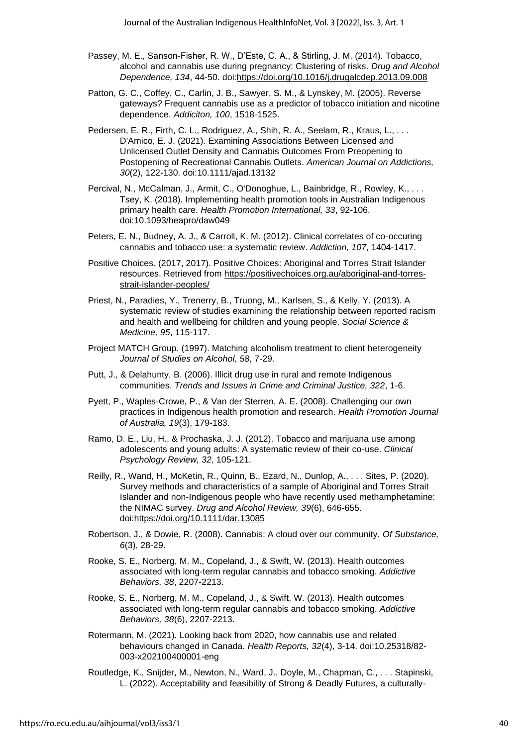- Passey, M. E., Sanson-Fisher, R. W., D'Este, C. A., & Stirling, J. M. (2014). Tobacco, alcohol and cannabis use during pregnancy: Clustering of risks. *Drug and Alcohol Dependence, 134*, 44-50. doi[:https://doi.org/10.1016/j.drugalcdep.2013.09.008](https://doi.org/10.1016/j.drugalcdep.2013.09.008)
- Patton, G. C., Coffey, C., Carlin, J. B., Sawyer, S. M., & Lynskey, M. (2005). Reverse gateways? Frequent cannabis use as a predictor of tobacco initiation and nicotine dependence. *Addiciton, 100*, 1518-1525.
- Pedersen, E. R., Firth, C. L., Rodriguez, A., Shih, R. A., Seelam, R., Kraus, L., . . . D'Amico, E. J. (2021). Examining Associations Between Licensed and Unlicensed Outlet Density and Cannabis Outcomes From Preopening to Postopening of Recreational Cannabis Outlets. *American Journal on Addictions, 30*(2), 122-130. doi:10.1111/ajad.13132
- Percival, N., McCalman, J., Armit, C., O'Donoghue, L., Bainbridge, R., Rowley, K., . . . Tsey, K. (2018). Implementing health promotion tools in Australian Indigenous primary health care. *Health Promotion International, 33*, 92-106. doi:10.1093/heapro/daw049
- Peters, E. N., Budney, A. J., & Carroll, K. M. (2012). Clinical correlates of co-occuring cannabis and tobacco use: a systematic review. *Addiction, 107*, 1404-1417.
- Positive Choices. (2017, 2017). Positive Choices: Aboriginal and Torres Strait Islander resources. Retrieved from [https://positivechoices.org.au/aboriginal-and-torres](https://positivechoices.org.au/aboriginal-and-torres-strait-islander-peoples/)[strait-islander-peoples/](https://positivechoices.org.au/aboriginal-and-torres-strait-islander-peoples/)
- Priest, N., Paradies, Y., Trenerry, B., Truong, M., Karlsen, S., & Kelly, Y. (2013). A systematic review of studies examining the relationship between reported racism and health and wellbeing for children and young people. *Social Science & Medicine, 95*, 115-117.
- Project MATCH Group. (1997). Matching alcoholism treatment to client heterogeneity *Journal of Studies on Alcohol, 58*, 7-29.
- Putt, J., & Delahunty, B. (2006). Illicit drug use in rural and remote Indigenous communities. *Trends and Issues in Crime and Criminal Justice, 322*, 1-6.
- Pyett, P., Waples-Crowe, P., & Van der Sterren, A. E. (2008). Challenging our own practices in Indigenous health promotion and research. *Health Promotion Journal of Australia, 19*(3), 179-183.
- Ramo, D. E., Liu, H., & Prochaska, J. J. (2012). Tobacco and marijuana use among adolescents and young adults: A systematic review of their co-use. *Clinical Psychology Review, 32*, 105-121.
- Reilly, R., Wand, H., McKetin, R., Quinn, B., Ezard, N., Dunlop, A., . . . Sites, P. (2020). Survey methods and characteristics of a sample of Aboriginal and Torres Strait Islander and non-Indigenous people who have recently used methamphetamine: the NIMAC survey. *Drug and Alcohol Review, 39*(6), 646-655. doi[:https://doi.org/10.1111/dar.13085](https://doi.org/10.1111/dar.13085)
- Robertson, J., & Dowie, R. (2008). Cannabis: A cloud over our community. *Of Substance, 6*(3), 28-29.
- Rooke, S. E., Norberg, M. M., Copeland, J., & Swift, W. (2013). Health outcomes associated with long-term regular cannabis and tobacco smoking. *Addictive Behaviors, 38*, 2207-2213.
- Rooke, S. E., Norberg, M. M., Copeland, J., & Swift, W. (2013). Health outcomes associated with long-term regular cannabis and tobacco smoking. *Addictive Behaviors, 38*(6), 2207-2213.
- Rotermann, M. (2021). Looking back from 2020, how cannabis use and related behaviours changed in Canada. *Health Reports, 32*(4), 3-14. doi:10.25318/82- 003-x202100400001-eng
- Routledge, K., Snijder, M., Newton, N., Ward, J., Doyle, M., Chapman, C., . . . Stapinski, L. (2022). Acceptability and feasibility of Strong & Deadly Futures, a culturally-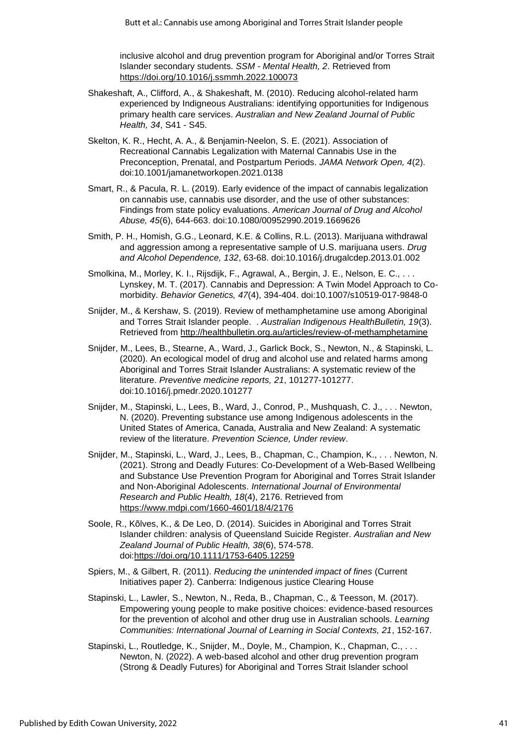inclusive alcohol and drug prevention program for Aboriginal and/or Torres Strait Islander secondary students. *SSM - Mental Health, 2*. Retrieved from <https://doi.org/10.1016/j.ssmmh.2022.100073>

- Shakeshaft, A., Clifford, A., & Shakeshaft, M. (2010). Reducing alcohol-related harm experienced by Indigneous Australians: identifying opportunities for Indigenous primary health care services. *Australian and New Zealand Journal of Public Health, 34*, S41 - S45.
- Skelton, K. R., Hecht, A. A., & Benjamin-Neelon, S. E. (2021). Association of Recreational Cannabis Legalization with Maternal Cannabis Use in the Preconception, Prenatal, and Postpartum Periods. *JAMA Network Open, 4*(2). doi:10.1001/jamanetworkopen.2021.0138
- Smart, R., & Pacula, R. L. (2019). Early evidence of the impact of cannabis legalization on cannabis use, cannabis use disorder, and the use of other substances: Findings from state policy evaluations. *American Journal of Drug and Alcohol Abuse, 45*(6), 644-663. doi:10.1080/00952990.2019.1669626
- Smith, P. H., Homish, G.G., Leonard, K.E. & Collins, R.L. (2013). Marijuana withdrawal and aggression among a representative sample of U.S. marijuana users. *Drug and Alcohol Dependence, 132*, 63-68. doi:10.1016/j.drugalcdep.2013.01.002
- Smolkina, M., Morley, K. I., Rijsdijk, F., Agrawal, A., Bergin, J. E., Nelson, E. C., . . . Lynskey, M. T. (2017). Cannabis and Depression: A Twin Model Approach to Comorbidity. *Behavior Genetics, 47*(4), 394-404. doi:10.1007/s10519-017-9848-0
- Snijder, M., & Kershaw, S. (2019). Review of methamphetamine use among Aboriginal and Torres Strait Islander people. . *Australian Indigenous HealthBulletin, 19*(3). Retrieved from<http://healthbulletin.org.au/articles/review-of-methamphetamine>
- Snijder, M., Lees, B., Stearne, A., Ward, J., Garlick Bock, S., Newton, N., & Stapinski, L. (2020). An ecological model of drug and alcohol use and related harms among Aboriginal and Torres Strait Islander Australians: A systematic review of the literature. *Preventive medicine reports, 21*, 101277-101277. doi:10.1016/j.pmedr.2020.101277
- Snijder, M., Stapinski, L., Lees, B., Ward, J., Conrod, P., Mushquash, C. J., . . . Newton, N. (2020). Preventing substance use among Indigenous adolescents in the United States of America, Canada, Australia and New Zealand: A systematic review of the literature. *Prevention Science, Under review*.
- Snijder, M., Stapinski, L., Ward, J., Lees, B., Chapman, C., Champion, K., . . . Newton, N. (2021). Strong and Deadly Futures: Co-Development of a Web-Based Wellbeing and Substance Use Prevention Program for Aboriginal and Torres Strait Islander and Non-Aboriginal Adolescents. *International Journal of Environmental Research and Public Health, 18*(4), 2176. Retrieved from <https://www.mdpi.com/1660-4601/18/4/2176>
- Soole, R., Kõlves, K., & De Leo, D. (2014). Suicides in Aboriginal and Torres Strait Islander children: analysis of Queensland Suicide Register. *Australian and New Zealand Journal of Public Health, 38*(6), 574-578. doi[:https://doi.org/10.1111/1753-6405.12259](https://doi.org/10.1111/1753-6405.12259)
- Spiers, M., & Gilbert, R. (2011). *Reducing the unintended impact of fines* (Current Initiatives paper 2). Canberra: Indigenous justice Clearing House
- Stapinski, L., Lawler, S., Newton, N., Reda, B., Chapman, C., & Teesson, M. (2017). Empowering young people to make positive choices: evidence-based resources for the prevention of alcohol and other drug use in Australian schools. *Learning Communities: International Journal of Learning in Social Contexts, 21*, 152-167.
- Stapinski, L., Routledge, K., Snijder, M., Doyle, M., Champion, K., Chapman, C., . . . Newton, N. (2022). A web-based alcohol and other drug prevention program (Strong & Deadly Futures) for Aboriginal and Torres Strait Islander school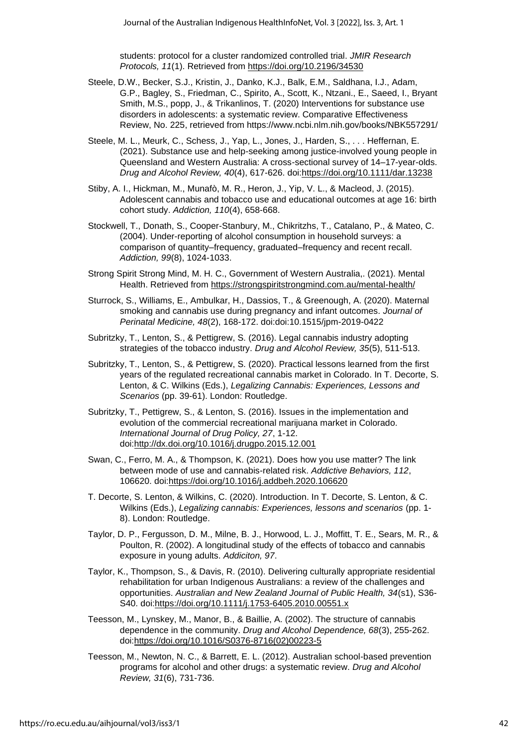students: protocol for a cluster randomized controlled trial. *JMIR Research Protocols, 11*(1). Retrieved from https://doi.org/10.2196/34530

- Steele, D.W., Becker, S.J., Kristin, J., Danko, K.J., Balk, E.M., Saldhana, I.J., Adam, G.P., Bagley, S., Friedman, C., Spirito, A., Scott, K., Ntzani., E., Saeed, I., Bryant Smith, M.S., popp, J., & Trikanlinos, T. (2020) Interventions for substance use disorders in adolescents: a systematic review. Comparative Effectiveness Review, No. 225, retrieved from https://www.ncbi.nlm.nih.gov/books/NBK557291/
- Steele, M. L., Meurk, C., Schess, J., Yap, L., Jones, J., Harden, S., . . . Heffernan, E. (2021). Substance use and help-seeking among justice-involved young people in Queensland and Western Australia: A cross-sectional survey of 14–17-year-olds. *Drug and Alcohol Review, 40*(4), 617-626. doi:https://doi.org/10.1111/dar.13238
- Stiby, A. I., Hickman, M., Munafò, M. R., Heron, J., Yip, V. L., & Macleod, J. (2015). Adolescent cannabis and tobacco use and educational outcomes at age 16: birth cohort study. *Addiction, 110*(4), 658-668.
- Stockwell, T., Donath, S., Cooper-Stanbury, M., Chikritzhs, T., Catalano, P., & Mateo, C. (2004). Under-reporting of alcohol consumption in household surveys: a comparison of quantity–frequency, graduated–frequency and recent recall. *Addiction, 99*(8), 1024-1033.
- Strong Spirit Strong Mind, M. H. C., Government of Western Australia,. (2021). Mental Health. Retrieved from https://strongspiritstrongmind.com.au/mental-health/
- Sturrock, S., Williams, E., Ambulkar, H., Dassios, T., & Greenough, A. (2020). Maternal smoking and cannabis use during pregnancy and infant outcomes. *Journal of Perinatal Medicine, 48*(2), 168-172. doi:doi:10.1515/jpm-2019-0422
- Subritzky, T., Lenton, S., & Pettigrew, S. (2016). Legal cannabis industry adopting strategies of the tobacco industry. *Drug and Alcohol Review, 35*(5), 511-513.
- Subritzky, T., Lenton, S., & Pettigrew, S. (2020). Practical lessons learned from the first years of the regulated recreational cannabis market in Colorado. In T. Decorte, S. Lenton, & C. Wilkins (Eds.), *Legalizing Cannabis: Experiences, Lessons and Scenarios* (pp. 39-61). London: Routledge.
- Subritzky, T., Pettigrew, S., & Lenton, S. (2016). Issues in the implementation and evolution of the commercial recreational marijuana market in Colorado. *International Journal of Drug Policy, 27*, 1-12. doi:http://dx.doi.org/10.1016/j.drugpo.2015.12.001
- Swan, C., Ferro, M. A., & Thompson, K. (2021). Does how you use matter? The link between mode of use and cannabis-related risk. *Addictive Behaviors, 112*, 106620. doi:https://doi.org/10.1016/j.addbeh.2020.106620
- T. Decorte, S. Lenton, & Wilkins, C. (2020). Introduction. In T. Decorte, S. Lenton, & C. Wilkins (Eds.), *Legalizing cannabis: Experiences, lessons and scenarios* (pp. 1- 8). London: Routledge.
- Taylor, D. P., Fergusson, D. M., Milne, B. J., Horwood, L. J., Moffitt, T. E., Sears, M. R., & Poulton, R. (2002). A longitudinal study of the effects of tobacco and cannabis exposure in young adults. *Addiciton, 97*.
- Taylor, K., Thompson, S., & Davis, R. (2010). Delivering culturally appropriate residential rehabilitation for urban Indigenous Australians: a review of the challenges and opportunities. *Australian and New Zealand Journal of Public Health, 34*(s1), S36- S40. doi:https://doi.org/10.1111/j.1753-6405.2010.00551.x
- Teesson, M., Lynskey, M., Manor, B., & Baillie, A. (2002). The structure of cannabis dependence in the community. *Drug and Alcohol Dependence, 68*(3), 255-262. doi:https://doi.org/10.1016/S0376-8716(02)00223-5
- Teesson, M., Newton, N. C., & Barrett, E. L. (2012). Australian school-based prevention programs for alcohol and other drugs: a systematic review. *Drug and Alcohol Review, 31*(6), 731-736.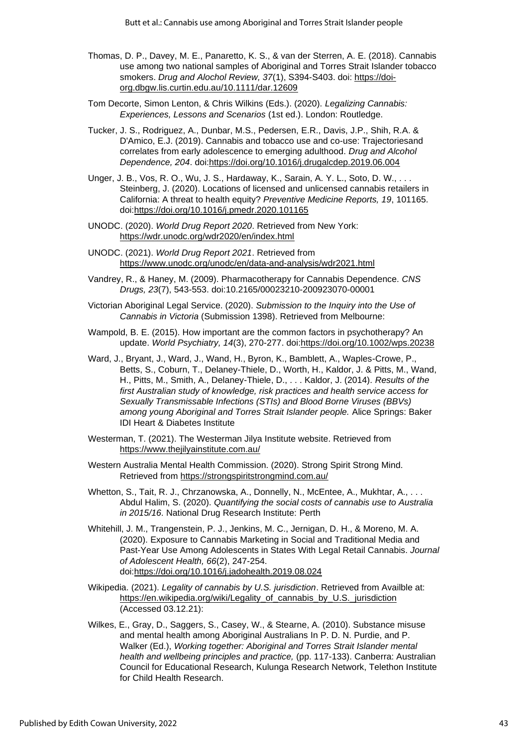- Thomas, D. P., Davey, M. E., Panaretto, K. S., & van der Sterren, A. E. (2018). Cannabis use among two national samples of Aboriginal and Torres Strait Islander tobacco smokers. *Drug and Alochol Review, 37*(1), S394-S403. doi: https://doiorg.dbgw.lis.curtin.edu.au/10.1111/dar.12609
- Tom Decorte, Simon Lenton, & Chris Wilkins (Eds.). (2020). *Legalizing Cannabis: Experiences, Lessons and Scenarios* (1st ed.). London: Routledge.
- Tucker, J. S., Rodriguez, A., Dunbar, M.S., Pedersen, E.R., Davis, J.P., Shih, R.A. & D'Amico, E.J. (2019). Cannabis and tobacco use and co-use: Trajectoriesand correlates from early adolescence to emerging adulthood. *Drug and Alcohol Dependence, 204*. doi:https://doi.org/10.1016/j.drugalcdep.2019.06.004
- Unger, J. B., Vos, R. O., Wu, J. S., Hardaway, K., Sarain, A. Y. L., Soto, D. W., . . . Steinberg, J. (2020). Locations of licensed and unlicensed cannabis retailers in California: A threat to health equity? *Preventive Medicine Reports, 19*, 101165. doi:https://doi.org/10.1016/j.pmedr.2020.101165
- UNODC. (2020). *World Drug Report 2020*. Retrieved from New York: https://wdr.unodc.org/wdr2020/en/index.html
- UNODC. (2021). *World Drug Report 2021*. Retrieved from https://www.unodc.org/unodc/en/data-and-analysis/wdr2021.html
- Vandrey, R., & Haney, M. (2009). Pharmacotherapy for Cannabis Dependence. *CNS Drugs, 23*(7), 543-553. doi:10.2165/00023210-200923070-00001
- Victorian Aboriginal Legal Service. (2020). *Submission to the Inquiry into the Use of Cannabis in Victoria* (Submission 1398). Retrieved from Melbourne:
- Wampold, B. E. (2015). How important are the common factors in psychotherapy? An update. *World Psychiatry, 14*(3), 270-277. doi:https://doi.org/10.1002/wps.20238
- Ward, J., Bryant, J., Ward, J., Wand, H., Byron, K., Bamblett, A., Waples-Crowe, P., Betts, S., Coburn, T., Delaney-Thiele, D., Worth, H., Kaldor, J. & Pitts, M., Wand, H., Pitts, M., Smith, A., Delaney-Thiele, D., . . . Kaldor, J. (2014). *Results of the first Australian study of knowledge, risk practices and health service access for Sexually Transmissable Infections (STIs) and Blood Borne Viruses (BBVs) among young Aboriginal and Torres Strait Islander people.* Alice Springs: Baker IDI Heart & Diabetes Institute
- Westerman, T. (2021). The Westerman Jilya Institute website. Retrieved from https://www.thejilyainstitute.com.au/
- Western Australia Mental Health Commission. (2020). Strong Spirit Strong Mind. Retrieved from https://strongspiritstrongmind.com.au/
- Whetton, S., Tait, R. J., Chrzanowska, A., Donnelly, N., McEntee, A., Mukhtar, A., . . . Abdul Halim, S. (2020). *Quantifying the social costs of cannabis use to Australia in 2015/16*. National Drug Research Institute: Perth
- Whitehill, J. M., Trangenstein, P. J., Jenkins, M. C., Jernigan, D. H., & Moreno, M. A. (2020). Exposure to Cannabis Marketing in Social and Traditional Media and Past-Year Use Among Adolescents in States With Legal Retail Cannabis. *Journal of Adolescent Health, 66*(2), 247-254. doi:https://doi.org/10.1016/j.jadohealth.2019.08.024
- Wikipedia. (2021). *Legality of cannabis by U.S. jurisdiction*. Retrieved from Availble at: https://en.wikipedia.org/wiki/Legality of cannabis by U.S. jurisdiction (Accessed 03.12.21):
- Wilkes, E., Gray, D., Saggers, S., Casey, W., & Stearne, A. (2010). Substance misuse and mental health among Aboriginal Australians In P. D. N. Purdie, and P. Walker (Ed.), *Working together: Aboriginal and Torres Strait Islander mental health and wellbeing principles and practice,* (pp. 117-133). Canberra: Australian Council for Educational Research, Kulunga Research Network, Telethon Institute for Child Health Research.